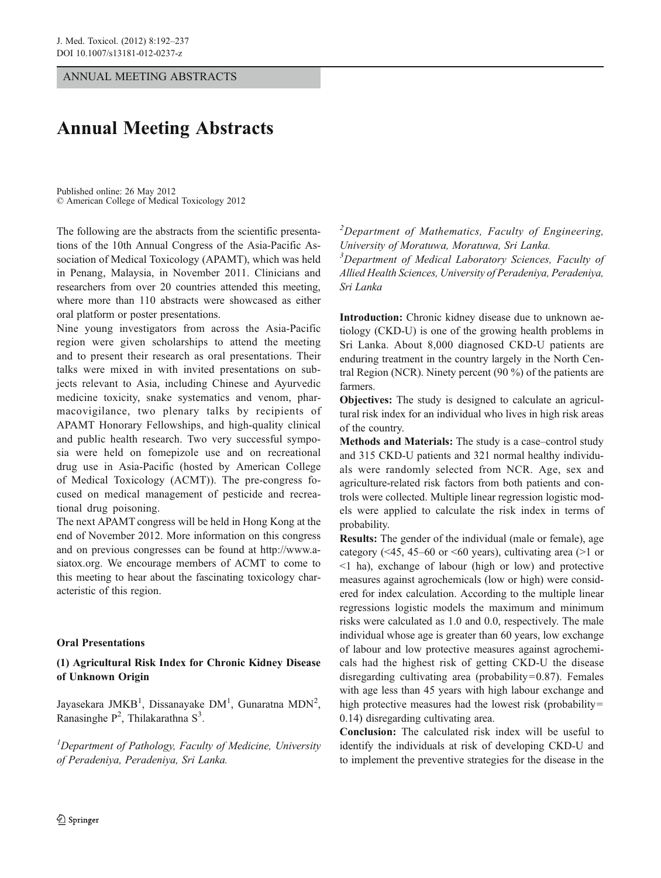ANNUAL MEETING ABSTRACTS

# Annual Meeting Abstracts

© American College of Medical Toxicology 2012 Published online: 26 May 2012

The following are the abstracts from the scientific presentations of the 10th Annual Congress of the Asia-Pacific Association of Medical Toxicology (APAMT), which was held in Penang, Malaysia, in November 2011. Clinicians and researchers from over 20 countries attended this meeting, where more than 110 abstracts were showcased as either oral platform or poster presentations.

Nine young investigators from across the Asia-Pacific region were given scholarships to attend the meeting and to present their research as oral presentations. Their talks were mixed in with invited presentations on subjects relevant to Asia, including Chinese and Ayurvedic medicine toxicity, snake systematics and venom, pharmacovigilance, two plenary talks by recipients of APAMT Honorary Fellowships, and high-quality clinical and public health research. Two very successful symposia were held on fomepizole use and on recreational drug use in Asia-Pacific (hosted by American College of Medical Toxicology (ACMT)). The pre-congress focused on medical management of pesticide and recreational drug poisoning.

The next APAMT congress will be held in Hong Kong at the end of November 2012. More information on this congress and on previous congresses can be found at http://www.asiatox.org. We encourage members of ACMT to come to this meeting to hear about the fascinating toxicology characteristic of this region.

#### Oral Presentations

#### (1) Agricultural Risk Index for Chronic Kidney Disease of Unknown Origin

Jayasekara JMKB<sup>1</sup>, Dissanayake DM<sup>1</sup>, Gunaratna MDN<sup>2</sup>, Ranasinghe  $P^2$ , Thilakarathna  $S^3$ .

<sup>1</sup>Department of Pathology, Faculty of Medicine, University of Peradeniya, Peradeniya, Sri Lanka.

 $2$ Department of Mathematics, Faculty of Engineering, University of Moratuwa, Moratuwa, Sri Lanka. <sup>3</sup>Department of Medical Laboratory Sciences, Faculty of Allied Health Sciences, University of Peradeniya, Peradeniya, Sri Lanka

Introduction: Chronic kidney disease due to unknown aetiology (CKD-U) is one of the growing health problems in Sri Lanka. About 8,000 diagnosed CKD-U patients are enduring treatment in the country largely in the North Central Region (NCR). Ninety percent (90 %) of the patients are farmers.

Objectives: The study is designed to calculate an agricultural risk index for an individual who lives in high risk areas of the country.

Methods and Materials: The study is a case–control study and 315 CKD-U patients and 321 normal healthy individuals were randomly selected from NCR. Age, sex and agriculture-related risk factors from both patients and controls were collected. Multiple linear regression logistic models were applied to calculate the risk index in terms of probability.

Results: The gender of the individual (male or female), age category ( $\leq 45$ , 45–60 or  $\leq 60$  years), cultivating area ( $\geq 1$  or <1 ha), exchange of labour (high or low) and protective measures against agrochemicals (low or high) were considered for index calculation. According to the multiple linear regressions logistic models the maximum and minimum risks were calculated as 1.0 and 0.0, respectively. The male individual whose age is greater than 60 years, low exchange of labour and low protective measures against agrochemicals had the highest risk of getting CKD-U the disease disregarding cultivating area (probability= $0.87$ ). Females with age less than 45 years with high labour exchange and high protective measures had the lowest risk (probability= 0.14) disregarding cultivating area.

Conclusion: The calculated risk index will be useful to identify the individuals at risk of developing CKD-U and to implement the preventive strategies for the disease in the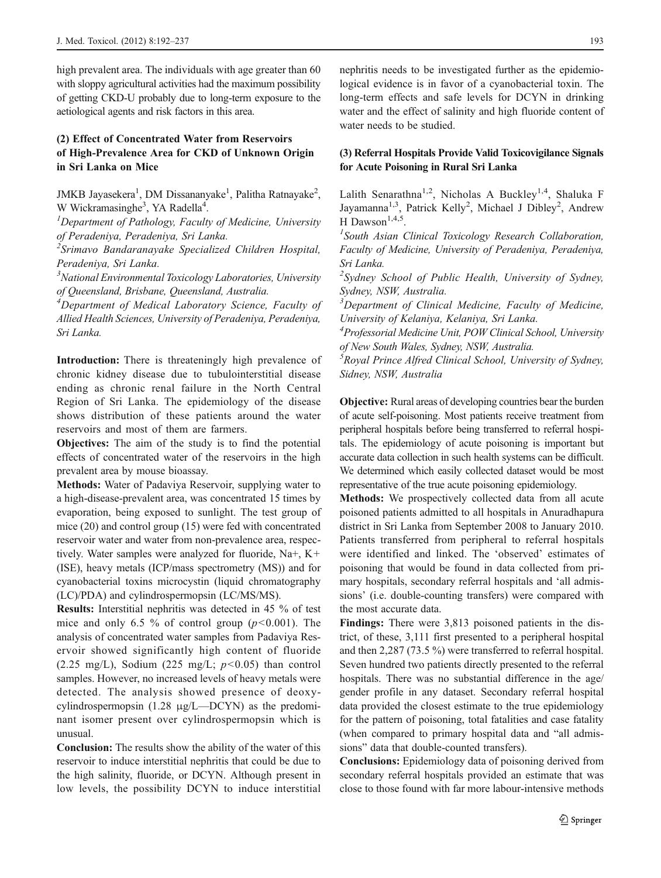high prevalent area. The individuals with age greater than 60 with sloppy agricultural activities had the maximum possibility of getting CKD-U probably due to long-term exposure to the aetiological agents and risk factors in this area.

# (2) Effect of Concentrated Water from Reservoirs of High-Prevalence Area for CKD of Unknown Origin in Sri Lanka on Mice

JMKB Jayasekera<sup>1</sup>, DM Dissananyake<sup>1</sup>, Palitha Ratnayake<sup>2</sup>, W Wickramasinghe<sup>3</sup>, YA Radella<sup>4</sup>.<br><sup>1</sup>Denartment of Pathology, Eacult

 ${}^{1}$ Department of Pathology, Faculty of Medicine, University of Peradeniya, Peradeniya, Sri Lanka.

<sup>2</sup>Srimavo Bandaranayake Specialized Children Hospital, Peradeniya, Sri Lanka.

<sup>3</sup>National Environmental Toxicology Laboratories, University of Queensland, Brisbane, Queensland, Australia.

<sup>4</sup>Department of Medical Laboratory Science, Faculty of Allied Health Sciences, University of Peradeniya, Peradeniya, Sri Lanka.

Introduction: There is threateningly high prevalence of chronic kidney disease due to tubulointerstitial disease ending as chronic renal failure in the North Central Region of Sri Lanka. The epidemiology of the disease shows distribution of these patients around the water reservoirs and most of them are farmers.

Objectives: The aim of the study is to find the potential effects of concentrated water of the reservoirs in the high prevalent area by mouse bioassay.

Methods: Water of Padaviya Reservoir, supplying water to a high-disease-prevalent area, was concentrated 15 times by evaporation, being exposed to sunlight. The test group of mice (20) and control group (15) were fed with concentrated reservoir water and water from non-prevalence area, respectively. Water samples were analyzed for fluoride, Na+, K+ (ISE), heavy metals (ICP/mass spectrometry (MS)) and for cyanobacterial toxins microcystin (liquid chromatography (LC)/PDA) and cylindrospermopsin (LC/MS/MS).

Results: Interstitial nephritis was detected in 45 % of test mice and only 6.5 % of control group  $(p<0.001)$ . The analysis of concentrated water samples from Padaviya Reservoir showed significantly high content of fluoride (2.25 mg/L), Sodium (225 mg/L;  $p<0.05$ ) than control samples. However, no increased levels of heavy metals were detected. The analysis showed presence of deoxycylindrospermopsin (1.28 μg/L—DCYN) as the predominant isomer present over cylindrospermopsin which is unusual.

Conclusion: The results show the ability of the water of this reservoir to induce interstitial nephritis that could be due to the high salinity, fluoride, or DCYN. Although present in low levels, the possibility DCYN to induce interstitial

nephritis needs to be investigated further as the epidemiological evidence is in favor of a cyanobacterial toxin. The long-term effects and safe levels for DCYN in drinking water and the effect of salinity and high fluoride content of water needs to be studied.

## (3) Referral Hospitals Provide Valid Toxicovigilance Signals for Acute Poisoning in Rural Sri Lanka

Lalith Senarathna<sup>1,2</sup>, Nicholas A Buckley<sup>1,4</sup>, Shaluka F Jayamanna<sup>1,3</sup>, Patrick Kelly<sup>2</sup>, Michael J Dibley<sup>2</sup>, Andrew H Dawson<sup>1,4,5</sup>.

 $<sup>1</sup>$ South Asian Clinical Toxicology Research Collaboration,</sup> Faculty of Medicine, University of Peradeniya, Peradeniya, Sri Lanka.

<sup>2</sup>Sydney School of Public Health, University of Sydney, Sydney, NSW, Australia.

<sup>3</sup>Department of Clinical Medicine, Faculty of Medicine, University of Kelaniya, Kelaniya, Sri Lanka.

<sup>4</sup> Professorial Medicine Unit, POW Clinical School, University of New South Wales, Sydney, NSW, Australia.

5 Royal Prince Alfred Clinical School, University of Sydney, Sidney, NSW, Australia

Objective: Rural areas of developing countries bear the burden of acute self-poisoning. Most patients receive treatment from peripheral hospitals before being transferred to referral hospitals. The epidemiology of acute poisoning is important but accurate data collection in such health systems can be difficult. We determined which easily collected dataset would be most representative of the true acute poisoning epidemiology.

Methods: We prospectively collected data from all acute poisoned patients admitted to all hospitals in Anuradhapura district in Sri Lanka from September 2008 to January 2010. Patients transferred from peripheral to referral hospitals were identified and linked. The 'observed' estimates of poisoning that would be found in data collected from primary hospitals, secondary referral hospitals and 'all admissions' (i.e. double-counting transfers) were compared with the most accurate data.

Findings: There were 3,813 poisoned patients in the district, of these, 3,111 first presented to a peripheral hospital and then 2,287 (73.5 %) were transferred to referral hospital. Seven hundred two patients directly presented to the referral hospitals. There was no substantial difference in the age/ gender profile in any dataset. Secondary referral hospital data provided the closest estimate to the true epidemiology for the pattern of poisoning, total fatalities and case fatality (when compared to primary hospital data and "all admissions" data that double-counted transfers).

Conclusions: Epidemiology data of poisoning derived from secondary referral hospitals provided an estimate that was close to those found with far more labour-intensive methods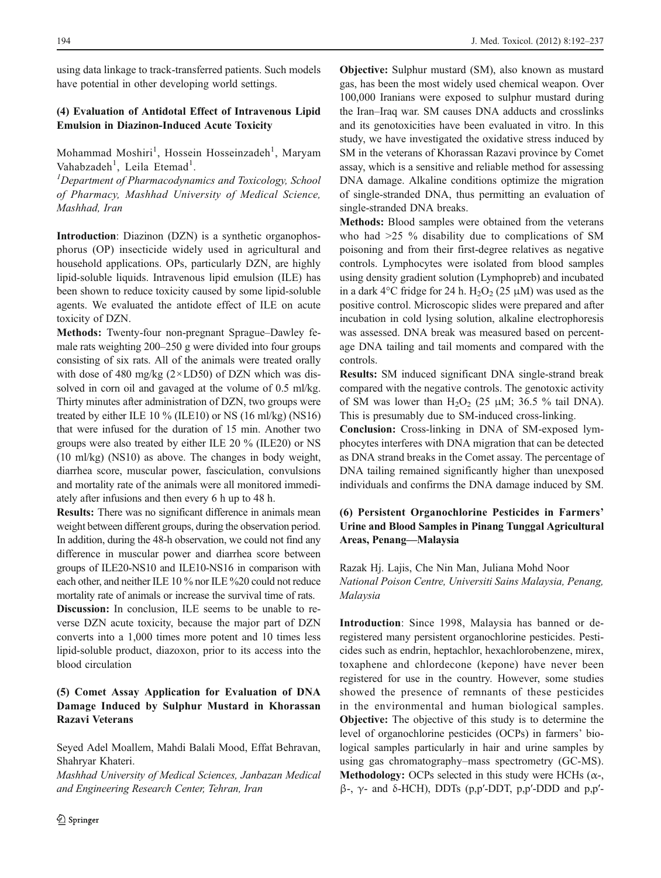using data linkage to track-transferred patients. Such models have potential in other developing world settings.

# (4) Evaluation of Antidotal Effect of Intravenous Lipid Emulsion in Diazinon-Induced Acute Toxicity

Mohammad Moshiri<sup>1</sup>, Hossein Hosseinzadeh<sup>1</sup>, Maryam Vahabzadeh<sup>1</sup>, Leila Etemad<sup>1</sup>.

 ${}^{1}$ Department of Pharmacodynamics and Toxicology, School of Pharmacy, Mashhad University of Medical Science, Mashhad, Iran

Introduction: Diazinon (DZN) is a synthetic organophosphorus (OP) insecticide widely used in agricultural and household applications. OPs, particularly DZN, are highly lipid-soluble liquids. Intravenous lipid emulsion (ILE) has been shown to reduce toxicity caused by some lipid-soluble agents. We evaluated the antidote effect of ILE on acute toxicity of DZN.

Methods: Twenty-four non-pregnant Sprague–Dawley female rats weighting 200–250 g were divided into four groups consisting of six rats. All of the animals were treated orally with dose of 480 mg/kg  $(2 \times LDS0)$  of DZN which was dissolved in corn oil and gavaged at the volume of 0.5 ml/kg. Thirty minutes after administration of DZN, two groups were treated by either ILE 10 % (ILE10) or NS (16 ml/kg) (NS16) that were infused for the duration of 15 min. Another two groups were also treated by either ILE 20 % (ILE20) or NS (10 ml/kg) (NS10) as above. The changes in body weight, diarrhea score, muscular power, fasciculation, convulsions and mortality rate of the animals were all monitored immediately after infusions and then every 6 h up to 48 h.

Results: There was no significant difference in animals mean weight between different groups, during the observation period. In addition, during the 48-h observation, we could not find any difference in muscular power and diarrhea score between groups of ILE20-NS10 and ILE10-NS16 in comparison with each other, and neither ILE 10 % nor ILE %20 could not reduce mortality rate of animals or increase the survival time of rats.

Discussion: In conclusion, ILE seems to be unable to reverse DZN acute toxicity, because the major part of DZN converts into a 1,000 times more potent and 10 times less lipid-soluble product, diazoxon, prior to its access into the blood circulation

# (5) Comet Assay Application for Evaluation of DNA Damage Induced by Sulphur Mustard in Khorassan Razavi Veterans

Seyed Adel Moallem, Mahdi Balali Mood, Effat Behravan, Shahryar Khateri.

Mashhad University of Medical Sciences, Janbazan Medical and Engineering Research Center, Tehran, Iran

Objective: Sulphur mustard (SM), also known as mustard gas, has been the most widely used chemical weapon. Over 100,000 Iranians were exposed to sulphur mustard during the Iran–Iraq war. SM causes DNA adducts and crosslinks and its genotoxicities have been evaluated in vitro. In this study, we have investigated the oxidative stress induced by SM in the veterans of Khorassan Razavi province by Comet assay, which is a sensitive and reliable method for assessing DNA damage. Alkaline conditions optimize the migration of single-stranded DNA, thus permitting an evaluation of single-stranded DNA breaks.

Methods: Blood samples were obtained from the veterans who had >25 % disability due to complications of SM poisoning and from their first-degree relatives as negative controls. Lymphocytes were isolated from blood samples using density gradient solution (Lymphopreb) and incubated in a dark 4°C fridge for 24 h. H<sub>2</sub>O<sub>2</sub> (25  $\mu$ M) was used as the positive control. Microscopic slides were prepared and after incubation in cold lysing solution, alkaline electrophoresis was assessed. DNA break was measured based on percentage DNA tailing and tail moments and compared with the controls.

Results: SM induced significant DNA single-strand break compared with the negative controls. The genotoxic activity of SM was lower than  $H_2O_2$  (25  $\mu$ M; 36.5 % tail DNA). This is presumably due to SM-induced cross-linking.

Conclusion: Cross-linking in DNA of SM-exposed lymphocytes interferes with DNA migration that can be detected as DNA strand breaks in the Comet assay. The percentage of DNA tailing remained significantly higher than unexposed individuals and confirms the DNA damage induced by SM.

# (6) Persistent Organochlorine Pesticides in Farmers' Urine and Blood Samples in Pinang Tunggal Agricultural Areas, Penang—Malaysia

Razak Hj. Lajis, Che Nin Man, Juliana Mohd Noor National Poison Centre, Universiti Sains Malaysia, Penang, Malaysia

Introduction: Since 1998, Malaysia has banned or deregistered many persistent organochlorine pesticides. Pesticides such as endrin, heptachlor, hexachlorobenzene, mirex, toxaphene and chlordecone (kepone) have never been registered for use in the country. However, some studies showed the presence of remnants of these pesticides in the environmental and human biological samples. Objective: The objective of this study is to determine the level of organochlorine pesticides (OCPs) in farmers' biological samples particularly in hair and urine samples by using gas chromatography–mass spectrometry (GC-MS). Methodology: OCPs selected in this study were HCHs ( $\alpha$ -, β-, γ- and δ-HCH), DDTs (p,p′-DDT, p,p′-DDD and p,p′-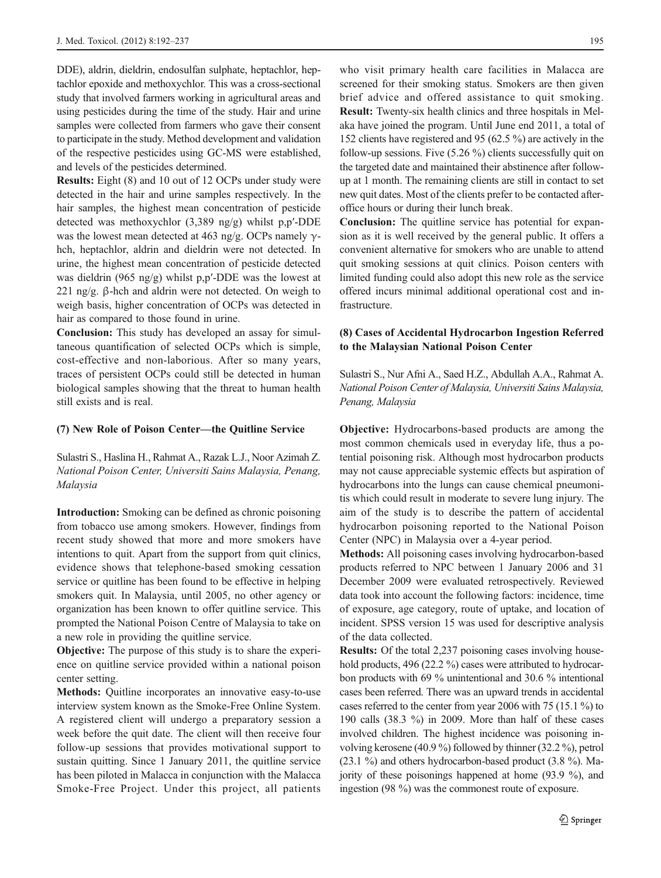DDE), aldrin, dieldrin, endosulfan sulphate, heptachlor, heptachlor epoxide and methoxychlor. This was a cross-sectional study that involved farmers working in agricultural areas and using pesticides during the time of the study. Hair and urine samples were collected from farmers who gave their consent to participate in the study. Method development and validation of the respective pesticides using GC-MS were established, and levels of the pesticides determined.

Results: Eight (8) and 10 out of 12 OCPs under study were detected in the hair and urine samples respectively. In the hair samples, the highest mean concentration of pesticide detected was methoxychlor (3,389 ng/g) whilst p,p′-DDE was the lowest mean detected at 463 ng/g. OCPs namely  $\gamma$ hch, heptachlor, aldrin and dieldrin were not detected. In urine, the highest mean concentration of pesticide detected was dieldrin (965 ng/g) whilst p,p′-DDE was the lowest at 221 ng/g. β-hch and aldrin were not detected. On weigh to weigh basis, higher concentration of OCPs was detected in hair as compared to those found in urine.

Conclusion: This study has developed an assay for simultaneous quantification of selected OCPs which is simple, cost-effective and non-laborious. After so many years, traces of persistent OCPs could still be detected in human biological samples showing that the threat to human health still exists and is real.

#### (7) New Role of Poison Center—the Quitline Service

Sulastri S., Haslina H., Rahmat A., Razak L.J., Noor Azimah Z. National Poison Center, Universiti Sains Malaysia, Penang, Malaysia

Introduction: Smoking can be defined as chronic poisoning from tobacco use among smokers. However, findings from recent study showed that more and more smokers have intentions to quit. Apart from the support from quit clinics, evidence shows that telephone-based smoking cessation service or quitline has been found to be effective in helping smokers quit. In Malaysia, until 2005, no other agency or organization has been known to offer quitline service. This prompted the National Poison Centre of Malaysia to take on a new role in providing the quitline service.

Objective: The purpose of this study is to share the experience on quitline service provided within a national poison center setting.

Methods: Quitline incorporates an innovative easy-to-use interview system known as the Smoke-Free Online System. A registered client will undergo a preparatory session a week before the quit date. The client will then receive four follow-up sessions that provides motivational support to sustain quitting. Since 1 January 2011, the quitline service has been piloted in Malacca in conjunction with the Malacca Smoke-Free Project. Under this project, all patients who visit primary health care facilities in Malacca are screened for their smoking status. Smokers are then given brief advice and offered assistance to quit smoking. Result: Twenty-six health clinics and three hospitals in Melaka have joined the program. Until June end 2011, a total of 152 clients have registered and 95 (62.5 %) are actively in the follow-up sessions. Five (5.26 %) clients successfully quit on the targeted date and maintained their abstinence after followup at 1 month. The remaining clients are still in contact to set new quit dates. Most of the clients prefer to be contacted afteroffice hours or during their lunch break.

Conclusion: The quitline service has potential for expansion as it is well received by the general public. It offers a convenient alternative for smokers who are unable to attend quit smoking sessions at quit clinics. Poison centers with limited funding could also adopt this new role as the service offered incurs minimal additional operational cost and infrastructure.

## (8) Cases of Accidental Hydrocarbon Ingestion Referred to the Malaysian National Poison Center

Sulastri S., Nur Afni A., Saed H.Z., Abdullah A.A., Rahmat A. National Poison Center of Malaysia, Universiti Sains Malaysia, Penang, Malaysia

Objective: Hydrocarbons-based products are among the most common chemicals used in everyday life, thus a potential poisoning risk. Although most hydrocarbon products may not cause appreciable systemic effects but aspiration of hydrocarbons into the lungs can cause chemical pneumonitis which could result in moderate to severe lung injury. The aim of the study is to describe the pattern of accidental hydrocarbon poisoning reported to the National Poison Center (NPC) in Malaysia over a 4-year period.

Methods: All poisoning cases involving hydrocarbon-based products referred to NPC between 1 January 2006 and 31 December 2009 were evaluated retrospectively. Reviewed data took into account the following factors: incidence, time of exposure, age category, route of uptake, and location of incident. SPSS version 15 was used for descriptive analysis of the data collected.

Results: Of the total 2,237 poisoning cases involving household products, 496 (22.2 %) cases were attributed to hydrocarbon products with 69 % unintentional and 30.6 % intentional cases been referred. There was an upward trends in accidental cases referred to the center from year 2006 with 75 (15.1 %) to 190 calls (38.3 %) in 2009. More than half of these cases involved children. The highest incidence was poisoning involving kerosene (40.9 %) followed by thinner (32.2 %), petrol (23.1 %) and others hydrocarbon-based product (3.8 %). Majority of these poisonings happened at home (93.9 %), and ingestion (98 %) was the commonest route of exposure.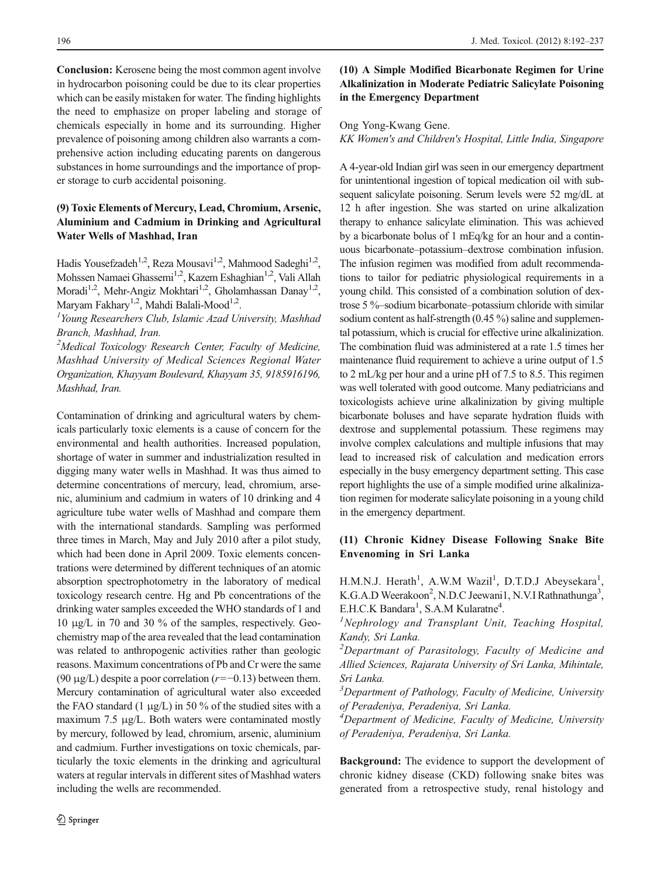Conclusion: Kerosene being the most common agent involve in hydrocarbon poisoning could be due to its clear properties which can be easily mistaken for water. The finding highlights the need to emphasize on proper labeling and storage of chemicals especially in home and its surrounding. Higher prevalence of poisoning among children also warrants a comprehensive action including educating parents on dangerous substances in home surroundings and the importance of proper storage to curb accidental poisoning.

# (9) Toxic Elements of Mercury, Lead, Chromium, Arsenic, Aluminium and Cadmium in Drinking and Agricultural Water Wells of Mashhad, Iran

Hadis Yousefzadeh<sup>1,2</sup>, Reza Mousavi<sup>1,2</sup>, Mahmood Sadeghi<sup>1,2</sup>, Mohssen Namaei Ghassemi<sup>1,2</sup>, Kazem Eshaghian<sup>1,2</sup>, Vali Allah Moradi<sup>1,2</sup>, Mehr-Angiz Mokhtari<sup>1,2</sup>, Gholamhassan Danay<sup>1,2</sup>, Maryam Fakhary<sup>1,2</sup>, Mahdi Balali-Mood<sup>1,2</sup>.

 $<sup>I</sup>$ Young Researchers Club, Islamic Azad University, Mashhad</sup> Branch, Mashhad, Iran.

<sup>2</sup>Medical Toxicology Research Center, Faculty of Medicine, Mashhad University of Medical Sciences Regional Water Organization, Khayyam Boulevard, Khayyam 35, 9185916196, Mashhad, Iran.

Contamination of drinking and agricultural waters by chemicals particularly toxic elements is a cause of concern for the environmental and health authorities. Increased population, shortage of water in summer and industrialization resulted in digging many water wells in Mashhad. It was thus aimed to determine concentrations of mercury, lead, chromium, arsenic, aluminium and cadmium in waters of 10 drinking and 4 agriculture tube water wells of Mashhad and compare them with the international standards. Sampling was performed three times in March, May and July 2010 after a pilot study, which had been done in April 2009. Toxic elements concentrations were determined by different techniques of an atomic absorption spectrophotometry in the laboratory of medical toxicology research centre. Hg and Pb concentrations of the drinking water samples exceeded the WHO standards of 1 and 10 μg/L in 70 and 30 % of the samples, respectively. Geochemistry map of the area revealed that the lead contamination was related to anthropogenic activities rather than geologic reasons. Maximum concentrations of Pb and Cr were the same (90 μg/L) despite a poor correlation ( $r=-0.13$ ) between them. Mercury contamination of agricultural water also exceeded the FAO standard  $(1 \mu g/L)$  in 50 % of the studied sites with a maximum 7.5 μg/L. Both waters were contaminated mostly by mercury, followed by lead, chromium, arsenic, aluminium and cadmium. Further investigations on toxic chemicals, particularly the toxic elements in the drinking and agricultural waters at regular intervals in different sites of Mashhad waters including the wells are recommended.

# (10) A Simple Modified Bicarbonate Regimen for Urine Alkalinization in Moderate Pediatric Salicylate Poisoning in the Emergency Department

#### Ong Yong-Kwang Gene.

KK Women's and Children's Hospital, Little India, Singapore

A 4-year-old Indian girl was seen in our emergency department for unintentional ingestion of topical medication oil with subsequent salicylate poisoning. Serum levels were 52 mg/dL at 12 h after ingestion. She was started on urine alkalization therapy to enhance salicylate elimination. This was achieved by a bicarbonate bolus of 1 mEq/kg for an hour and a continuous bicarbonate–potassium–dextrose combination infusion. The infusion regimen was modified from adult recommendations to tailor for pediatric physiological requirements in a young child. This consisted of a combination solution of dextrose 5 %–sodium bicarbonate–potassium chloride with similar sodium content as half-strength (0.45 %) saline and supplemental potassium, which is crucial for effective urine alkalinization. The combination fluid was administered at a rate 1.5 times her maintenance fluid requirement to achieve a urine output of 1.5 to 2 mL/kg per hour and a urine pH of 7.5 to 8.5. This regimen was well tolerated with good outcome. Many pediatricians and toxicologists achieve urine alkalinization by giving multiple bicarbonate boluses and have separate hydration fluids with dextrose and supplemental potassium. These regimens may involve complex calculations and multiple infusions that may lead to increased risk of calculation and medication errors especially in the busy emergency department setting. This case report highlights the use of a simple modified urine alkalinization regimen for moderate salicylate poisoning in a young child in the emergency department.

# (11) Chronic Kidney Disease Following Snake Bite Envenoming in Sri Lanka

H.M.N.J. Herath<sup>1</sup>, A.W.M Wazil<sup>1</sup>, D.T.D.J Abeysekara<sup>1</sup>, K.G.A.D Weerakoon<sup>2</sup>, N.D.C Jeewani1, N.V.I Rathnathunga<sup>3</sup>, E.H.C.K Bandara<sup>1</sup>, S.A.M Kularatne<sup>4</sup>.<br><sup>1</sup>Nankrology, and Transplant Unit

Nephrology and Transplant Unit, Teaching Hospital, Kandy, Sri Lanka.

<sup>2</sup>Departmant of Parasitology, Faculty of Medicine and Allied Sciences, Rajarata University of Sri Lanka, Mihintale, Sri Lanka.

<sup>3</sup>Department of Pathology, Faculty of Medicine, University of Peradeniya, Peradeniya, Sri Lanka.

<sup>4</sup>Department of Medicine, Faculty of Medicine, University of Peradeniya, Peradeniya, Sri Lanka.

Background: The evidence to support the development of chronic kidney disease (CKD) following snake bites was generated from a retrospective study, renal histology and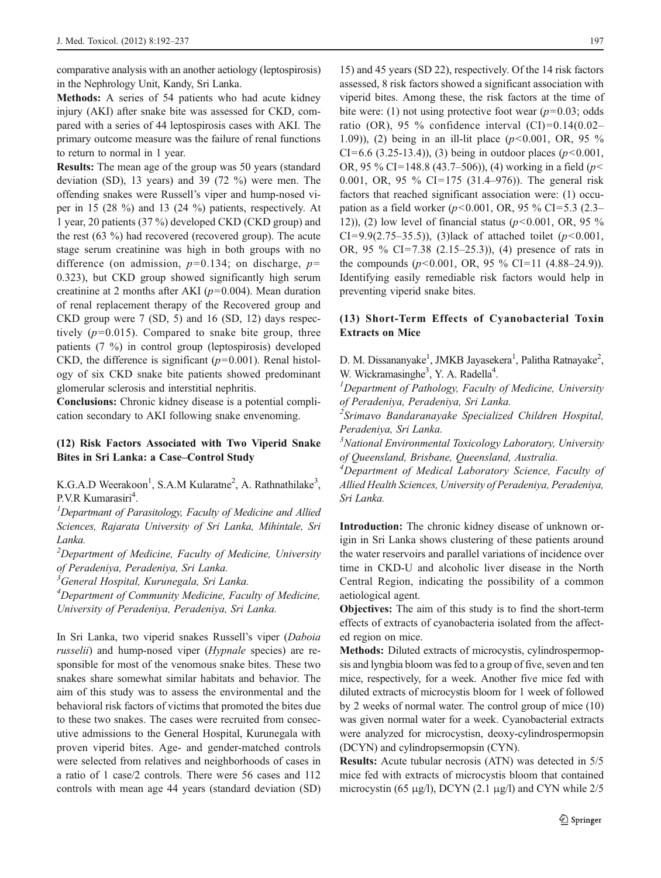comparative analysis with an another aetiology (leptospirosis) in the Nephrology Unit, Kandy, Sri Lanka.

Methods: A series of 54 patients who had acute kidney injury (AKI) after snake bite was assessed for CKD, compared with a series of 44 leptospirosis cases with AKI. The primary outcome measure was the failure of renal functions to return to normal in 1 year.

Results: The mean age of the group was 50 years (standard deviation (SD), 13 years) and 39 (72 %) were men. The offending snakes were Russell's viper and hump-nosed viper in 15 (28 %) and 13 (24 %) patients, respectively. At 1 year, 20 patients (37 %) developed CKD (CKD group) and the rest (63 %) had recovered (recovered group). The acute stage serum creatinine was high in both groups with no difference (on admission,  $p=0.134$ ; on discharge,  $p=$ 0.323), but CKD group showed significantly high serum creatinine at 2 months after AKI ( $p=0.004$ ). Mean duration of renal replacement therapy of the Recovered group and CKD group were 7 (SD, 5) and 16 (SD, 12) days respectively  $(p=0.015)$ . Compared to snake bite group, three patients (7 %) in control group (leptospirosis) developed CKD, the difference is significant ( $p=0.001$ ). Renal histology of six CKD snake bite patients showed predominant glomerular sclerosis and interstitial nephritis.

Conclusions: Chronic kidney disease is a potential complication secondary to AKI following snake envenoming.

#### (12) Risk Factors Associated with Two Viperid Snake Bites in Sri Lanka: a Case–Control Study

K.G.A.D Weerakoon<sup>1</sup>, S.A.M Kularatne<sup>2</sup>, A. Rathnathilake<sup>3</sup>, P.V.R Kumarasiri<sup>4</sup>.<br><sup>*I*</sup> Department of Pa

 $<sup>I</sup>$ Departmant of Parasitology, Faculty of Medicine and Allied</sup> Sciences, Rajarata University of Sri Lanka, Mihintale, Sri Lanka.

 $2$ Department of Medicine, Faculty of Medicine, University of Peradeniya, Peradeniya, Sri Lanka.

<sup>3</sup>General Hospital, Kurunegala, Sri Lanka.

<sup>4</sup>Department of Community Medicine, Faculty of Medicine, University of Peradeniya, Peradeniya, Sri Lanka.

In Sri Lanka, two viperid snakes Russell's viper (Daboia russelii) and hump-nosed viper (*Hypnale* species) are responsible for most of the venomous snake bites. These two snakes share somewhat similar habitats and behavior. The aim of this study was to assess the environmental and the behavioral risk factors of victims that promoted the bites due to these two snakes. The cases were recruited from consecutive admissions to the General Hospital, Kurunegala with proven viperid bites. Age- and gender-matched controls were selected from relatives and neighborhoods of cases in a ratio of 1 case/2 controls. There were 56 cases and 112 controls with mean age 44 years (standard deviation (SD)

15) and 45 years (SD 22), respectively. Of the 14 risk factors assessed, 8 risk factors showed a significant association with viperid bites. Among these, the risk factors at the time of bite were: (1) not using protective foot wear ( $p=0.03$ ; odds ratio (OR), 95 % confidence interval  $(CI)=0.14(0.02–1.14)$ 1.09)), (2) being in an ill-lit place  $(p<0.001, \text{ OR}, 95 \%$ CI=6.6 (3.25-13.4)), (3) being in outdoor places ( $p$ <0.001, OR, 95 % CI=148.8 (43.7–506)), (4) working in a field ( $p$  < 0.001, OR, 95 % CI=175 (31.4–976)). The general risk factors that reached significant association were: (1) occupation as a field worker ( $p$ <0.001, OR, 95 % CI=5.3 (2.3– 12)), (2) low level of financial status ( $p<0.001$ , OR, 95 % CI=9.9(2.75–35.5)), (3)lack of attached toilet ( $p$ <0.001, OR, 95 % CI=7.38 (2.15–25.3)), (4) presence of rats in the compounds  $(p<0.001, \text{ OR}, 95\% \text{ CI} = 11 (4.88-24.9)).$ Identifying easily remediable risk factors would help in preventing viperid snake bites.

#### (13) Short-Term Effects of Cyanobacterial Toxin Extracts on Mice

D. M. Dissananyake<sup>1</sup>, JMKB Jayasekera<sup>1</sup>, Palitha Ratnayake<sup>2</sup>, W. Wickramasinghe<sup>3</sup>, Y. A. Radella<sup>4</sup>.<br><sup>1</sup> Department of Bathology, Equator

 $<sup>1</sup>$ Department of Pathology, Faculty of Medicine, University</sup> of Peradeniya, Peradeniya, Sri Lanka.

<sup>2</sup>Srimavo Bandaranayake Specialized Children Hospital, Peradeniya, Sri Lanka.

<sup>3</sup>National Environmental Toxicology Laboratory, University of Queensland, Brisbane, Queensland, Australia.

<sup>4</sup>Department of Medical Laboratory Science, Faculty of Allied Health Sciences, University of Peradeniya, Peradeniya, Sri Lanka.

Introduction: The chronic kidney disease of unknown origin in Sri Lanka shows clustering of these patients around the water reservoirs and parallel variations of incidence over time in CKD-U and alcoholic liver disease in the North Central Region, indicating the possibility of a common aetiological agent.

Objectives: The aim of this study is to find the short-term effects of extracts of cyanobacteria isolated from the affected region on mice.

Methods: Diluted extracts of microcystis, cylindrospermopsis and lyngbia bloom was fed to a group of five, seven and ten mice, respectively, for a week. Another five mice fed with diluted extracts of microcystis bloom for 1 week of followed by 2 weeks of normal water. The control group of mice (10) was given normal water for a week. Cyanobacterial extracts were analyzed for microcystisn, deoxy-cylindrospermopsin (DCYN) and cylindropsermopsin (CYN).

Results: Acute tubular necrosis (ATN) was detected in 5/5 mice fed with extracts of microcystis bloom that contained microcystin (65 μg/l), DCYN (2.1 μg/l) and CYN while  $2/5$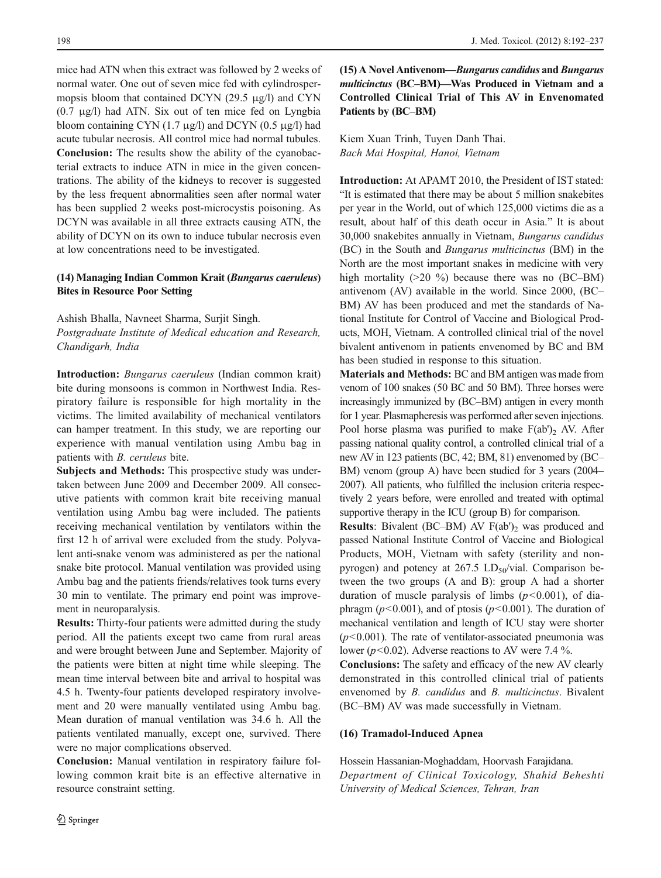mice had ATN when this extract was followed by 2 weeks of normal water. One out of seven mice fed with cylindrospermopsis bloom that contained DCYN (29.5 μg/l) and CYN (0.7 μg/l) had ATN. Six out of ten mice fed on Lyngbia bloom containing CYN  $(1.7 \text{ µg/l})$  and DCYN  $(0.5 \text{ µg/l})$  had acute tubular necrosis. All control mice had normal tubules. Conclusion: The results show the ability of the cyanobacterial extracts to induce ATN in mice in the given concentrations. The ability of the kidneys to recover is suggested by the less frequent abnormalities seen after normal water has been supplied 2 weeks post-microcystis poisoning. As DCYN was available in all three extracts causing ATN, the ability of DCYN on its own to induce tubular necrosis even at low concentrations need to be investigated.

# (14) Managing Indian Common Krait (Bungarus caeruleus) Bites in Resource Poor Setting

Ashish Bhalla, Navneet Sharma, Surjit Singh. Postgraduate Institute of Medical education and Research, Chandigarh, India

Introduction: Bungarus caeruleus (Indian common krait) bite during monsoons is common in Northwest India. Respiratory failure is responsible for high mortality in the victims. The limited availability of mechanical ventilators can hamper treatment. In this study, we are reporting our experience with manual ventilation using Ambu bag in patients with B. ceruleus bite.

Subjects and Methods: This prospective study was undertaken between June 2009 and December 2009. All consecutive patients with common krait bite receiving manual ventilation using Ambu bag were included. The patients receiving mechanical ventilation by ventilators within the first 12 h of arrival were excluded from the study. Polyvalent anti-snake venom was administered as per the national snake bite protocol. Manual ventilation was provided using Ambu bag and the patients friends/relatives took turns every 30 min to ventilate. The primary end point was improvement in neuroparalysis.

Results: Thirty-four patients were admitted during the study period. All the patients except two came from rural areas and were brought between June and September. Majority of the patients were bitten at night time while sleeping. The mean time interval between bite and arrival to hospital was 4.5 h. Twenty-four patients developed respiratory involvement and 20 were manually ventilated using Ambu bag. Mean duration of manual ventilation was 34.6 h. All the patients ventilated manually, except one, survived. There were no major complications observed.

Conclusion: Manual ventilation in respiratory failure following common krait bite is an effective alternative in resource constraint setting.

 $(15)$  A Novel Antivenom—Bungarus candidus and Bungarus multicinctus (BC–BM)—Was Produced in Vietnam and a Controlled Clinical Trial of This AV in Envenomated Patients by (BC–BM)

Kiem Xuan Trinh, Tuyen Danh Thai. Bach Mai Hospital, Hanoi, Vietnam

Introduction: At APAMT 2010, the President of IST stated: "It is estimated that there may be about 5 million snakebites per year in the World, out of which 125,000 victims die as a result, about half of this death occur in Asia." It is about 30,000 snakebites annually in Vietnam, Bungarus candidus (BC) in the South and Bungarus multicinctus (BM) in the North are the most important snakes in medicine with very high mortality  $(20\%)$  because there was no  $(BC-BM)$ antivenom (AV) available in the world. Since 2000, (BC– BM) AV has been produced and met the standards of National Institute for Control of Vaccine and Biological Products, MOH, Vietnam. A controlled clinical trial of the novel bivalent antivenom in patients envenomed by BC and BM has been studied in response to this situation.

Materials and Methods: BC and BM antigen was made from venom of 100 snakes (50 BC and 50 BM). Three horses were increasingly immunized by (BC–BM) antigen in every month for 1 year. Plasmapheresis was performed after seven injections. Pool horse plasma was purified to make  $F(ab')$ , AV. After passing national quality control, a controlled clinical trial of a new AV in 123 patients (BC, 42; BM, 81) envenomed by (BC– BM) venom (group A) have been studied for 3 years (2004– 2007). All patients, who fulfilled the inclusion criteria respectively 2 years before, were enrolled and treated with optimal supportive therapy in the ICU (group B) for comparison.

**Results:** Bivalent (BC–BM) AV  $F(ab')_2$  was produced and passed National Institute Control of Vaccine and Biological Products, MOH, Vietnam with safety (sterility and nonpyrogen) and potency at  $267.5$  LD<sub>50</sub>/vial. Comparison between the two groups (A and B): group A had a shorter duration of muscle paralysis of limbs  $(p<0.001)$ , of diaphragm ( $p$ <0.001), and of ptosis ( $p$ <0.001). The duration of mechanical ventilation and length of ICU stay were shorter  $(p<0.001)$ . The rate of ventilator-associated pneumonia was lower ( $p$ <0.02). Adverse reactions to AV were 7.4 %.

Conclusions: The safety and efficacy of the new AV clearly demonstrated in this controlled clinical trial of patients envenomed by B. candidus and B. multicinctus. Bivalent (BC–BM) AV was made successfully in Vietnam.

#### (16) Tramadol-Induced Apnea

Hossein Hassanian-Moghaddam, Hoorvash Farajidana. Department of Clinical Toxicology, Shahid Beheshti University of Medical Sciences, Tehran, Iran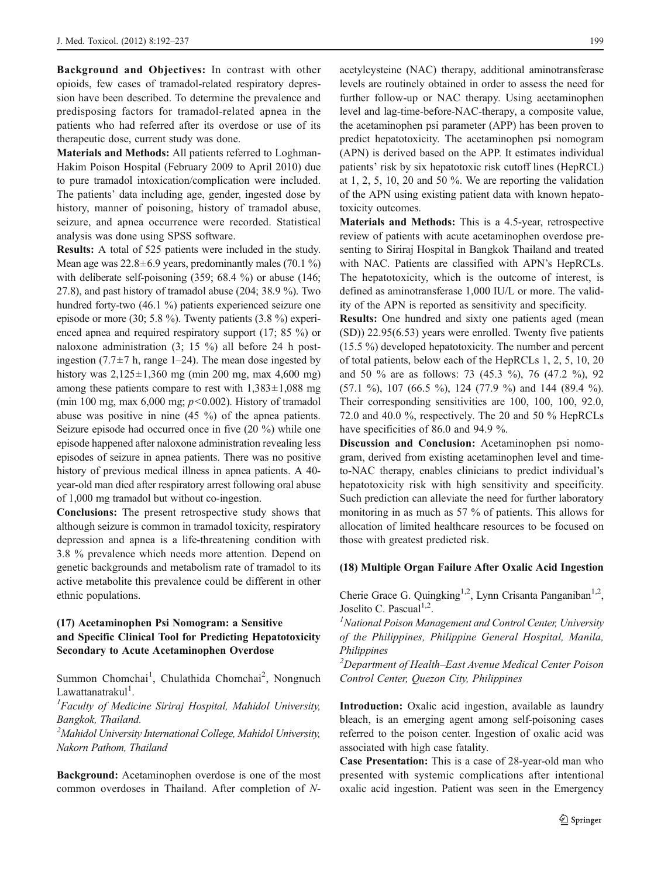Background and Objectives: In contrast with other opioids, few cases of tramadol-related respiratory depression have been described. To determine the prevalence and predisposing factors for tramadol-related apnea in the patients who had referred after its overdose or use of its therapeutic dose, current study was done.

Materials and Methods: All patients referred to Loghman-Hakim Poison Hospital (February 2009 to April 2010) due to pure tramadol intoxication/complication were included. The patients' data including age, gender, ingested dose by history, manner of poisoning, history of tramadol abuse, seizure, and apnea occurrence were recorded. Statistical analysis was done using SPSS software.

Results: A total of 525 patients were included in the study. Mean age was  $22.8 \pm 6.9$  years, predominantly males (70.1 %) with deliberate self-poisoning (359; 68.4 %) or abuse (146; 27.8), and past history of tramadol abuse (204; 38.9 %). Two hundred forty-two (46.1 %) patients experienced seizure one episode or more (30; 5.8 %). Twenty patients (3.8 %) experienced apnea and required respiratory support (17; 85 %) or naloxone administration (3; 15 %) all before 24 h postingestion (7.7 $\pm$ 7 h, range 1–24). The mean dose ingested by history was  $2,125\pm1,360$  mg (min 200 mg, max 4,600 mg) among these patients compare to rest with  $1,383\pm1,088$  mg (min 100 mg, max 6,000 mg;  $p<0.002$ ). History of tramadol abuse was positive in nine (45 %) of the apnea patients. Seizure episode had occurred once in five (20 %) while one episode happened after naloxone administration revealing less episodes of seizure in apnea patients. There was no positive history of previous medical illness in apnea patients. A 40 year-old man died after respiratory arrest following oral abuse of 1,000 mg tramadol but without co-ingestion.

Conclusions: The present retrospective study shows that although seizure is common in tramadol toxicity, respiratory depression and apnea is a life-threatening condition with 3.8 % prevalence which needs more attention. Depend on genetic backgrounds and metabolism rate of tramadol to its active metabolite this prevalence could be different in other ethnic populations.

# (17) Acetaminophen Psi Nomogram: a Sensitive and Specific Clinical Tool for Predicting Hepatotoxicity Secondary to Acute Acetaminophen Overdose

Summon Chomchai<sup>1</sup>, Chulathida Chomchai<sup>2</sup>, Nongnuch Lawattanatrakul<sup>1</sup>.<br><sup>1</sup>Eaculty of Medi

Faculty of Medicine Siriraj Hospital, Mahidol University, Bangkok, Thailand.

<sup>2</sup> Mahidol University International College, Mahidol University, Nakorn Pathom, Thailand

Background: Acetaminophen overdose is one of the most common overdoses in Thailand. After completion of N- acetylcysteine (NAC) therapy, additional aminotransferase levels are routinely obtained in order to assess the need for further follow-up or NAC therapy. Using acetaminophen level and lag-time-before-NAC-therapy, a composite value, the acetaminophen psi parameter (APP) has been proven to predict hepatotoxicity. The acetaminophen psi nomogram (APN) is derived based on the APP. It estimates individual patients' risk by six hepatotoxic risk cutoff lines (HepRCL) at 1, 2, 5, 10, 20 and 50 %. We are reporting the validation of the APN using existing patient data with known hepatotoxicity outcomes.

Materials and Methods: This is a 4.5-year, retrospective review of patients with acute acetaminophen overdose presenting to Siriraj Hospital in Bangkok Thailand and treated with NAC. Patients are classified with APN's HepRCLs. The hepatotoxicity, which is the outcome of interest, is defined as aminotransferase 1,000 IU/L or more. The validity of the APN is reported as sensitivity and specificity.

Results: One hundred and sixty one patients aged (mean (SD)) 22.95(6.53) years were enrolled. Twenty five patients (15.5 %) developed hepatotoxicity. The number and percent of total patients, below each of the HepRCLs 1, 2, 5, 10, 20 and 50 % are as follows: 73 (45.3 %), 76 (47.2 %), 92 (57.1 %), 107 (66.5 %), 124 (77.9 %) and 144 (89.4 %). Their corresponding sensitivities are 100, 100, 100, 92.0, 72.0 and 40.0 %, respectively. The 20 and 50 % HepRCLs have specificities of 86.0 and 94.9 %.

Discussion and Conclusion: Acetaminophen psi nomogram, derived from existing acetaminophen level and timeto-NAC therapy, enables clinicians to predict individual's hepatotoxicity risk with high sensitivity and specificity. Such prediction can alleviate the need for further laboratory monitoring in as much as 57 % of patients. This allows for allocation of limited healthcare resources to be focused on those with greatest predicted risk.

#### (18) Multiple Organ Failure After Oxalic Acid Ingestion

Cherie Grace G. Quingking<sup>1,2</sup>, Lynn Crisanta Panganiban<sup>1,2</sup>, Joselito C. Pascual $1,2$ .

 $<sup>1</sup>$ National Poison Management and Control Center, University</sup> of the Philippines, Philippine General Hospital, Manila, Philippines

<sup>2</sup>Department of Health–East Avenue Medical Center Poison Control Center, Quezon City, Philippines

Introduction: Oxalic acid ingestion, available as laundry bleach, is an emerging agent among self-poisoning cases referred to the poison center. Ingestion of oxalic acid was associated with high case fatality.

Case Presentation: This is a case of 28-year-old man who presented with systemic complications after intentional oxalic acid ingestion. Patient was seen in the Emergency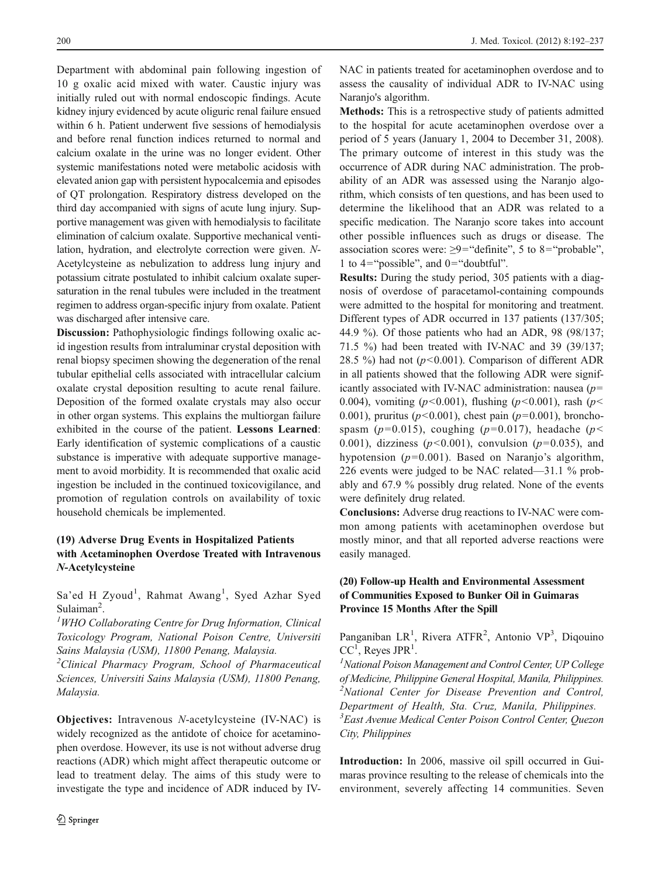Department with abdominal pain following ingestion of 10 g oxalic acid mixed with water. Caustic injury was initially ruled out with normal endoscopic findings. Acute kidney injury evidenced by acute oliguric renal failure ensued within 6 h. Patient underwent five sessions of hemodialysis and before renal function indices returned to normal and calcium oxalate in the urine was no longer evident. Other systemic manifestations noted were metabolic acidosis with elevated anion gap with persistent hypocalcemia and episodes of QT prolongation. Respiratory distress developed on the third day accompanied with signs of acute lung injury. Supportive management was given with hemodialysis to facilitate elimination of calcium oxalate. Supportive mechanical ventilation, hydration, and electrolyte correction were given. N-Acetylcysteine as nebulization to address lung injury and potassium citrate postulated to inhibit calcium oxalate supersaturation in the renal tubules were included in the treatment regimen to address organ-specific injury from oxalate. Patient was discharged after intensive care.

Discussion: Pathophysiologic findings following oxalic acid ingestion results from intraluminar crystal deposition with renal biopsy specimen showing the degeneration of the renal tubular epithelial cells associated with intracellular calcium oxalate crystal deposition resulting to acute renal failure. Deposition of the formed oxalate crystals may also occur in other organ systems. This explains the multiorgan failure exhibited in the course of the patient. Lessons Learned: Early identification of systemic complications of a caustic substance is imperative with adequate supportive management to avoid morbidity. It is recommended that oxalic acid ingestion be included in the continued toxicovigilance, and promotion of regulation controls on availability of toxic household chemicals be implemented.

# (19) Adverse Drug Events in Hospitalized Patients with Acetaminophen Overdose Treated with Intravenous N-Acetylcysteine

Sa'ed H Zyoud<sup>1</sup>, Rahmat Awang<sup>1</sup>, Syed Azhar Syed Sulaiman<sup>2</sup>.<br> $\frac{1}{2}WHO$ 

 ${}^{1}$ WHO Collaborating Centre for Drug Information, Clinical Toxicology Program, National Poison Centre, Universiti Sains Malaysia (USM), 11800 Penang, Malaysia.

<sup>2</sup> Clinical Pharmacy Program, School of Pharmaceutical Sciences, Universiti Sains Malaysia (USM), 11800 Penang, Malaysia.

Objectives: Intravenous N-acetylcysteine (IV-NAC) is widely recognized as the antidote of choice for acetaminophen overdose. However, its use is not without adverse drug reactions (ADR) which might affect therapeutic outcome or lead to treatment delay. The aims of this study were to investigate the type and incidence of ADR induced by IV- NAC in patients treated for acetaminophen overdose and to assess the causality of individual ADR to IV-NAC using Naranjo's algorithm.

Methods: This is a retrospective study of patients admitted to the hospital for acute acetaminophen overdose over a period of 5 years (January 1, 2004 to December 31, 2008). The primary outcome of interest in this study was the occurrence of ADR during NAC administration. The probability of an ADR was assessed using the Naranjo algorithm, which consists of ten questions, and has been used to determine the likelihood that an ADR was related to a specific medication. The Naranjo score takes into account other possible influences such as drugs or disease. The association scores were:  $\geq 9$ ="definite", 5 to 8="probable", 1 to  $4="$  possible", and  $0="$  doubtful".

Results: During the study period, 305 patients with a diagnosis of overdose of paracetamol-containing compounds were admitted to the hospital for monitoring and treatment. Different types of ADR occurred in 137 patients (137/305; 44.9 %). Of those patients who had an ADR, 98 (98/137; 71.5 %) had been treated with IV-NAC and 39 (39/137; 28.5 %) had not ( $p<0.001$ ). Comparison of different ADR in all patients showed that the following ADR were significantly associated with IV-NAC administration: nausea  $(p=$ 0.004), vomiting ( $p < 0.001$ ), flushing ( $p < 0.001$ ), rash ( $p <$ 0.001), pruritus ( $p<0.001$ ), chest pain ( $p=0.001$ ), bronchospasm ( $p=0.015$ ), coughing ( $p=0.017$ ), headache ( $p<$ 0.001), dizziness ( $p<0.001$ ), convulsion ( $p=0.035$ ), and hypotension ( $p=0.001$ ). Based on Naranjo's algorithm, 226 events were judged to be NAC related—31.1 % probably and 67.9 % possibly drug related. None of the events were definitely drug related.

Conclusions: Adverse drug reactions to IV-NAC were common among patients with acetaminophen overdose but mostly minor, and that all reported adverse reactions were easily managed.

# (20) Follow-up Health and Environmental Assessment of Communities Exposed to Bunker Oil in Guimaras Province 15 Months After the Spill

Panganiban LR<sup>1</sup>, Rivera ATFR<sup>2</sup>, Antonio VP<sup>3</sup>, Diqouino  $CC<sup>1</sup>$ , Reyes JPR<sup>1</sup>.

<sup>1</sup> National Poison Management and Control Center, UP College of Medicine, Philippine General Hospital, Manila, Philippines. <sup>2</sup> <sup>2</sup>National Center for Disease Prevention and Control, Department of Health, Sta. Cruz, Manila, Philippines. 3 East Avenue Medical Center Poison Control Center, Quezon City, Philippines

Introduction: In 2006, massive oil spill occurred in Guimaras province resulting to the release of chemicals into the environment, severely affecting 14 communities. Seven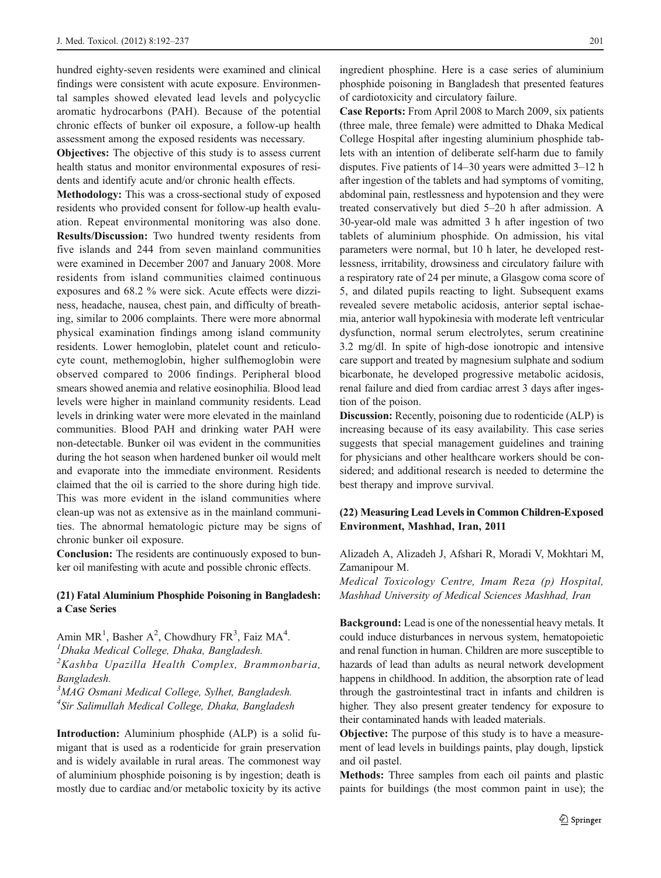hundred eighty-seven residents were examined and clinical findings were consistent with acute exposure. Environmental samples showed elevated lead levels and polycyclic aromatic hydrocarbons (PAH). Because of the potential chronic effects of bunker oil exposure, a follow-up health assessment among the exposed residents was necessary.

Objectives: The objective of this study is to assess current health status and monitor environmental exposures of residents and identify acute and/or chronic health effects.

Methodology: This was a cross-sectional study of exposed residents who provided consent for follow-up health evaluation. Repeat environmental monitoring was also done. Results/Discussion: Two hundred twenty residents from five islands and 244 from seven mainland communities were examined in December 2007 and January 2008. More residents from island communities claimed continuous exposures and 68.2 % were sick. Acute effects were dizziness, headache, nausea, chest pain, and difficulty of breathing, similar to 2006 complaints. There were more abnormal physical examination findings among island community residents. Lower hemoglobin, platelet count and reticulocyte count, methemoglobin, higher sulfhemoglobin were observed compared to 2006 findings. Peripheral blood smears showed anemia and relative eosinophilia. Blood lead levels were higher in mainland community residents. Lead levels in drinking water were more elevated in the mainland communities. Blood PAH and drinking water PAH were non-detectable. Bunker oil was evident in the communities during the hot season when hardened bunker oil would melt and evaporate into the immediate environment. Residents claimed that the oil is carried to the shore during high tide. This was more evident in the island communities where clean-up was not as extensive as in the mainland communities. The abnormal hematologic picture may be signs of chronic bunker oil exposure.

Conclusion: The residents are continuously exposed to bunker oil manifesting with acute and possible chronic effects.

#### (21) Fatal Aluminium Phosphide Poisoning in Bangladesh: a Case Series

Amin  $MR^1$ , Basher A<sup>2</sup>, Chowdhury FR<sup>3</sup>, Faiz MA<sup>4</sup>.  $<sup>I</sup> Dhaka Medical College, Dhaka, Bangladesh.$ </sup> <sup>2</sup>Kashba Upazilla Health Complex, Brammonbaria, Bangladesh. <sup>3</sup>MAG Osmani Medical College, Sylhet, Bangladesh.

4 Sir Salimullah Medical College, Dhaka, Bangladesh

Introduction: Aluminium phosphide (ALP) is a solid fumigant that is used as a rodenticide for grain preservation and is widely available in rural areas. The commonest way of aluminium phosphide poisoning is by ingestion; death is mostly due to cardiac and/or metabolic toxicity by its active ingredient phosphine. Here is a case series of aluminium phosphide poisoning in Bangladesh that presented features of cardiotoxicity and circulatory failure.

Case Reports: From April 2008 to March 2009, six patients (three male, three female) were admitted to Dhaka Medical College Hospital after ingesting aluminium phosphide tablets with an intention of deliberate self-harm due to family disputes. Five patients of 14–30 years were admitted 3–12 h after ingestion of the tablets and had symptoms of vomiting, abdominal pain, restlessness and hypotension and they were treated conservatively but died 5–20 h after admission. A 30-year-old male was admitted 3 h after ingestion of two tablets of aluminium phosphide. On admission, his vital parameters were normal, but 10 h later, he developed restlessness, irritability, drowsiness and circulatory failure with a respiratory rate of 24 per minute, a Glasgow coma score of 5, and dilated pupils reacting to light. Subsequent exams revealed severe metabolic acidosis, anterior septal ischaemia, anterior wall hypokinesia with moderate left ventricular dysfunction, normal serum electrolytes, serum creatinine 3.2 mg/dl. In spite of high-dose ionotropic and intensive care support and treated by magnesium sulphate and sodium bicarbonate, he developed progressive metabolic acidosis, renal failure and died from cardiac arrest 3 days after ingestion of the poison.

Discussion: Recently, poisoning due to rodenticide (ALP) is increasing because of its easy availability. This case series suggests that special management guidelines and training for physicians and other healthcare workers should be considered; and additional research is needed to determine the best therapy and improve survival.

## (22) Measuring Lead Levels in Common Children-Exposed Environment, Mashhad, Iran, 2011

Alizadeh A, Alizadeh J, Afshari R, Moradi V, Mokhtari M, Zamanipour M.

Medical Toxicology Centre, Imam Reza (p) Hospital, Mashhad University of Medical Sciences Mashhad, Iran

Background: Lead is one of the nonessential heavy metals. It could induce disturbances in nervous system, hematopoietic and renal function in human. Children are more susceptible to hazards of lead than adults as neural network development happens in childhood. In addition, the absorption rate of lead through the gastrointestinal tract in infants and children is higher. They also present greater tendency for exposure to their contaminated hands with leaded materials.

Objective: The purpose of this study is to have a measurement of lead levels in buildings paints, play dough, lipstick and oil pastel.

Methods: Three samples from each oil paints and plastic paints for buildings (the most common paint in use); the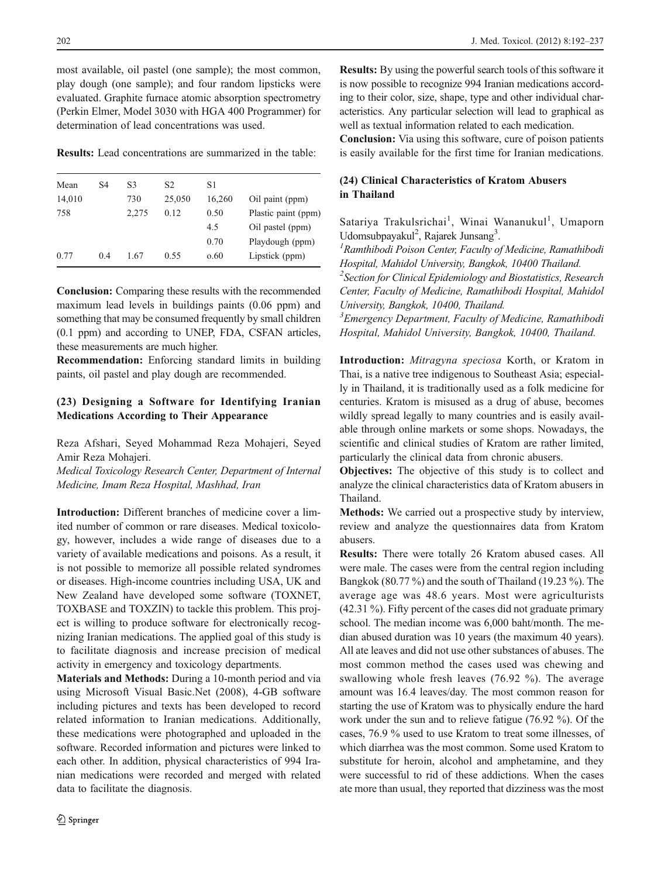most available, oil pastel (one sample); the most common, play dough (one sample); and four random lipsticks were evaluated. Graphite furnace atomic absorption spectrometry (Perkin Elmer, Model 3030 with HGA 400 Programmer) for determination of lead concentrations was used.

Results: Lead concentrations are summarized in the table:

| Mean   | S4  | S3    | S <sub>2</sub> | S1     |                     |
|--------|-----|-------|----------------|--------|---------------------|
| 14,010 |     | 730   | 25,050         | 16.260 | Oil paint (ppm)     |
| 758    |     | 2.275 | 0.12           | 0.50   | Plastic paint (ppm) |
|        |     |       |                | 4.5    | Oil pastel (ppm)    |
|        |     |       |                | 0.70   | Playdough (ppm)     |
| 0.77   | 0.4 | 1.67  | 0.55           | 0.60   | Lipstick (ppm)      |

Conclusion: Comparing these results with the recommended maximum lead levels in buildings paints (0.06 ppm) and something that may be consumed frequently by small children (0.1 ppm) and according to UNEP, FDA, CSFAN articles, these measurements are much higher.

Recommendation: Enforcing standard limits in building paints, oil pastel and play dough are recommended.

# (23) Designing a Software for Identifying Iranian Medications According to Their Appearance

Reza Afshari, Seyed Mohammad Reza Mohajeri, Seyed Amir Reza Mohajeri.

Medical Toxicology Research Center, Department of Internal Medicine, Imam Reza Hospital, Mashhad, Iran

Introduction: Different branches of medicine cover a limited number of common or rare diseases. Medical toxicology, however, includes a wide range of diseases due to a variety of available medications and poisons. As a result, it is not possible to memorize all possible related syndromes or diseases. High-income countries including USA, UK and New Zealand have developed some software (TOXNET, TOXBASE and TOXZIN) to tackle this problem. This project is willing to produce software for electronically recognizing Iranian medications. The applied goal of this study is to facilitate diagnosis and increase precision of medical activity in emergency and toxicology departments.

Materials and Methods: During a 10-month period and via using Microsoft Visual Basic.Net (2008), 4-GB software including pictures and texts has been developed to record related information to Iranian medications. Additionally, these medications were photographed and uploaded in the software. Recorded information and pictures were linked to each other. In addition, physical characteristics of 994 Iranian medications were recorded and merged with related data to facilitate the diagnosis.

Results: By using the powerful search tools of this software it is now possible to recognize 994 Iranian medications according to their color, size, shape, type and other individual characteristics. Any particular selection will lead to graphical as well as textual information related to each medication.

Conclusion: Via using this software, cure of poison patients is easily available for the first time for Iranian medications.

# (24) Clinical Characteristics of Kratom Abusers in Thailand

Satariya Trakulsrichai<sup>1</sup>, Winai Wananukul<sup>1</sup>, Umaporn Udomsubpayakul<sup>2</sup>, Rajarek Junsang<sup>3</sup>.<br><sup>1</sup> Ramthibodi Poison Cantar, Faqulty o

 $R$ amthibodi Poison Center, Faculty of Medicine, Ramathibodi Hospital, Mahidol University, Bangkok, 10400 Thailand. <sup>2</sup>Section for Clinical Epidemiology and Biostatistics, Research Center, Faculty of Medicine, Ramathibodi Hospital, Mahidol

University, Bangkok, 10400, Thailand. <sup>3</sup> Emergency Department, Faculty of Medicine, Ramathibodi Hospital, Mahidol University, Bangkok, 10400, Thailand.

Introduction: Mitragyna speciosa Korth, or Kratom in Thai, is a native tree indigenous to Southeast Asia; especially in Thailand, it is traditionally used as a folk medicine for centuries. Kratom is misused as a drug of abuse, becomes wildly spread legally to many countries and is easily available through online markets or some shops. Nowadays, the scientific and clinical studies of Kratom are rather limited, particularly the clinical data from chronic abusers.

Objectives: The objective of this study is to collect and analyze the clinical characteristics data of Kratom abusers in Thailand.

Methods: We carried out a prospective study by interview, review and analyze the questionnaires data from Kratom abusers.

Results: There were totally 26 Kratom abused cases. All were male. The cases were from the central region including Bangkok (80.77 %) and the south of Thailand (19.23 %). The average age was 48.6 years. Most were agriculturists (42.31 %). Fifty percent of the cases did not graduate primary school. The median income was 6,000 baht/month. The median abused duration was 10 years (the maximum 40 years). All ate leaves and did not use other substances of abuses. The most common method the cases used was chewing and swallowing whole fresh leaves (76.92 %). The average amount was 16.4 leaves/day. The most common reason for starting the use of Kratom was to physically endure the hard work under the sun and to relieve fatigue (76.92 %). Of the cases, 76.9 % used to use Kratom to treat some illnesses, of which diarrhea was the most common. Some used Kratom to substitute for heroin, alcohol and amphetamine, and they were successful to rid of these addictions. When the cases ate more than usual, they reported that dizziness was the most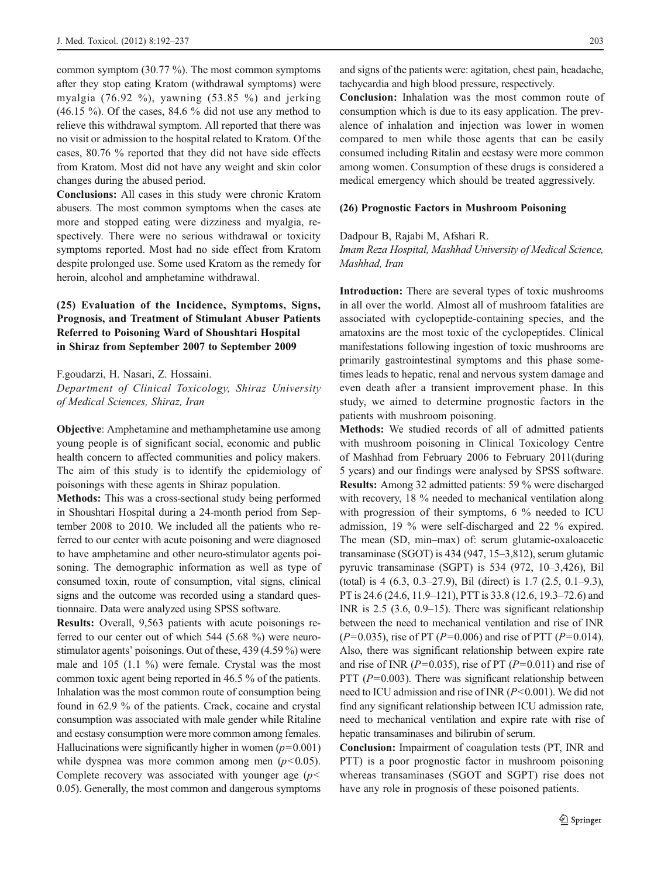common symptom (30.77 %). The most common symptoms after they stop eating Kratom (withdrawal symptoms) were myalgia (76.92 %), yawning (53.85 %) and jerking  $(46.15\%)$ . Of the cases, 84.6 % did not use any method to relieve this withdrawal symptom. All reported that there was no visit or admission to the hospital related to Kratom. Of the cases, 80.76 % reported that they did not have side effects from Kratom. Most did not have any weight and skin color changes during the abused period.

Conclusions: All cases in this study were chronic Kratom abusers. The most common symptoms when the cases ate more and stopped eating were dizziness and myalgia, respectively. There were no serious withdrawal or toxicity symptoms reported. Most had no side effect from Kratom despite prolonged use. Some used Kratom as the remedy for heroin, alcohol and amphetamine withdrawal.

# (25) Evaluation of the Incidence, Symptoms, Signs, Prognosis, and Treatment of Stimulant Abuser Patients Referred to Poisoning Ward of Shoushtari Hospital in Shiraz from September 2007 to September 2009

F.goudarzi, H. Nasari, Z. Hossaini.

Department of Clinical Toxicology, Shiraz University of Medical Sciences, Shiraz, Iran

Objective: Amphetamine and methamphetamine use among young people is of significant social, economic and public health concern to affected communities and policy makers. The aim of this study is to identify the epidemiology of poisonings with these agents in Shiraz population.

Methods: This was a cross-sectional study being performed in Shoushtari Hospital during a 24-month period from September 2008 to 2010. We included all the patients who referred to our center with acute poisoning and were diagnosed to have amphetamine and other neuro-stimulator agents poisoning. The demographic information as well as type of consumed toxin, route of consumption, vital signs, clinical signs and the outcome was recorded using a standard questionnaire. Data were analyzed using SPSS software.

Results: Overall, 9,563 patients with acute poisonings referred to our center out of which 544 (5.68 %) were neurostimulator agents' poisonings. Out of these, 439 (4.59 %) were male and 105 (1.1 %) were female. Crystal was the most common toxic agent being reported in 46.5 % of the patients. Inhalation was the most common route of consumption being found in 62.9 % of the patients. Crack, cocaine and crystal consumption was associated with male gender while Ritaline and ecstasy consumption were more common among females. Hallucinations were significantly higher in women  $(p=0.001)$ while dyspnea was more common among men  $(p<0.05)$ . Complete recovery was associated with younger age  $(p<$ 0.05). Generally, the most common and dangerous symptoms and signs of the patients were: agitation, chest pain, headache, tachycardia and high blood pressure, respectively.

Conclusion: Inhalation was the most common route of consumption which is due to its easy application. The prevalence of inhalation and injection was lower in women compared to men while those agents that can be easily consumed including Ritalin and ecstasy were more common among women. Consumption of these drugs is considered a medical emergency which should be treated aggressively.

#### (26) Prognostic Factors in Mushroom Poisoning

Dadpour B, Rajabi M, Afshari R.

Imam Reza Hospital, Mashhad University of Medical Science, Mashhad, Iran

Introduction: There are several types of toxic mushrooms in all over the world. Almost all of mushroom fatalities are associated with cyclopeptide-containing species, and the amatoxins are the most toxic of the cyclopeptides. Clinical manifestations following ingestion of toxic mushrooms are primarily gastrointestinal symptoms and this phase sometimes leads to hepatic, renal and nervous system damage and even death after a transient improvement phase. In this study, we aimed to determine prognostic factors in the patients with mushroom poisoning.

Methods: We studied records of all of admitted patients with mushroom poisoning in Clinical Toxicology Centre of Mashhad from February 2006 to February 2011(during 5 years) and our findings were analysed by SPSS software. Results: Among 32 admitted patients: 59 % were discharged with recovery, 18 % needed to mechanical ventilation along with progression of their symptoms, 6 % needed to ICU admission, 19 % were self-discharged and 22 % expired. The mean (SD, min–max) of: serum glutamic-oxaloacetic transaminase (SGOT) is 434 (947, 15–3,812), serum glutamic pyruvic transaminase (SGPT) is 534 (972, 10–3,426), Bil (total) is 4 (6.3, 0.3–27.9), Bil (direct) is 1.7 (2.5, 0.1–9.3), PT is 24.6 (24.6, 11.9–121), PTT is 33.8 (12.6, 19.3–72.6) and INR is 2.5 (3.6, 0.9–15). There was significant relationship between the need to mechanical ventilation and rise of INR  $(P=0.035)$ , rise of PT ( $P=0.006$ ) and rise of PTT ( $P=0.014$ ). Also, there was significant relationship between expire rate and rise of INR ( $P=0.035$ ), rise of PT ( $P=0.011$ ) and rise of PTT ( $P=0.003$ ). There was significant relationship between need to ICU admission and rise of INR  $(P<0.001)$ . We did not find any significant relationship between ICU admission rate, need to mechanical ventilation and expire rate with rise of hepatic transaminases and bilirubin of serum.

Conclusion: Impairment of coagulation tests (PT, INR and PTT) is a poor prognostic factor in mushroom poisoning whereas transaminases (SGOT and SGPT) rise does not have any role in prognosis of these poisoned patients.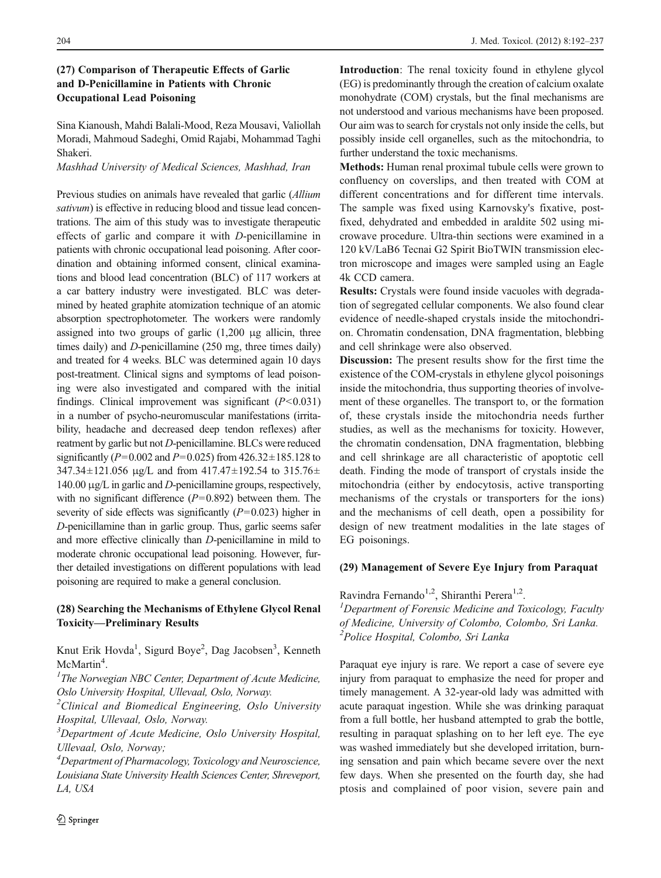# (27) Comparison of Therapeutic Effects of Garlic and D-Penicillamine in Patients with Chronic Occupational Lead Poisoning

Sina Kianoush, Mahdi Balali-Mood, Reza Mousavi, Valiollah Moradi, Mahmoud Sadeghi, Omid Rajabi, Mohammad Taghi Shakeri.

Mashhad University of Medical Sciences, Mashhad, Iran

Previous studies on animals have revealed that garlic (Allium sativum) is effective in reducing blood and tissue lead concentrations. The aim of this study was to investigate therapeutic effects of garlic and compare it with D-penicillamine in patients with chronic occupational lead poisoning. After coordination and obtaining informed consent, clinical examinations and blood lead concentration (BLC) of 117 workers at a car battery industry were investigated. BLC was determined by heated graphite atomization technique of an atomic absorption spectrophotometer. The workers were randomly assigned into two groups of garlic  $(1,200 \mu g)$  allicin, three times daily) and D-penicillamine (250 mg, three times daily) and treated for 4 weeks. BLC was determined again 10 days post-treatment. Clinical signs and symptoms of lead poisoning were also investigated and compared with the initial findings. Clinical improvement was significant  $(P<0.031)$ in a number of psycho-neuromuscular manifestations (irritability, headache and decreased deep tendon reflexes) after reatment by garlic but not D-penicillamine. BLCs were reduced significantly ( $P=0.002$  and  $P=0.025$ ) from  $426.32\pm185.128$  to  $347.34 \pm 121.056$  µg/L and from  $417.47 \pm 192.54$  to  $315.76 \pm 193.56$ 140.00 μg/L in garlic and D-penicillamine groups, respectively, with no significant difference  $(P=0.892)$  between them. The severity of side effects was significantly  $(P=0.023)$  higher in D-penicillamine than in garlic group. Thus, garlic seems safer and more effective clinically than D-penicillamine in mild to moderate chronic occupational lead poisoning. However, further detailed investigations on different populations with lead poisoning are required to make a general conclusion.

# (28) Searching the Mechanisms of Ethylene Glycol Renal Toxicity—Preliminary Results

Knut Erik Hovda<sup>1</sup>, Sigurd Boye<sup>2</sup>, Dag Jacobsen<sup>3</sup>, Kenneth McMartin<sup>4</sup>.<br><sup>1</sup>The Norwa

 $<sup>1</sup>$ The Norwegian NBC Center, Department of Acute Medicine,</sup> Oslo University Hospital, Ullevaal, Oslo, Norway.

<sup>2</sup>Clinical and Biomedical Engineering, Oslo University Hospital, Ullevaal, Oslo, Norway.

<sup>3</sup>Department of Acute Medicine, Oslo University Hospital, Ullevaal, Oslo, Norway;

4 Department of Pharmacology, Toxicology and Neuroscience, Louisiana State University Health Sciences Center, Shreveport, LA, USA

Introduction: The renal toxicity found in ethylene glycol (EG) is predominantly through the creation of calcium oxalate monohydrate (COM) crystals, but the final mechanisms are not understood and various mechanisms have been proposed. Our aim was to search for crystals not only inside the cells, but possibly inside cell organelles, such as the mitochondria, to further understand the toxic mechanisms.

Methods: Human renal proximal tubule cells were grown to confluency on coverslips, and then treated with COM at different concentrations and for different time intervals. The sample was fixed using Karnovsky's fixative, postfixed, dehydrated and embedded in araldite 502 using microwave procedure. Ultra-thin sections were examined in a 120 kV/LaB6 Tecnai G2 Spirit BioTWIN transmission electron microscope and images were sampled using an Eagle 4k CCD camera.

Results: Crystals were found inside vacuoles with degradation of segregated cellular components. We also found clear evidence of needle-shaped crystals inside the mitochondrion. Chromatin condensation, DNA fragmentation, blebbing and cell shrinkage were also observed.

Discussion: The present results show for the first time the existence of the COM-crystals in ethylene glycol poisonings inside the mitochondria, thus supporting theories of involvement of these organelles. The transport to, or the formation of, these crystals inside the mitochondria needs further studies, as well as the mechanisms for toxicity. However, the chromatin condensation, DNA fragmentation, blebbing and cell shrinkage are all characteristic of apoptotic cell death. Finding the mode of transport of crystals inside the mitochondria (either by endocytosis, active transporting mechanisms of the crystals or transporters for the ions) and the mechanisms of cell death, open a possibility for design of new treatment modalities in the late stages of EG poisonings.

#### (29) Management of Severe Eye Injury from Paraquat

Ravindra Fernando<sup>1,2</sup>, Shiranthi Perera<sup>1,2</sup>.  ${}^{1}$ Department of Forensic Medicine and Toxicology, Faculty of Medicine, University of Colombo, Colombo, Sri Lanka. <sup>2</sup>Police Hospital, Colombo, Sri Lanka

Paraquat eye injury is rare. We report a case of severe eye injury from paraquat to emphasize the need for proper and timely management. A 32-year-old lady was admitted with acute paraquat ingestion. While she was drinking paraquat from a full bottle, her husband attempted to grab the bottle, resulting in paraquat splashing on to her left eye. The eye was washed immediately but she developed irritation, burning sensation and pain which became severe over the next few days. When she presented on the fourth day, she had ptosis and complained of poor vision, severe pain and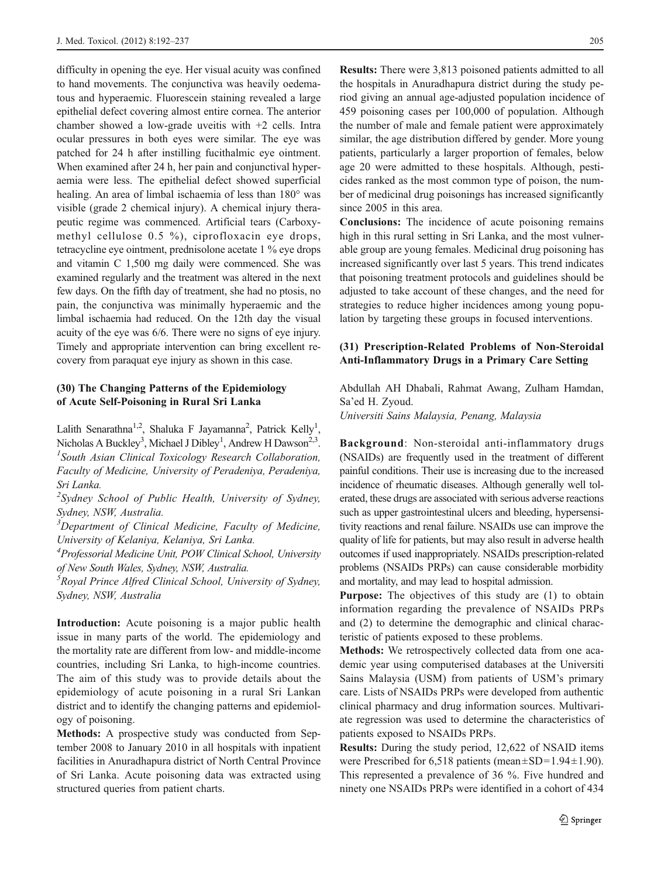difficulty in opening the eye. Her visual acuity was confined to hand movements. The conjunctiva was heavily oedematous and hyperaemic. Fluorescein staining revealed a large epithelial defect covering almost entire cornea. The anterior chamber showed a low-grade uveitis with +2 cells. Intra ocular pressures in both eyes were similar. The eye was patched for 24 h after instilling fucithalmic eye ointment. When examined after 24 h, her pain and conjunctival hyperaemia were less. The epithelial defect showed superficial healing. An area of limbal ischaemia of less than 180° was visible (grade 2 chemical injury). A chemical injury therapeutic regime was commenced. Artificial tears (Carboxymethyl cellulose 0.5 %), ciprofloxacin eye drops, tetracycline eye ointment, prednisolone acetate 1 % eye drops and vitamin C 1,500 mg daily were commenced. She was examined regularly and the treatment was altered in the next few days. On the fifth day of treatment, she had no ptosis, no pain, the conjunctiva was minimally hyperaemic and the limbal ischaemia had reduced. On the 12th day the visual acuity of the eye was 6/6. There were no signs of eye injury. Timely and appropriate intervention can bring excellent recovery from paraquat eye injury as shown in this case.

#### (30) The Changing Patterns of the Epidemiology of Acute Self-Poisoning in Rural Sri Lanka

Lalith Senarathna<sup>1,2</sup>, Shaluka F Jayamanna<sup>2</sup>, Patrick Kelly<sup>1</sup>, Nicholas A Buckley<sup>3</sup>, Michael J Dibley<sup>1</sup>, Andrew H Dawson<sup>2,3</sup>.<br><sup>1</sup> South Asian Clinical Toxicology Research Collaboration.  $<sup>I</sup>$ South Asian Clinical Toxicology Research Collaboration,</sup> Faculty of Medicine, University of Peradeniya, Peradeniya, Sri Lanka.

<sup>2</sup>Sydney School of Public Health, University of Sydney, Sydney, NSW, Australia.

 $3$ Department of Clinical Medicine, Faculty of Medicine, University of Kelaniya, Kelaniya, Sri Lanka.

<sup>4</sup> Professorial Medicine Unit, POW Clinical School, University of New South Wales, Sydney, NSW, Australia.

<sup>5</sup> Royal Prince Alfred Clinical School, University of Sydney, Sydney, NSW, Australia

Introduction: Acute poisoning is a major public health issue in many parts of the world. The epidemiology and the mortality rate are different from low- and middle-income countries, including Sri Lanka, to high-income countries. The aim of this study was to provide details about the epidemiology of acute poisoning in a rural Sri Lankan district and to identify the changing patterns and epidemiology of poisoning.

Methods: A prospective study was conducted from September 2008 to January 2010 in all hospitals with inpatient facilities in Anuradhapura district of North Central Province of Sri Lanka. Acute poisoning data was extracted using structured queries from patient charts.

Results: There were 3,813 poisoned patients admitted to all the hospitals in Anuradhapura district during the study period giving an annual age-adjusted population incidence of 459 poisoning cases per 100,000 of population. Although the number of male and female patient were approximately similar, the age distribution differed by gender. More young patients, particularly a larger proportion of females, below age 20 were admitted to these hospitals. Although, pesticides ranked as the most common type of poison, the number of medicinal drug poisonings has increased significantly since 2005 in this area.

Conclusions: The incidence of acute poisoning remains high in this rural setting in Sri Lanka, and the most vulnerable group are young females. Medicinal drug poisoning has increased significantly over last 5 years. This trend indicates that poisoning treatment protocols and guidelines should be adjusted to take account of these changes, and the need for strategies to reduce higher incidences among young population by targeting these groups in focused interventions.

#### (31) Prescription-Related Problems of Non-Steroidal Anti-Inflammatory Drugs in a Primary Care Setting

Abdullah AH Dhabali, Rahmat Awang, Zulham Hamdan, Sa'ed H. Zyoud. Universiti Sains Malaysia, Penang, Malaysia

Background: Non-steroidal anti-inflammatory drugs (NSAIDs) are frequently used in the treatment of different painful conditions. Their use is increasing due to the increased incidence of rheumatic diseases. Although generally well tolerated, these drugs are associated with serious adverse reactions such as upper gastrointestinal ulcers and bleeding, hypersensitivity reactions and renal failure. NSAIDs use can improve the quality of life for patients, but may also result in adverse health outcomes if used inappropriately. NSAIDs prescription-related problems (NSAIDs PRPs) can cause considerable morbidity and mortality, and may lead to hospital admission.

Purpose: The objectives of this study are (1) to obtain information regarding the prevalence of NSAIDs PRPs and (2) to determine the demographic and clinical characteristic of patients exposed to these problems.

Methods: We retrospectively collected data from one academic year using computerised databases at the Universiti Sains Malaysia (USM) from patients of USM's primary care. Lists of NSAIDs PRPs were developed from authentic clinical pharmacy and drug information sources. Multivariate regression was used to determine the characteristics of patients exposed to NSAIDs PRPs.

Results: During the study period, 12,622 of NSAID items were Prescribed for  $6,518$  patients (mean $\pm$ SD=1.94 $\pm$ 1.90). This represented a prevalence of 36 %. Five hundred and ninety one NSAIDs PRPs were identified in a cohort of 434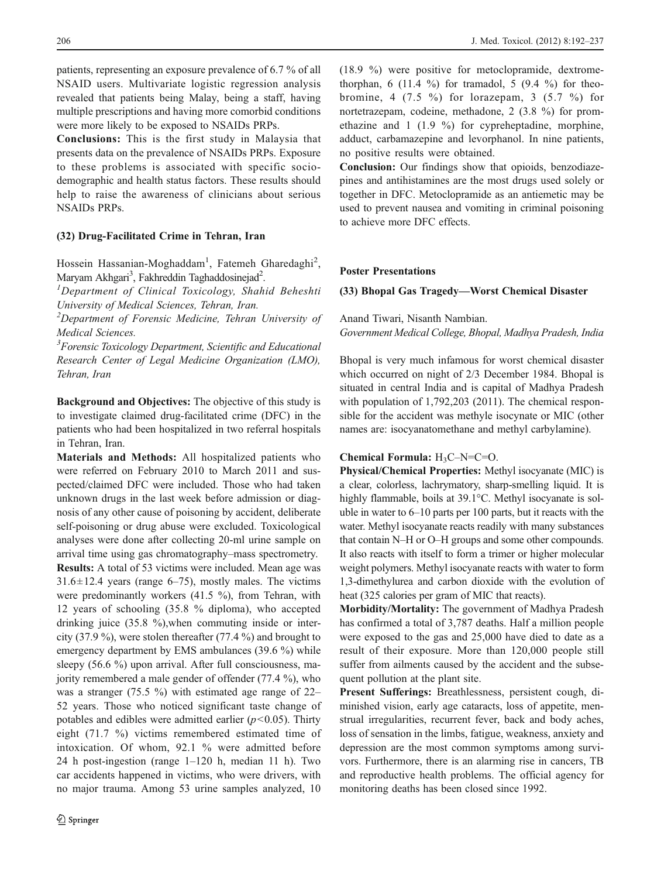patients, representing an exposure prevalence of 6.7 % of all NSAID users. Multivariate logistic regression analysis revealed that patients being Malay, being a staff, having multiple prescriptions and having more comorbid conditions were more likely to be exposed to NSAIDs PRPs.

Conclusions: This is the first study in Malaysia that presents data on the prevalence of NSAIDs PRPs. Exposure to these problems is associated with specific sociodemographic and health status factors. These results should help to raise the awareness of clinicians about serious NSAIDs PRPs.

#### (32) Drug-Facilitated Crime in Tehran, Iran

Hossein Hassanian-Moghaddam<sup>1</sup>, Fatemeh Gharedaghi<sup>2</sup>, Maryam Akhgari<sup>3</sup>, Fakhreddin Taghaddosinejad<sup>2</sup>.<br><sup>1</sup> Dengrtmant of Clinical Toxicology, Shah

 ${}^{1}$ Department of Clinical Toxicology, Shahid Beheshti University of Medical Sciences, Tehran, Iran.

<sup>2</sup>Department of Forensic Medicine, Tehran University of Medical Sciences.

<sup>3</sup>Forensic Toxicology Department, Scientific and Educational Research Center of Legal Medicine Organization (LMO), Tehran, Iran

Background and Objectives: The objective of this study is to investigate claimed drug-facilitated crime (DFC) in the patients who had been hospitalized in two referral hospitals in Tehran, Iran.

Materials and Methods: All hospitalized patients who were referred on February 2010 to March 2011 and suspected/claimed DFC were included. Those who had taken unknown drugs in the last week before admission or diagnosis of any other cause of poisoning by accident, deliberate self-poisoning or drug abuse were excluded. Toxicological analyses were done after collecting 20-ml urine sample on arrival time using gas chromatography–mass spectrometry. Results: A total of 53 victims were included. Mean age was  $31.6 \pm 12.4$  years (range 6–75), mostly males. The victims were predominantly workers (41.5 %), from Tehran, with 12 years of schooling (35.8 % diploma), who accepted drinking juice (35.8 %),when commuting inside or intercity (37.9 %), were stolen thereafter (77.4 %) and brought to emergency department by EMS ambulances (39.6 %) while sleepy (56.6 %) upon arrival. After full consciousness, majority remembered a male gender of offender (77.4 %), who was a stranger (75.5 %) with estimated age range of 22– 52 years. Those who noticed significant taste change of potables and edibles were admitted earlier  $(p<0.05)$ . Thirty eight (71.7 %) victims remembered estimated time of intoxication. Of whom, 92.1 % were admitted before 24 h post-ingestion (range 1–120 h, median 11 h). Two car accidents happened in victims, who were drivers, with no major trauma. Among 53 urine samples analyzed, 10

(18.9 %) were positive for metoclopramide, dextromethorphan, 6 (11.4 %) for tramadol, 5 (9.4 %) for theobromine, 4 (7.5 %) for lorazepam, 3 (5.7 %) for nortetrazepam, codeine, methadone, 2 (3.8 %) for promethazine and 1 (1.9 %) for cypreheptadine, morphine, adduct, carbamazepine and levorphanol. In nine patients, no positive results were obtained.

Conclusion: Our findings show that opioids, benzodiazepines and antihistamines are the most drugs used solely or together in DFC. Metoclopramide as an antiemetic may be used to prevent nausea and vomiting in criminal poisoning to achieve more DFC effects.

#### Poster Presentations

#### (33) Bhopal Gas Tragedy—Worst Chemical Disaster

Anand Tiwari, Nisanth Nambian. Government Medical College, Bhopal, Madhya Pradesh, India

Bhopal is very much infamous for worst chemical disaster which occurred on night of 2/3 December 1984. Bhopal is situated in central India and is capital of Madhya Pradesh with population of 1,792,203 (2011). The chemical responsible for the accident was methyle isocynate or MIC (other names are: isocyanatomethane and methyl carbylamine).

#### Chemical Formula:  $H_3C-N=C=0$ .

Physical/Chemical Properties: Methyl isocyanate (MIC) is a clear, colorless, lachrymatory, sharp-smelling liquid. It is highly flammable, boils at 39.1°C. Methyl isocyanate is soluble in water to 6–10 parts per 100 parts, but it reacts with the water. Methyl isocyanate reacts readily with many substances that contain N–H or O–H groups and some other compounds. It also reacts with itself to form a trimer or higher molecular weight polymers. Methyl isocyanate reacts with water to form 1,3-dimethylurea and carbon dioxide with the evolution of heat (325 calories per gram of MIC that reacts).

Morbidity/Mortality: The government of Madhya Pradesh has confirmed a total of 3,787 deaths. Half a million people were exposed to the gas and 25,000 have died to date as a result of their exposure. More than 120,000 people still suffer from ailments caused by the accident and the subsequent pollution at the plant site.

Present Sufferings: Breathlessness, persistent cough, diminished vision, early age cataracts, loss of appetite, menstrual irregularities, recurrent fever, back and body aches, loss of sensation in the limbs, fatigue, weakness, anxiety and depression are the most common symptoms among survivors. Furthermore, there is an alarming rise in cancers, TB and reproductive health problems. The official agency for monitoring deaths has been closed since 1992.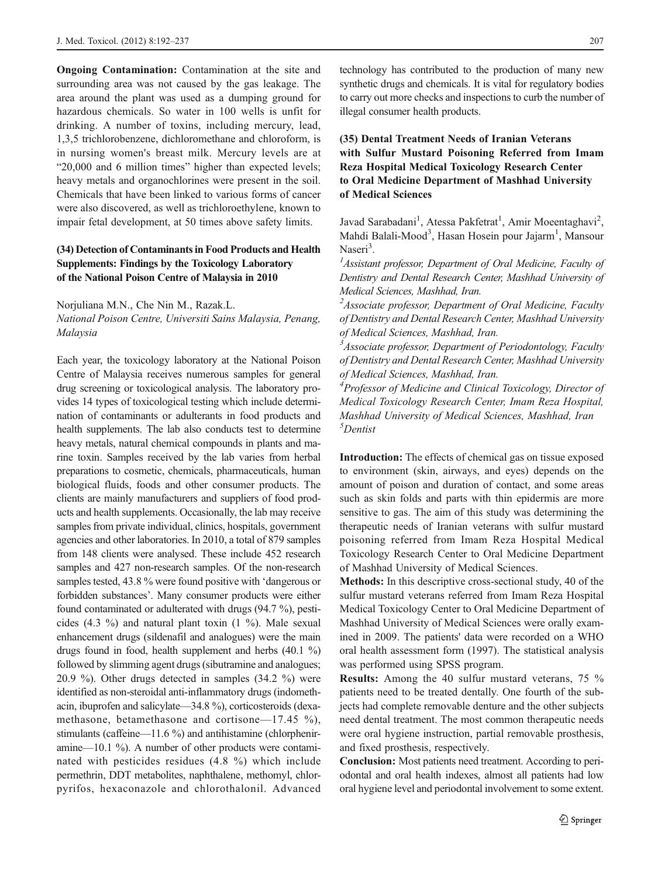Ongoing Contamination: Contamination at the site and surrounding area was not caused by the gas leakage. The area around the plant was used as a dumping ground for hazardous chemicals. So water in 100 wells is unfit for drinking. A number of toxins, including mercury, lead, 1,3,5 trichlorobenzene, dichloromethane and chloroform, is in nursing women's breast milk. Mercury levels are at "20,000 and 6 million times" higher than expected levels; heavy metals and organochlorines were present in the soil. Chemicals that have been linked to various forms of cancer were also discovered, as well as trichloroethylene, known to impair fetal development, at 50 times above safety limits.

# (34) Detection of Contaminants in Food Products and Health Supplements: Findings by the Toxicology Laboratory of the National Poison Centre of Malaysia in 2010

Norjuliana M.N., Che Nin M., Razak.L. National Poison Centre, Universiti Sains Malaysia, Penang, Malaysia

Each year, the toxicology laboratory at the National Poison Centre of Malaysia receives numerous samples for general drug screening or toxicological analysis. The laboratory provides 14 types of toxicological testing which include determination of contaminants or adulterants in food products and health supplements. The lab also conducts test to determine heavy metals, natural chemical compounds in plants and marine toxin. Samples received by the lab varies from herbal preparations to cosmetic, chemicals, pharmaceuticals, human biological fluids, foods and other consumer products. The clients are mainly manufacturers and suppliers of food products and health supplements. Occasionally, the lab may receive samples from private individual, clinics, hospitals, government agencies and other laboratories. In 2010, a total of 879 samples from 148 clients were analysed. These include 452 research samples and 427 non-research samples. Of the non-research samples tested, 43.8 % were found positive with 'dangerous or forbidden substances'. Many consumer products were either found contaminated or adulterated with drugs (94.7 %), pesticides (4.3 %) and natural plant toxin (1 %). Male sexual enhancement drugs (sildenafil and analogues) were the main drugs found in food, health supplement and herbs (40.1 %) followed by slimming agent drugs (sibutramine and analogues; 20.9 %). Other drugs detected in samples (34.2 %) were identified as non-steroidal anti-inflammatory drugs (indomethacin, ibuprofen and salicylate—34.8 %), corticosteroids (dexamethasone, betamethasone and cortisone—17.45 %), stimulants (caffeine—11.6 %) and antihistamine (chlorpheniramine—10.1 %). A number of other products were contaminated with pesticides residues (4.8 %) which include permethrin, DDT metabolites, naphthalene, methomyl, chlorpyrifos, hexaconazole and chlorothalonil. Advanced

technology has contributed to the production of many new synthetic drugs and chemicals. It is vital for regulatory bodies to carry out more checks and inspections to curb the number of illegal consumer health products.

# (35) Dental Treatment Needs of Iranian Veterans with Sulfur Mustard Poisoning Referred from Imam Reza Hospital Medical Toxicology Research Center to Oral Medicine Department of Mashhad University of Medical Sciences

Javad Sarabadani<sup>1</sup>, Atessa Pakfetrat<sup>1</sup>, Amir Moeentaghavi<sup>2</sup>, Mahdi Balali-Mood<sup>3</sup>, Hasan Hosein pour Jajarm<sup>1</sup>, Mansour Naseri<sup>3</sup>.

 $A$ ssistant professor, Department of Oral Medicine, Faculty of Dentistry and Dental Research Center, Mashhad University of Medical Sciences, Mashhad, Iran.

<sup>2</sup> Associate professor, Department of Oral Medicine, Faculty of Dentistry and Dental Research Center, Mashhad University of Medical Sciences, Mashhad, Iran.

<sup>3</sup> Associate professor, Department of Periodontology, Faculty of Dentistry and Dental Research Center, Mashhad University of Medical Sciences, Mashhad, Iran.

<sup>4</sup>Professor of Medicine and Clinical Toxicology, Director of Medical Toxicology Research Center, Imam Reza Hospital, Mashhad University of Medical Sciences, Mashhad, Iran 5 Dentist

Introduction: The effects of chemical gas on tissue exposed to environment (skin, airways, and eyes) depends on the amount of poison and duration of contact, and some areas such as skin folds and parts with thin epidermis are more sensitive to gas. The aim of this study was determining the therapeutic needs of Iranian veterans with sulfur mustard poisoning referred from Imam Reza Hospital Medical Toxicology Research Center to Oral Medicine Department of Mashhad University of Medical Sciences.

Methods: In this descriptive cross-sectional study, 40 of the sulfur mustard veterans referred from Imam Reza Hospital Medical Toxicology Center to Oral Medicine Department of Mashhad University of Medical Sciences were orally examined in 2009. The patients' data were recorded on a WHO oral health assessment form (1997). The statistical analysis was performed using SPSS program.

Results: Among the 40 sulfur mustard veterans, 75 % patients need to be treated dentally. One fourth of the subjects had complete removable denture and the other subjects need dental treatment. The most common therapeutic needs were oral hygiene instruction, partial removable prosthesis, and fixed prosthesis, respectively.

Conclusion: Most patients need treatment. According to periodontal and oral health indexes, almost all patients had low oral hygiene level and periodontal involvement to some extent.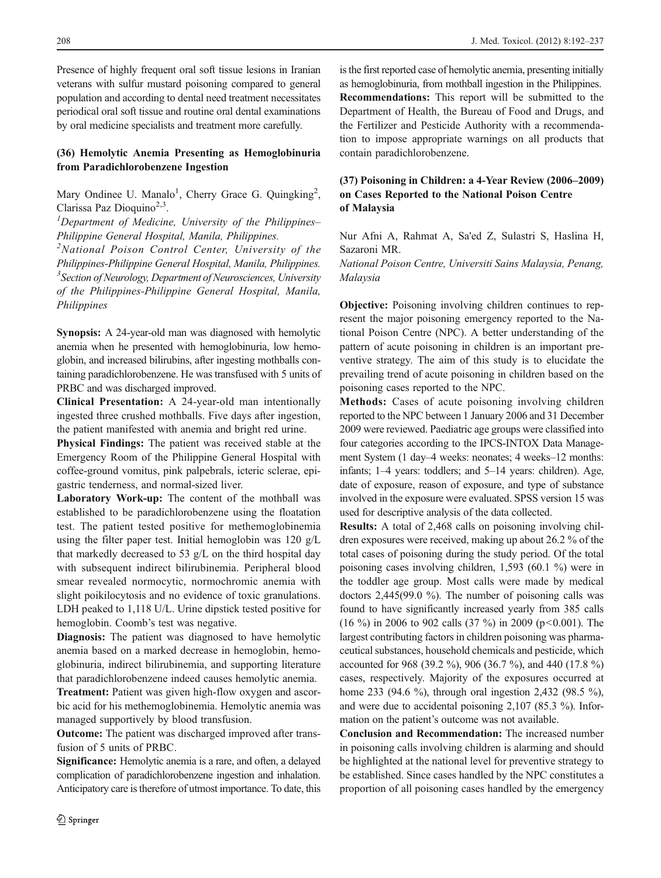Presence of highly frequent oral soft tissue lesions in Iranian veterans with sulfur mustard poisoning compared to general population and according to dental need treatment necessitates periodical oral soft tissue and routine oral dental examinations by oral medicine specialists and treatment more carefully.

# (36) Hemolytic Anemia Presenting as Hemoglobinuria from Paradichlorobenzene Ingestion

Mary Ondinee U. Manalo<sup>1</sup>, Cherry Grace G. Quingking<sup>2</sup>, Clarissa Paz Dioquino<sup>2,3</sup>.

 ${}^{1}$ Department of Medicine, University of the Philippines-Philippine General Hospital, Manila, Philippines.

<sup>2</sup>National Poison Control Center, University of the Philippines-Philippine General Hospital, Manila, Philippines. <sup>3</sup> Section of Neurology, Department of Neurosciences, University of the Philippines-Philippine General Hospital, Manila, Philippines

Synopsis: A 24-year-old man was diagnosed with hemolytic anemia when he presented with hemoglobinuria, low hemoglobin, and increased bilirubins, after ingesting mothballs containing paradichlorobenzene. He was transfused with 5 units of PRBC and was discharged improved.

Clinical Presentation: A 24-year-old man intentionally ingested three crushed mothballs. Five days after ingestion, the patient manifested with anemia and bright red urine.

Physical Findings: The patient was received stable at the Emergency Room of the Philippine General Hospital with coffee-ground vomitus, pink palpebrals, icteric sclerae, epigastric tenderness, and normal-sized liver.

Laboratory Work-up: The content of the mothball was established to be paradichlorobenzene using the floatation test. The patient tested positive for methemoglobinemia using the filter paper test. Initial hemoglobin was 120 g/L that markedly decreased to 53 g/L on the third hospital day with subsequent indirect bilirubinemia. Peripheral blood smear revealed normocytic, normochromic anemia with slight poikilocytosis and no evidence of toxic granulations. LDH peaked to 1,118 U/L. Urine dipstick tested positive for hemoglobin. Coomb's test was negative.

Diagnosis: The patient was diagnosed to have hemolytic anemia based on a marked decrease in hemoglobin, hemoglobinuria, indirect bilirubinemia, and supporting literature that paradichlorobenzene indeed causes hemolytic anemia.

Treatment: Patient was given high-flow oxygen and ascorbic acid for his methemoglobinemia. Hemolytic anemia was managed supportively by blood transfusion.

Outcome: The patient was discharged improved after transfusion of 5 units of PRBC.

Significance: Hemolytic anemia is a rare, and often, a delayed complication of paradichlorobenzene ingestion and inhalation. Anticipatory care is therefore of utmost importance. To date, this is the first reported case of hemolytic anemia, presenting initially as hemoglobinuria, from mothball ingestion in the Philippines. Recommendations: This report will be submitted to the Department of Health, the Bureau of Food and Drugs, and the Fertilizer and Pesticide Authority with a recommendation to impose appropriate warnings on all products that contain paradichlorobenzene.

# (37) Poisoning in Children: a 4-Year Review (2006–2009) on Cases Reported to the National Poison Centre of Malaysia

Nur Afni A, Rahmat A, Sa'ed Z, Sulastri S, Haslina H, Sazaroni MR.

National Poison Centre, Universiti Sains Malaysia, Penang, Malaysia

Objective: Poisoning involving children continues to represent the major poisoning emergency reported to the National Poison Centre (NPC). A better understanding of the pattern of acute poisoning in children is an important preventive strategy. The aim of this study is to elucidate the prevailing trend of acute poisoning in children based on the poisoning cases reported to the NPC.

Methods: Cases of acute poisoning involving children reported to the NPC between 1 January 2006 and 31 December 2009 were reviewed. Paediatric age groups were classified into four categories according to the IPCS-INTOX Data Management System (1 day–4 weeks: neonates; 4 weeks–12 months: infants; 1–4 years: toddlers; and 5–14 years: children). Age, date of exposure, reason of exposure, and type of substance involved in the exposure were evaluated. SPSS version 15 was used for descriptive analysis of the data collected.

Results: A total of 2,468 calls on poisoning involving children exposures were received, making up about 26.2 % of the total cases of poisoning during the study period. Of the total poisoning cases involving children, 1,593 (60.1 %) were in the toddler age group. Most calls were made by medical doctors 2,445(99.0 %). The number of poisoning calls was found to have significantly increased yearly from 385 calls (16 %) in 2006 to 902 calls (37 %) in 2009 (p<0.001). The largest contributing factors in children poisoning was pharmaceutical substances, household chemicals and pesticide, which accounted for 968 (39.2 %), 906 (36.7 %), and 440 (17.8 %) cases, respectively. Majority of the exposures occurred at home 233 (94.6 %), through oral ingestion 2,432 (98.5 %), and were due to accidental poisoning 2,107 (85.3 %). Information on the patient's outcome was not available.

Conclusion and Recommendation: The increased number in poisoning calls involving children is alarming and should be highlighted at the national level for preventive strategy to be established. Since cases handled by the NPC constitutes a proportion of all poisoning cases handled by the emergency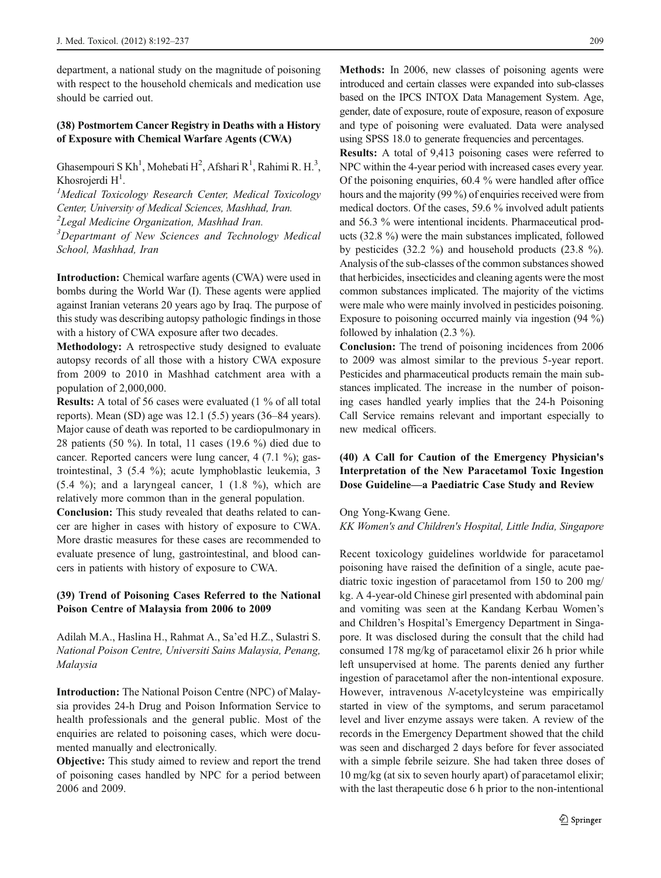department, a national study on the magnitude of poisoning with respect to the household chemicals and medication use should be carried out.

## (38) Postmortem Cancer Registry in Deaths with a History of Exposure with Chemical Warfare Agents (CWA)

Ghasempouri S Kh<sup>1</sup>, Mohebati H<sup>2</sup>, Afshari R<sup>1</sup>, Rahimi R. H.<sup>3</sup>, Khosrojerdi  $H^1$ .<br><sup>1</sup>Mediaal Toxia

<sup>1</sup>Medical Toxicology Research Center, Medical Toxicology Center, University of Medical Sciences, Mashhad, Iran.

 $2$ Legal Medicine Organization, Mashhad Iran.

<sup>3</sup>Departmant of New Sciences and Technology Medical School, Mashhad, Iran

Introduction: Chemical warfare agents (CWA) were used in bombs during the World War (I). These agents were applied against Iranian veterans 20 years ago by Iraq. The purpose of this study was describing autopsy pathologic findings in those with a history of CWA exposure after two decades.

Methodology: A retrospective study designed to evaluate autopsy records of all those with a history CWA exposure from 2009 to 2010 in Mashhad catchment area with a population of 2,000,000.

Results: A total of 56 cases were evaluated (1 % of all total reports). Mean (SD) age was 12.1 (5.5) years (36–84 years). Major cause of death was reported to be cardiopulmonary in 28 patients (50 %). In total, 11 cases (19.6 %) died due to cancer. Reported cancers were lung cancer, 4 (7.1 %); gastrointestinal, 3 (5.4 %); acute lymphoblastic leukemia, 3  $(5.4 \%)$ ; and a laryngeal cancer, 1  $(1.8 \%)$ , which are relatively more common than in the general population.

Conclusion: This study revealed that deaths related to cancer are higher in cases with history of exposure to CWA. More drastic measures for these cases are recommended to evaluate presence of lung, gastrointestinal, and blood cancers in patients with history of exposure to CWA.

#### (39) Trend of Poisoning Cases Referred to the National Poison Centre of Malaysia from 2006 to 2009

Adilah M.A., Haslina H., Rahmat A., Sa'ed H.Z., Sulastri S. National Poison Centre, Universiti Sains Malaysia, Penang, Malaysia

Introduction: The National Poison Centre (NPC) of Malaysia provides 24-h Drug and Poison Information Service to health professionals and the general public. Most of the enquiries are related to poisoning cases, which were documented manually and electronically.

Objective: This study aimed to review and report the trend of poisoning cases handled by NPC for a period between 2006 and 2009.

Methods: In 2006, new classes of poisoning agents were introduced and certain classes were expanded into sub-classes based on the IPCS INTOX Data Management System. Age, gender, date of exposure, route of exposure, reason of exposure and type of poisoning were evaluated. Data were analysed using SPSS 18.0 to generate frequencies and percentages.

Results: A total of 9,413 poisoning cases were referred to NPC within the 4-year period with increased cases every year. Of the poisoning enquiries, 60.4 % were handled after office hours and the majority (99 %) of enquiries received were from medical doctors. Of the cases, 59.6 % involved adult patients and 56.3 % were intentional incidents. Pharmaceutical products (32.8 %) were the main substances implicated, followed by pesticides (32.2 %) and household products (23.8 %). Analysis of the sub-classes of the common substances showed that herbicides, insecticides and cleaning agents were the most common substances implicated. The majority of the victims were male who were mainly involved in pesticides poisoning. Exposure to poisoning occurred mainly via ingestion (94 %) followed by inhalation (2.3 %).

Conclusion: The trend of poisoning incidences from 2006 to 2009 was almost similar to the previous 5-year report. Pesticides and pharmaceutical products remain the main substances implicated. The increase in the number of poisoning cases handled yearly implies that the 24-h Poisoning Call Service remains relevant and important especially to new medical officers.

# (40) A Call for Caution of the Emergency Physician's Interpretation of the New Paracetamol Toxic Ingestion Dose Guideline—a Paediatric Case Study and Review

#### Ong Yong-Kwang Gene.

KK Women's and Children's Hospital, Little India, Singapore

Recent toxicology guidelines worldwide for paracetamol poisoning have raised the definition of a single, acute paediatric toxic ingestion of paracetamol from 150 to 200 mg/ kg. A 4-year-old Chinese girl presented with abdominal pain and vomiting was seen at the Kandang Kerbau Women's and Children's Hospital's Emergency Department in Singapore. It was disclosed during the consult that the child had consumed 178 mg/kg of paracetamol elixir 26 h prior while left unsupervised at home. The parents denied any further ingestion of paracetamol after the non-intentional exposure. However, intravenous N-acetylcysteine was empirically started in view of the symptoms, and serum paracetamol level and liver enzyme assays were taken. A review of the records in the Emergency Department showed that the child was seen and discharged 2 days before for fever associated with a simple febrile seizure. She had taken three doses of 10 mg/kg (at six to seven hourly apart) of paracetamol elixir; with the last therapeutic dose 6 h prior to the non-intentional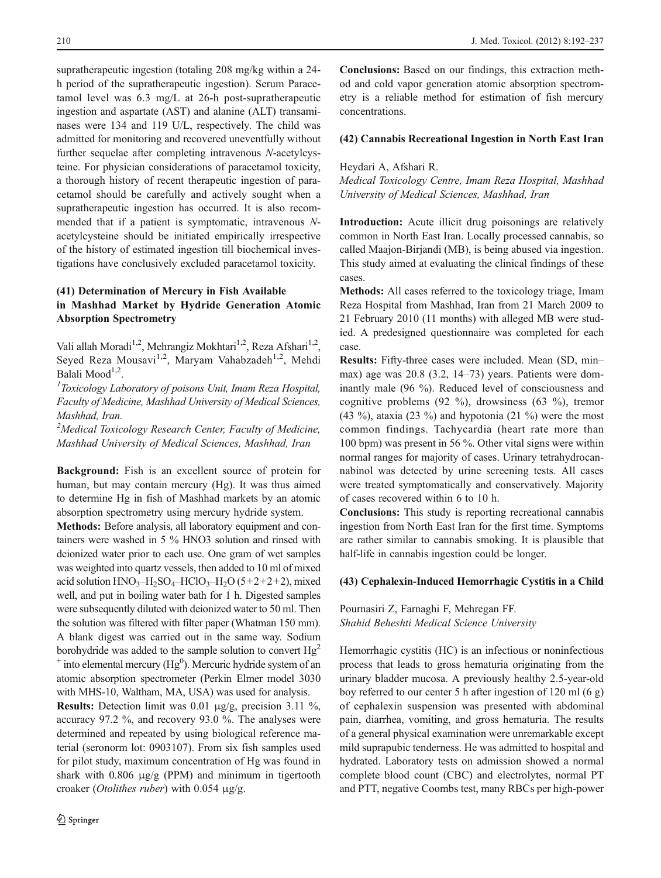supratherapeutic ingestion (totaling 208 mg/kg within a 24 h period of the supratherapeutic ingestion). Serum Paracetamol level was 6.3 mg/L at 26-h post-supratherapeutic ingestion and aspartate (AST) and alanine (ALT) transaminases were 134 and 119 U/L, respectively. The child was admitted for monitoring and recovered uneventfully without further sequelae after completing intravenous N-acetylcysteine. For physician considerations of paracetamol toxicity, a thorough history of recent therapeutic ingestion of paracetamol should be carefully and actively sought when a supratherapeutic ingestion has occurred. It is also recommended that if a patient is symptomatic, intravenous Nacetylcysteine should be initiated empirically irrespective of the history of estimated ingestion till biochemical investigations have conclusively excluded paracetamol toxicity.

# (41) Determination of Mercury in Fish Available in Mashhad Market by Hydride Generation Atomic Absorption Spectrometry

Vali allah Moradi<sup>1,2</sup>, Mehrangiz Mokhtari<sup>1,2</sup>, Reza Afshari<sup>1,2</sup>, Seyed Reza Mousavi<sup>1,2</sup>, Maryam Vahabzadeh<sup>1,2</sup>, Mehdi Balali Mood $1,2$ .

 ${}^{1}$ Toxicology Laboratory of poisons Unit, Imam Reza Hospital, Faculty of Medicine, Mashhad University of Medical Sciences, Mashhad, Iran.

<sup>2</sup>Medical Toxicology Research Center, Faculty of Medicine, Mashhad University of Medical Sciences, Mashhad, Iran

Background: Fish is an excellent source of protein for human, but may contain mercury (Hg). It was thus aimed to determine Hg in fish of Mashhad markets by an atomic absorption spectrometry using mercury hydride system.

Methods: Before analysis, all laboratory equipment and containers were washed in 5 % HNO3 solution and rinsed with deionized water prior to each use. One gram of wet samples was weighted into quartz vessels, then added to 10 ml of mixed acid solution  $HNO<sub>3</sub>-H<sub>2</sub>SO<sub>4</sub>-HClO<sub>3</sub>-H<sub>2</sub>O (5+2+2+2)$ , mixed well, and put in boiling water bath for 1 h. Digested samples were subsequently diluted with deionized water to 50 ml. Then the solution was filtered with filter paper (Whatman 150 mm). A blank digest was carried out in the same way. Sodium borohydride was added to the sample solution to convert  $Hg<sup>2</sup>$  $^+$  into elemental mercury (Hg<sup>0</sup>). Mercuric hydride system of an atomic absorption spectrometer (Perkin Elmer model 3030 with MHS-10, Waltham, MA, USA) was used for analysis.

Results: Detection limit was 0.01  $\mu$ g/g, precision 3.11 %, accuracy 97.2 %, and recovery 93.0 %. The analyses were determined and repeated by using biological reference material (seronorm lot: 0903107). From six fish samples used for pilot study, maximum concentration of Hg was found in shark with  $0.806 \mu g/g$  (PPM) and minimum in tigertooth croaker (Otolithes ruber) with 0.054 μg/g.

Conclusions: Based on our findings, this extraction method and cold vapor generation atomic absorption spectrometry is a reliable method for estimation of fish mercury concentrations.

#### (42) Cannabis Recreational Ingestion in North East Iran

#### Heydari A, Afshari R.

Medical Toxicology Centre, Imam Reza Hospital, Mashhad University of Medical Sciences, Mashhad, Iran

Introduction: Acute illicit drug poisonings are relatively common in North East Iran. Locally processed cannabis, so called Maajon-Birjandi (MB), is being abused via ingestion. This study aimed at evaluating the clinical findings of these cases.

Methods: All cases referred to the toxicology triage, Imam Reza Hospital from Mashhad, Iran from 21 March 2009 to 21 February 2010 (11 months) with alleged MB were studied. A predesigned questionnaire was completed for each case.

Results: Fifty-three cases were included. Mean (SD, min– max) age was 20.8 (3.2, 14–73) years. Patients were dominantly male (96 %). Reduced level of consciousness and cognitive problems (92 %), drowsiness (63 %), tremor (43 %), ataxia (23 %) and hypotonia (21 %) were the most common findings. Tachycardia (heart rate more than 100 bpm) was present in 56 %. Other vital signs were within normal ranges for majority of cases. Urinary tetrahydrocannabinol was detected by urine screening tests. All cases were treated symptomatically and conservatively. Majority of cases recovered within 6 to 10 h.

Conclusions: This study is reporting recreational cannabis ingestion from North East Iran for the first time. Symptoms are rather similar to cannabis smoking. It is plausible that half-life in cannabis ingestion could be longer.

#### (43) Cephalexin-Induced Hemorrhagic Cystitis in a Child

Pournasiri Z, Farnaghi F, Mehregan FF. Shahid Beheshti Medical Science University

Hemorrhagic cystitis (HC) is an infectious or noninfectious process that leads to gross hematuria originating from the urinary bladder mucosa. A previously healthy 2.5-year-old boy referred to our center 5 h after ingestion of 120 ml (6 g) of cephalexin suspension was presented with abdominal pain, diarrhea, vomiting, and gross hematuria. The results of a general physical examination were unremarkable except mild suprapubic tenderness. He was admitted to hospital and hydrated. Laboratory tests on admission showed a normal complete blood count (CBC) and electrolytes, normal PT and PTT, negative Coombs test, many RBCs per high-power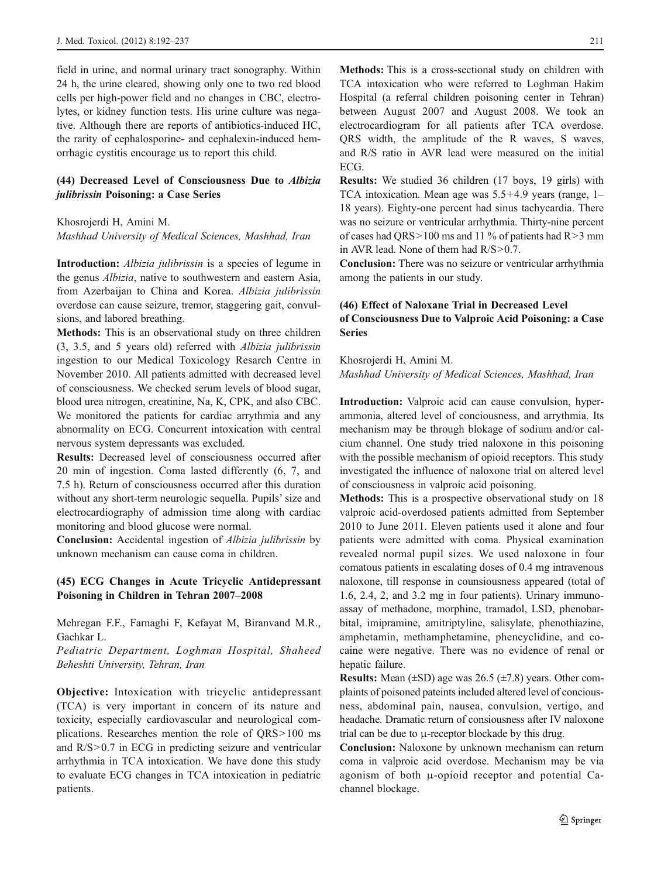field in urine, and normal urinary tract sonography. Within 24 h, the urine cleared, showing only one to two red blood cells per high-power field and no changes in CBC, electrolytes, or kidney function tests. His urine culture was negative. Although there are reports of antibiotics-induced HC, the rarity of cephalosporine- and cephalexin-induced hemorrhagic cystitis encourage us to report this child.

# (44) Decreased Level of Consciousness Due to Albizia julibrissin Poisoning: a Case Series

#### Khosrojerdi H, Amini M.

Mashhad University of Medical Sciences, Mashhad, Iran

Introduction: *Albizia julibrissin* is a species of legume in the genus Albizia, native to southwestern and eastern Asia, from Azerbaijan to China and Korea. Albizia julibrissin overdose can cause seizure, tremor, staggering gait, convulsions, and labored breathing.

Methods: This is an observational study on three children (3, 3.5, and 5 years old) referred with Albizia julibrissin ingestion to our Medical Toxicology Resarch Centre in November 2010. All patients admitted with decreased level of consciousness. We checked serum levels of blood sugar, blood urea nitrogen, creatinine, Na, K, CPK, and also CBC. We monitored the patients for cardiac arrythmia and any abnormality on ECG. Concurrent intoxication with central nervous system depressants was excluded.

Results: Decreased level of consciousness occurred after 20 min of ingestion. Coma lasted differently (6, 7, and 7.5 h). Return of consciousness occurred after this duration without any short-term neurologic sequella. Pupils' size and electrocardiography of admission time along with cardiac monitoring and blood glucose were normal.

Conclusion: Accidental ingestion of Albizia julibrissin by unknown mechanism can cause coma in children.

# (45) ECG Changes in Acute Tricyclic Antidepressant Poisoning in Children in Tehran 2007–2008

Mehregan F.F., Farnaghi F, Kefayat M, Biranvand M.R., Gachkar L.

Pediatric Department, Loghman Hospital, Shaheed Beheshti University, Tehran, Iran

Objective: Intoxication with tricyclic antidepressant (TCA) is very important in concern of its nature and toxicity, especially cardiovascular and neurological complications. Researches mention the role of QRS>100 ms and R/S>0.7 in ECG in predicting seizure and ventricular arrhythmia in TCA intoxication. We have done this study to evaluate ECG changes in TCA intoxication in pediatric patients.

Methods: This is a cross-sectional study on children with TCA intoxication who were referred to Loghman Hakim Hospital (a referral children poisoning center in Tehran) between August 2007 and August 2008. We took an electrocardiogram for all patients after TCA overdose. QRS width, the amplitude of the R waves, S waves, and R/S ratio in AVR lead were measured on the initial ECG.

Results: We studied 36 children (17 boys, 19 girls) with TCA intoxication. Mean age was 5.5+4.9 years (range, 1– 18 years). Eighty-one percent had sinus tachycardia. There was no seizure or ventricular arrhythmia. Thirty-nine percent of cases had QRS>100 ms and 11 % of patients had R>3 mm in AVR lead. None of them had R/S>0.7.

Conclusion: There was no seizure or ventricular arrhythmia among the patients in our study.

# (46) Effect of Naloxane Trial in Decreased Level of Consciousness Due to Valproic Acid Poisoning: a Case Series

Khosrojerdi H, Amini M. Mashhad University of Medical Sciences, Mashhad, Iran

Introduction: Valproic acid can cause convulsion, hyperammonia, altered level of conciousness, and arrythmia. Its mechanism may be through blokage of sodium and/or calcium channel. One study tried naloxone in this poisoning with the possible mechanism of opioid receptors. This study investigated the influence of naloxone trial on altered level of consciousness in valproic acid poisoning.

Methods: This is a prospective observational study on 18 valproic acid-overdosed patients admitted from September 2010 to June 2011. Eleven patients used it alone and four patients were admitted with coma. Physical examination revealed normal pupil sizes. We used naloxone in four comatous patients in escalating doses of 0.4 mg intravenous naloxone, till response in counsiousness appeared (total of 1.6, 2.4, 2, and 3.2 mg in four patients). Urinary immunoassay of methadone, morphine, tramadol, LSD, phenobarbital, imipramine, amitriptyline, salisylate, phenothiazine, amphetamin, methamphetamine, phencyclidine, and cocaine were negative. There was no evidence of renal or hepatic failure.

**Results:** Mean  $(\pm SD)$  age was 26.5  $(\pm 7.8)$  years. Other complaints of poisoned pateints included altered level of conciousness, abdominal pain, nausea, convulsion, vertigo, and headache. Dramatic return of consiousness after IV naloxone trial can be due to μ-receptor blockade by this drug.

Conclusion: Naloxone by unknown mechanism can return coma in valproic acid overdose. Mechanism may be via agonism of both μ-opioid receptor and potential Cachannel blockage.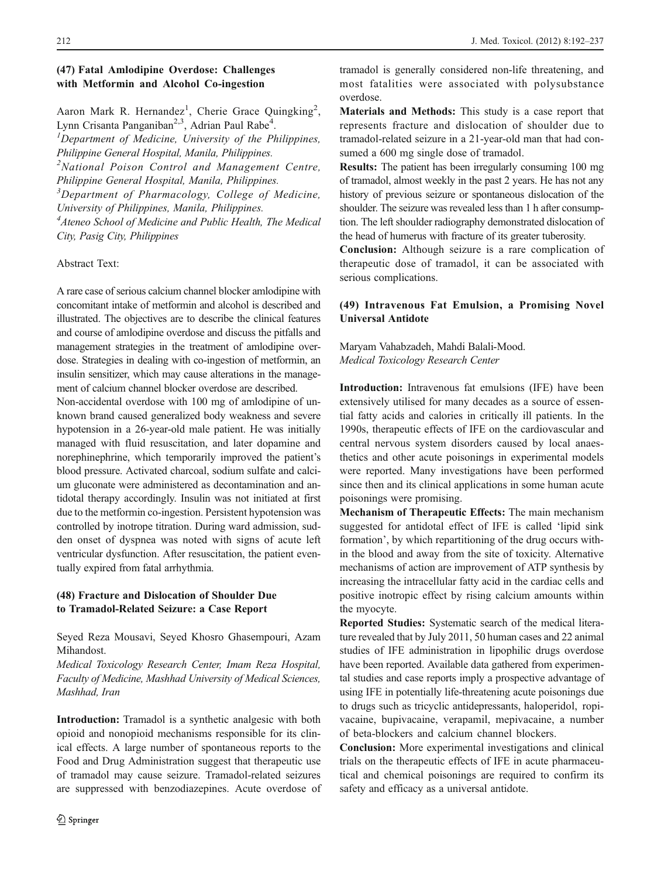# (47) Fatal Amlodipine Overdose: Challenges with Metformin and Alcohol Co-ingestion

Aaron Mark R. Hernandez<sup>1</sup>, Cherie Grace Quingking<sup>2</sup>, Lynn Crisanta Panganiban<sup>2,3</sup>, Adrian Paul Rabe<sup>4</sup>.<br><sup>1</sup> Department of Medicine, University of the Pl

 ${}^{1}$ Department of Medicine, University of the Philippines, Philippine General Hospital, Manila, Philippines.

<sup>2</sup>National Poison Control and Management Centre, Philippine General Hospital, Manila, Philippines.

<sup>3</sup>Department of Pharmacology, College of Medicine, University of Philippines, Manila, Philippines.

<sup>4</sup> Ateneo School of Medicine and Public Health, The Medical

City, Pasig City, Philippines

#### Abstract Text:

A rare case of serious calcium channel blocker amlodipine with concomitant intake of metformin and alcohol is described and illustrated. The objectives are to describe the clinical features and course of amlodipine overdose and discuss the pitfalls and management strategies in the treatment of amlodipine overdose. Strategies in dealing with co-ingestion of metformin, an insulin sensitizer, which may cause alterations in the management of calcium channel blocker overdose are described.

Non-accidental overdose with 100 mg of amlodipine of unknown brand caused generalized body weakness and severe hypotension in a 26-year-old male patient. He was initially managed with fluid resuscitation, and later dopamine and norephinephrine, which temporarily improved the patient's blood pressure. Activated charcoal, sodium sulfate and calcium gluconate were administered as decontamination and antidotal therapy accordingly. Insulin was not initiated at first due to the metformin co-ingestion. Persistent hypotension was controlled by inotrope titration. During ward admission, sudden onset of dyspnea was noted with signs of acute left ventricular dysfunction. After resuscitation, the patient eventually expired from fatal arrhythmia.

#### (48) Fracture and Dislocation of Shoulder Due to Tramadol-Related Seizure: a Case Report

Seyed Reza Mousavi, Seyed Khosro Ghasempouri, Azam Mihandost.

Medical Toxicology Research Center, Imam Reza Hospital, Faculty of Medicine, Mashhad University of Medical Sciences, Mashhad, Iran

Introduction: Tramadol is a synthetic analgesic with both opioid and nonopioid mechanisms responsible for its clinical effects. A large number of spontaneous reports to the Food and Drug Administration suggest that therapeutic use of tramadol may cause seizure. Tramadol-related seizures are suppressed with benzodiazepines. Acute overdose of

tramadol is generally considered non-life threatening, and most fatalities were associated with polysubstance overdose.

Materials and Methods: This study is a case report that represents fracture and dislocation of shoulder due to tramadol-related seizure in a 21-year-old man that had consumed a 600 mg single dose of tramadol.

Results: The patient has been irregularly consuming 100 mg of tramadol, almost weekly in the past 2 years. He has not any history of previous seizure or spontaneous dislocation of the shoulder. The seizure was revealed less than 1 h after consumption. The left shoulder radiography demonstrated dislocation of the head of humerus with fracture of its greater tuberosity.

Conclusion: Although seizure is a rare complication of therapeutic dose of tramadol, it can be associated with serious complications.

## (49) Intravenous Fat Emulsion, a Promising Novel Universal Antidote

Maryam Vahabzadeh, Mahdi Balali-Mood. Medical Toxicology Research Center

Introduction: Intravenous fat emulsions (IFE) have been extensively utilised for many decades as a source of essential fatty acids and calories in critically ill patients. In the 1990s, therapeutic effects of IFE on the cardiovascular and central nervous system disorders caused by local anaesthetics and other acute poisonings in experimental models were reported. Many investigations have been performed since then and its clinical applications in some human acute poisonings were promising.

Mechanism of Therapeutic Effects: The main mechanism suggested for antidotal effect of IFE is called 'lipid sink formation', by which repartitioning of the drug occurs within the blood and away from the site of toxicity. Alternative mechanisms of action are improvement of ATP synthesis by increasing the intracellular fatty acid in the cardiac cells and positive inotropic effect by rising calcium amounts within the myocyte.

Reported Studies: Systematic search of the medical literature revealed that by July 2011, 50 human cases and 22 animal studies of IFE administration in lipophilic drugs overdose have been reported. Available data gathered from experimental studies and case reports imply a prospective advantage of using IFE in potentially life-threatening acute poisonings due to drugs such as tricyclic antidepressants, haloperidol, ropivacaine, bupivacaine, verapamil, mepivacaine, a number of beta-blockers and calcium channel blockers.

Conclusion: More experimental investigations and clinical trials on the therapeutic effects of IFE in acute pharmaceutical and chemical poisonings are required to confirm its safety and efficacy as a universal antidote.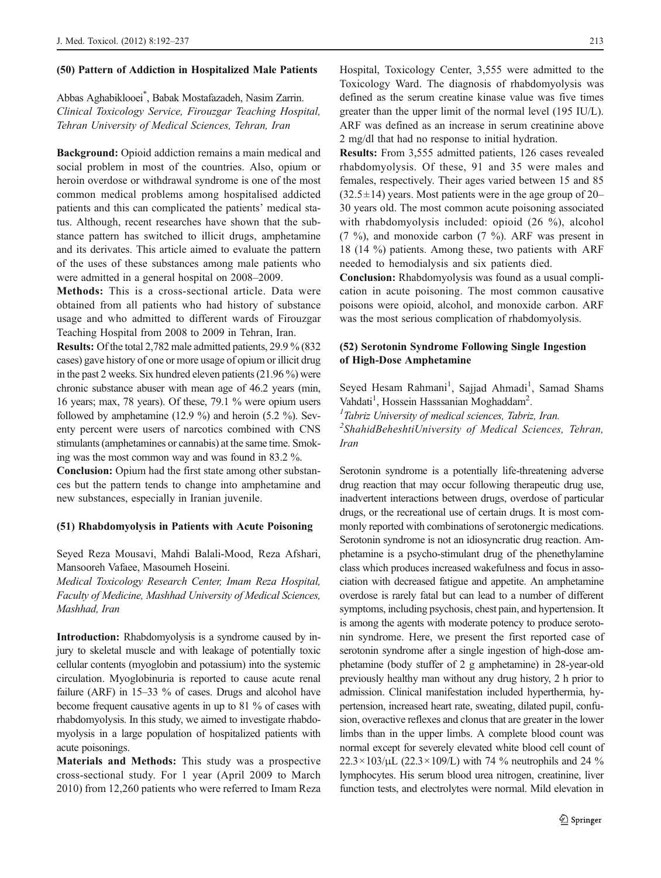#### (50) Pattern of Addiction in Hospitalized Male Patients

Abbas Aghabiklooei\* , Babak Mostafazadeh, Nasim Zarrin. Clinical Toxicology Service, Firouzgar Teaching Hospital, Tehran University of Medical Sciences, Tehran, Iran

Background: Opioid addiction remains a main medical and social problem in most of the countries. Also, opium or heroin overdose or withdrawal syndrome is one of the most common medical problems among hospitalised addicted patients and this can complicated the patients' medical status. Although, recent researches have shown that the substance pattern has switched to illicit drugs, amphetamine and its derivates. This article aimed to evaluate the pattern of the uses of these substances among male patients who were admitted in a general hospital on 2008–2009.

Methods: This is a cross-sectional article. Data were obtained from all patients who had history of substance usage and who admitted to different wards of Firouzgar Teaching Hospital from 2008 to 2009 in Tehran, Iran.

Results: Of the total 2,782 male admitted patients, 29.9 % (832 cases) gave history of one or more usage of opium or illicit drug in the past 2 weeks. Six hundred eleven patients (21.96 %) were chronic substance abuser with mean age of 46.2 years (min, 16 years; max, 78 years). Of these, 79.1 % were opium users followed by amphetamine (12.9 %) and heroin (5.2 %). Seventy percent were users of narcotics combined with CNS stimulants (amphetamines or cannabis) at the same time. Smoking was the most common way and was found in 83.2 %.

Conclusion: Opium had the first state among other substances but the pattern tends to change into amphetamine and new substances, especially in Iranian juvenile.

#### (51) Rhabdomyolysis in Patients with Acute Poisoning

Seyed Reza Mousavi, Mahdi Balali-Mood, Reza Afshari, Mansooreh Vafaee, Masoumeh Hoseini.

Medical Toxicology Research Center, Imam Reza Hospital, Faculty of Medicine, Mashhad University of Medical Sciences, Mashhad, Iran

Introduction: Rhabdomyolysis is a syndrome caused by injury to skeletal muscle and with leakage of potentially toxic cellular contents (myoglobin and potassium) into the systemic circulation. Myoglobinuria is reported to cause acute renal failure (ARF) in 15–33 % of cases. Drugs and alcohol have become frequent causative agents in up to 81 % of cases with rhabdomyolysis. In this study, we aimed to investigate rhabdomyolysis in a large population of hospitalized patients with acute poisonings.

Materials and Methods: This study was a prospective cross-sectional study. For 1 year (April 2009 to March 2010) from 12,260 patients who were referred to Imam Reza Hospital, Toxicology Center, 3,555 were admitted to the Toxicology Ward. The diagnosis of rhabdomyolysis was defined as the serum creatine kinase value was five times greater than the upper limit of the normal level (195 IU/L). ARF was defined as an increase in serum creatinine above 2 mg/dl that had no response to initial hydration.

Results: From 3,555 admitted patients, 126 cases revealed rhabdomyolysis. Of these, 91 and 35 were males and females, respectively. Their ages varied between 15 and 85  $(32.5\pm14)$  years. Most patients were in the age group of 20– 30 years old. The most common acute poisoning associated with rhabdomyolysis included: opioid (26 %), alcohol (7 %), and monoxide carbon (7 %). ARF was present in 18 (14 %) patients. Among these, two patients with ARF needed to hemodialysis and six patients died.

Conclusion: Rhabdomyolysis was found as a usual complication in acute poisoning. The most common causative poisons were opioid, alcohol, and monoxide carbon. ARF was the most serious complication of rhabdomyolysis.

# (52) Serotonin Syndrome Following Single Ingestion of High-Dose Amphetamine

Seyed Hesam Rahmani<sup>1</sup>, Sajjad Ahmadi<sup>1</sup>, Samad Shams Vahdati<sup>1</sup>, Hossein Hasssanian Moghaddam<sup>2</sup>.<br><sup>1</sup>Tabriz University of medical sciences, Tabri

 $1$ Tabriz University of medical sciences, Tabriz, Iran. <sup>2</sup>ShahidBeheshtiUniversity of Medical Sciences, Tehran, Iran

Serotonin syndrome is a potentially life-threatening adverse drug reaction that may occur following therapeutic drug use, inadvertent interactions between drugs, overdose of particular drugs, or the recreational use of certain drugs. It is most commonly reported with combinations of serotonergic medications. Serotonin syndrome is not an idiosyncratic drug reaction. Amphetamine is a psycho-stimulant drug of the phenethylamine class which produces increased wakefulness and focus in association with decreased fatigue and appetite. An amphetamine overdose is rarely fatal but can lead to a number of different symptoms, including psychosis, chest pain, and hypertension. It is among the agents with moderate potency to produce serotonin syndrome. Here, we present the first reported case of serotonin syndrome after a single ingestion of high-dose amphetamine (body stuffer of 2 g amphetamine) in 28-year-old previously healthy man without any drug history, 2 h prior to admission. Clinical manifestation included hyperthermia, hypertension, increased heart rate, sweating, dilated pupil, confusion, overactive reflexes and clonus that are greater in the lower limbs than in the upper limbs. A complete blood count was normal except for severely elevated white blood cell count of  $22.3 \times 103/\mu L$  (22.3 × 109/L) with 74 % neutrophils and 24 % lymphocytes. His serum blood urea nitrogen, creatinine, liver function tests, and electrolytes were normal. Mild elevation in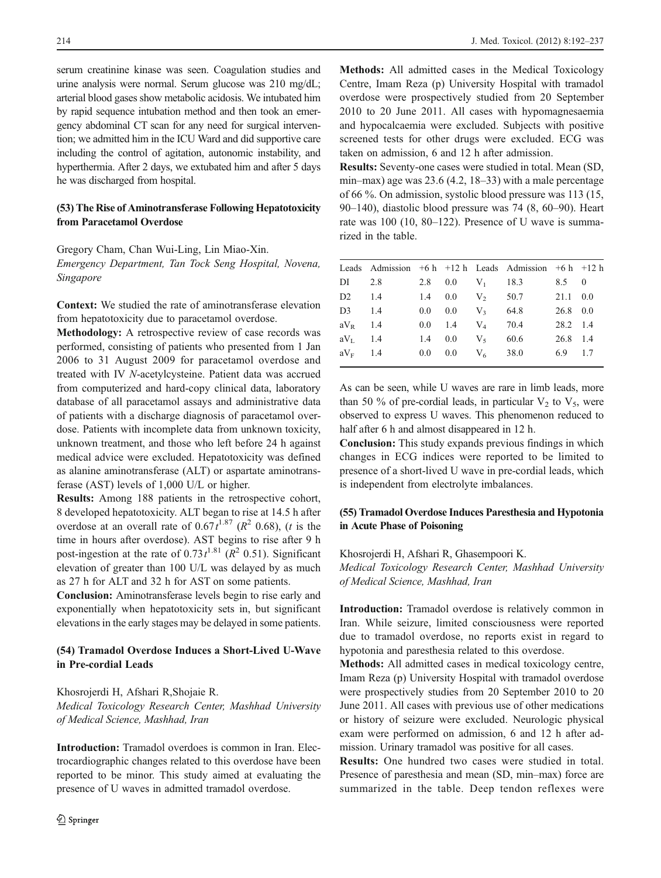serum creatinine kinase was seen. Coagulation studies and urine analysis were normal. Serum glucose was 210 mg/dL; arterial blood gases show metabolic acidosis. We intubated him by rapid sequence intubation method and then took an emergency abdominal CT scan for any need for surgical intervention; we admitted him in the ICU Ward and did supportive care including the control of agitation, autonomic instability, and hyperthermia. After 2 days, we extubated him and after 5 days he was discharged from hospital.

#### (53) The Rise of Aminotransferase Following Hepatotoxicity from Paracetamol Overdose

Gregory Cham, Chan Wui-Ling, Lin Miao-Xin. Emergency Department, Tan Tock Seng Hospital, Novena, Singapore

Context: We studied the rate of aminotransferase elevation from hepatotoxicity due to paracetamol overdose.

Methodology: A retrospective review of case records was performed, consisting of patients who presented from 1 Jan 2006 to 31 August 2009 for paracetamol overdose and treated with IV N-acetylcysteine. Patient data was accrued from computerized and hard-copy clinical data, laboratory database of all paracetamol assays and administrative data of patients with a discharge diagnosis of paracetamol overdose. Patients with incomplete data from unknown toxicity, unknown treatment, and those who left before 24 h against medical advice were excluded. Hepatotoxicity was defined as alanine aminotransferase (ALT) or aspartate aminotransferase (AST) levels of 1,000 U/L or higher.

Results: Among 188 patients in the retrospective cohort, 8 developed hepatotoxicity. ALT began to rise at 14.5 h after overdose at an overall rate of  $0.67t^{1.87}$  ( $R^2$  0.68), (*t* is the time in hours after overdose). AST begins to rise after 9 h post-ingestion at the rate of  $0.73t^{1.81}$  ( $R^2$  0.51). Significant elevation of greater than 100 U/L was delayed by as much as 27 h for ALT and 32 h for AST on some patients.

Conclusion: Aminotransferase levels begin to rise early and exponentially when hepatotoxicity sets in, but significant elevations in the early stages may be delayed in some patients.

# (54) Tramadol Overdose Induces a Short-Lived U-Wave in Pre-cordial Leads

Khosrojerdi H, Afshari R,Shojaie R. Medical Toxicology Research Center, Mashhad University of Medical Science, Mashhad, Iran

Introduction: Tramadol overdoes is common in Iran. Electrocardiographic changes related to this overdose have been reported to be minor. This study aimed at evaluating the presence of U waves in admitted tramadol overdose.

Methods: All admitted cases in the Medical Toxicology Centre, Imam Reza (p) University Hospital with tramadol overdose were prospectively studied from 20 September 2010 to 20 June 2011. All cases with hypomagnesaemia and hypocalcaemia were excluded. Subjects with positive screened tests for other drugs were excluded. ECG was taken on admission, 6 and 12 h after admission.

Results: Seventy-one cases were studied in total. Mean (SD, min–max) age was 23.6 (4.2, 18–33) with a male percentage of 66 %. On admission, systolic blood pressure was 113 (15, 90–140), diastolic blood pressure was 74 (8, 60–90). Heart rate was 100 (10, 80–122). Presence of U wave is summarized in the table.

|            |  |                    | Leads Admission $+6 h +12 h$ Leads Admission $+6 h +12 h$ |          |  |
|------------|--|--------------------|-----------------------------------------------------------|----------|--|
|            |  |                    | DI 2.8 2.8 0.0 $V_1$ 18.3 8.5 0                           |          |  |
|            |  |                    | D2 1.4 1.4 0.0 V <sub>2</sub> 50.7 21.1 0.0               |          |  |
| $D3 \t1.4$ |  |                    | 0.0 0.0 $V_3$ 64.8 26.8 0.0                               |          |  |
| $aV_R$ 1.4 |  | 0.0 1.4 $V_4$ 70.4 |                                                           | 28.2 1.4 |  |
| $aV_L$ 1.4 |  |                    | 1.4 0.0 $V_5$ 60.6                                        | 26.8 1.4 |  |
|            |  |                    | $aV_F$ 1.4 0.0 0.0 $V_6$ 38.0 6.9 1.7                     |          |  |
|            |  |                    |                                                           |          |  |

As can be seen, while U waves are rare in limb leads, more than 50 % of pre-cordial leads, in particular  $V_2$  to  $V_5$ , were observed to express U waves. This phenomenon reduced to half after 6 h and almost disappeared in 12 h.

Conclusion: This study expands previous findings in which changes in ECG indices were reported to be limited to presence of a short-lived U wave in pre-cordial leads, which is independent from electrolyte imbalances.

# (55) Tramadol Overdose Induces Paresthesia and Hypotonia in Acute Phase of Poisoning

Khosrojerdi H, Afshari R, Ghasempoori K.

Medical Toxicology Research Center, Mashhad University of Medical Science, Mashhad, Iran

Introduction: Tramadol overdose is relatively common in Iran. While seizure, limited consciousness were reported due to tramadol overdose, no reports exist in regard to hypotonia and paresthesia related to this overdose.

Methods: All admitted cases in medical toxicology centre, Imam Reza (p) University Hospital with tramadol overdose were prospectively studies from 20 September 2010 to 20 June 2011. All cases with previous use of other medications or history of seizure were excluded. Neurologic physical exam were performed on admission, 6 and 12 h after admission. Urinary tramadol was positive for all cases.

Results: One hundred two cases were studied in total. Presence of paresthesia and mean (SD, min–max) force are summarized in the table. Deep tendon reflexes were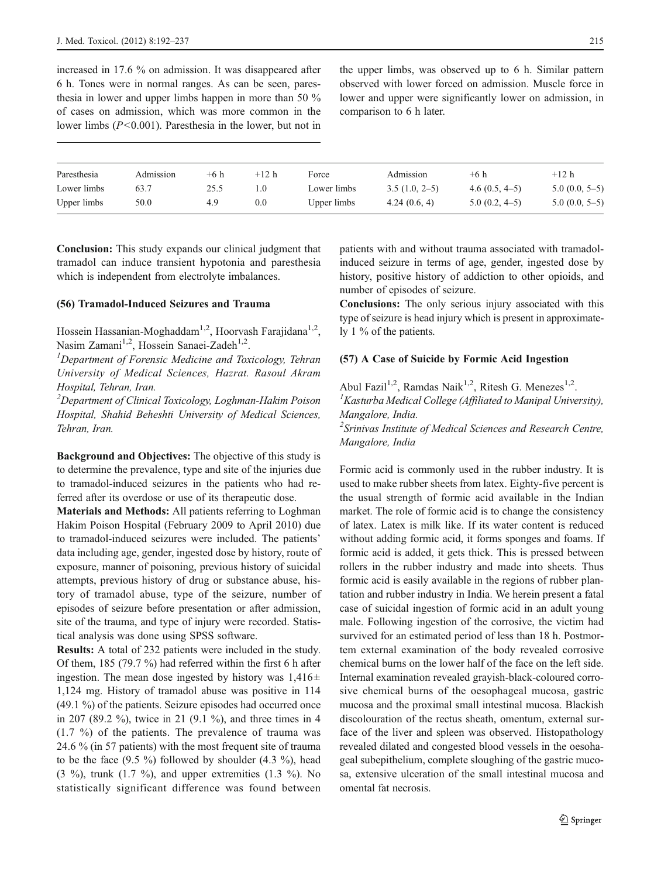increased in 17.6 % on admission. It was disappeared after 6 h. Tones were in normal ranges. As can be seen, paresthesia in lower and upper limbs happen in more than 50 % of cases on admission, which was more common in the lower limbs  $(P<0.001)$ . Paresthesia in the lower, but not in

the upper limbs, was observed up to 6 h. Similar pattern observed with lower forced on admission. Muscle force in lower and upper were significantly lower on admission, in comparison to 6 h later.

| Paresthesia | Admission | $+6h$ | $+12 h$  | Force       | Admission       | $+6h$           | $+12 h$         |
|-------------|-----------|-------|----------|-------------|-----------------|-----------------|-----------------|
| Lower limbs | 63.7      | 25.5  | $\Omega$ | Lower limbs | $3.5(1.0, 2-5)$ | $4.6(0.5, 4-5)$ | $5.0(0.0, 5-5)$ |
| Upper limbs | 50.0      | 4.9   | 0.0      | Upper limbs | 4.24(0.6, 4)    | $5.0(0.2, 4-5)$ | $5.0(0.0, 5-5)$ |

Conclusion: This study expands our clinical judgment that tramadol can induce transient hypotonia and paresthesia which is independent from electrolyte imbalances.

#### (56) Tramadol-Induced Seizures and Trauma

Hossein Hassanian-Moghaddam<sup>1,2</sup>, Hoorvash Farajidana<sup>1,2</sup>, Nasim Zamani<sup>1,2</sup>, Hossein Sanaei-Zadeh<sup>1,2</sup>.

 ${}^{1}$ Department of Forensic Medicine and Toxicology, Tehran University of Medical Sciences, Hazrat. Rasoul Akram Hospital, Tehran, Iran.

<sup>2</sup>Department of Clinical Toxicology, Loghman-Hakim Poison Hospital, Shahid Beheshti University of Medical Sciences, Tehran, Iran.

Background and Objectives: The objective of this study is to determine the prevalence, type and site of the injuries due to tramadol-induced seizures in the patients who had referred after its overdose or use of its therapeutic dose.

Materials and Methods: All patients referring to Loghman Hakim Poison Hospital (February 2009 to April 2010) due to tramadol-induced seizures were included. The patients' data including age, gender, ingested dose by history, route of exposure, manner of poisoning, previous history of suicidal attempts, previous history of drug or substance abuse, history of tramadol abuse, type of the seizure, number of episodes of seizure before presentation or after admission, site of the trauma, and type of injury were recorded. Statistical analysis was done using SPSS software.

Results: A total of 232 patients were included in the study. Of them, 185 (79.7 %) had referred within the first 6 h after ingestion. The mean dose ingested by history was  $1,416\pm$ 1,124 mg. History of tramadol abuse was positive in 114 (49.1 %) of the patients. Seizure episodes had occurred once in 207 (89.2 %), twice in 21 (9.1 %), and three times in 4 (1.7 %) of the patients. The prevalence of trauma was 24.6 % (in 57 patients) with the most frequent site of trauma to be the face  $(9.5 \%)$  followed by shoulder  $(4.3 \%)$ , head (3 %), trunk (1.7 %), and upper extremities (1.3 %). No statistically significant difference was found between patients with and without trauma associated with tramadolinduced seizure in terms of age, gender, ingested dose by history, positive history of addiction to other opioids, and number of episodes of seizure.

Conclusions: The only serious injury associated with this type of seizure is head injury which is present in approximately 1 % of the patients.

#### (57) A Case of Suicide by Formic Acid Ingestion

Abul Fazil<sup>1,2</sup>, Ramdas Naik<sup>1,2</sup>, Ritesh G. Menezes<sup>1,2</sup>. <sup>1</sup> Kasturba Medical College (Affiliated to Manipal University), Mangalore, India.

<sup>2</sup> Srinivas Institute of Medical Sciences and Research Centre, Mangalore, India

Formic acid is commonly used in the rubber industry. It is used to make rubber sheets from latex. Eighty-five percent is the usual strength of formic acid available in the Indian market. The role of formic acid is to change the consistency of latex. Latex is milk like. If its water content is reduced without adding formic acid, it forms sponges and foams. If formic acid is added, it gets thick. This is pressed between rollers in the rubber industry and made into sheets. Thus formic acid is easily available in the regions of rubber plantation and rubber industry in India. We herein present a fatal case of suicidal ingestion of formic acid in an adult young male. Following ingestion of the corrosive, the victim had survived for an estimated period of less than 18 h. Postmortem external examination of the body revealed corrosive chemical burns on the lower half of the face on the left side. Internal examination revealed grayish-black-coloured corrosive chemical burns of the oesophageal mucosa, gastric mucosa and the proximal small intestinal mucosa. Blackish discolouration of the rectus sheath, omentum, external surface of the liver and spleen was observed. Histopathology revealed dilated and congested blood vessels in the oesohageal subepithelium, complete sloughing of the gastric mucosa, extensive ulceration of the small intestinal mucosa and omental fat necrosis.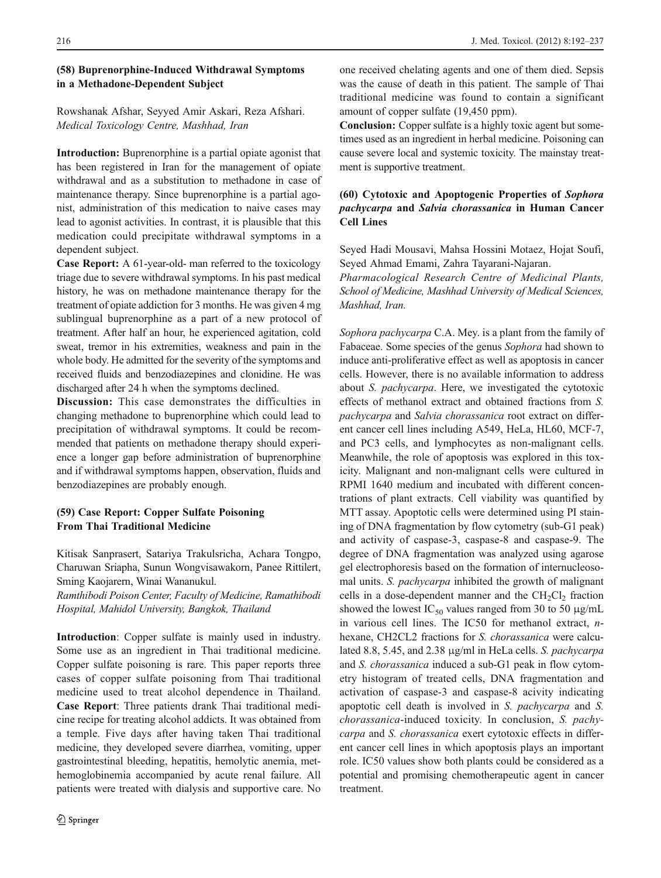# (58) Buprenorphine-Induced Withdrawal Symptoms in a Methadone-Dependent Subject

# Rowshanak Afshar, Seyyed Amir Askari, Reza Afshari. Medical Toxicology Centre, Mashhad, Iran

Introduction: Buprenorphine is a partial opiate agonist that has been registered in Iran for the management of opiate withdrawal and as a substitution to methadone in case of maintenance therapy. Since buprenorphine is a partial agonist, administration of this medication to naive cases may lead to agonist activities. In contrast, it is plausible that this medication could precipitate withdrawal symptoms in a dependent subject.

Case Report: A 61-year-old- man referred to the toxicology triage due to severe withdrawal symptoms. In his past medical history, he was on methadone maintenance therapy for the treatment of opiate addiction for 3 months. He was given 4 mg sublingual buprenorphine as a part of a new protocol of treatment. After half an hour, he experienced agitation, cold sweat, tremor in his extremities, weakness and pain in the whole body. He admitted for the severity of the symptoms and received fluids and benzodiazepines and clonidine. He was discharged after 24 h when the symptoms declined.

Discussion: This case demonstrates the difficulties in changing methadone to buprenorphine which could lead to precipitation of withdrawal symptoms. It could be recommended that patients on methadone therapy should experience a longer gap before administration of buprenorphine and if withdrawal symptoms happen, observation, fluids and benzodiazepines are probably enough.

# (59) Case Report: Copper Sulfate Poisoning From Thai Traditional Medicine

Kitisak Sanprasert, Satariya Trakulsricha, Achara Tongpo, Charuwan Sriapha, Sunun Wongvisawakorn, Panee Rittilert, Sming Kaojarern, Winai Wananukul.

Ramthibodi Poison Center, Faculty of Medicine, Ramathibodi Hospital, Mahidol University, Bangkok, Thailand

Introduction: Copper sulfate is mainly used in industry. Some use as an ingredient in Thai traditional medicine. Copper sulfate poisoning is rare. This paper reports three cases of copper sulfate poisoning from Thai traditional medicine used to treat alcohol dependence in Thailand. Case Report: Three patients drank Thai traditional medicine recipe for treating alcohol addicts. It was obtained from a temple. Five days after having taken Thai traditional medicine, they developed severe diarrhea, vomiting, upper gastrointestinal bleeding, hepatitis, hemolytic anemia, methemoglobinemia accompanied by acute renal failure. All patients were treated with dialysis and supportive care. No one received chelating agents and one of them died. Sepsis was the cause of death in this patient. The sample of Thai traditional medicine was found to contain a significant amount of copper sulfate (19,450 ppm).

Conclusion: Copper sulfate is a highly toxic agent but sometimes used as an ingredient in herbal medicine. Poisoning can cause severe local and systemic toxicity. The mainstay treatment is supportive treatment.

# (60) Cytotoxic and Apoptogenic Properties of Sophora pachycarpa and Salvia chorassanica in Human Cancer Cell Lines

Seyed Hadi Mousavi, Mahsa Hossini Motaez, Hojat Soufi, Seyed Ahmad Emami, Zahra Tayarani-Najaran.

Pharmacological Research Centre of Medicinal Plants, School of Medicine, Mashhad University of Medical Sciences, Mashhad, Iran.

Sophora pachycarpa C.A. Mey. is a plant from the family of Fabaceae. Some species of the genus Sophora had shown to induce anti-proliferative effect as well as apoptosis in cancer cells. However, there is no available information to address about S. pachycarpa. Here, we investigated the cytotoxic effects of methanol extract and obtained fractions from S. pachycarpa and Salvia chorassanica root extract on different cancer cell lines including A549, HeLa, HL60, MCF-7, and PC3 cells, and lymphocytes as non-malignant cells. Meanwhile, the role of apoptosis was explored in this toxicity. Malignant and non-malignant cells were cultured in RPMI 1640 medium and incubated with different concentrations of plant extracts. Cell viability was quantified by MTT assay. Apoptotic cells were determined using PI staining of DNA fragmentation by flow cytometry (sub-G1 peak) and activity of caspase-3, caspase-8 and caspase-9. The degree of DNA fragmentation was analyzed using agarose gel electrophoresis based on the formation of internucleosomal units. S. pachycarpa inhibited the growth of malignant cells in a dose-dependent manner and the  $CH<sub>2</sub>Cl<sub>2</sub>$  fraction showed the lowest  $IC_{50}$  values ranged from 30 to 50  $\mu$ g/mL in various cell lines. The IC50 for methanol extract, nhexane, CH2CL2 fractions for S. chorassanica were calculated 8.8, 5.45, and 2.38 μg/ml in HeLa cells. S. pachycarpa and S. chorassanica induced a sub-G1 peak in flow cytometry histogram of treated cells, DNA fragmentation and activation of caspase-3 and caspase-8 acivity indicating apoptotic cell death is involved in S. pachycarpa and S. chorassanica-induced toxicity. In conclusion, S. pachycarpa and S. chorassanica exert cytotoxic effects in different cancer cell lines in which apoptosis plays an important role. IC50 values show both plants could be considered as a potential and promising chemotherapeutic agent in cancer treatment.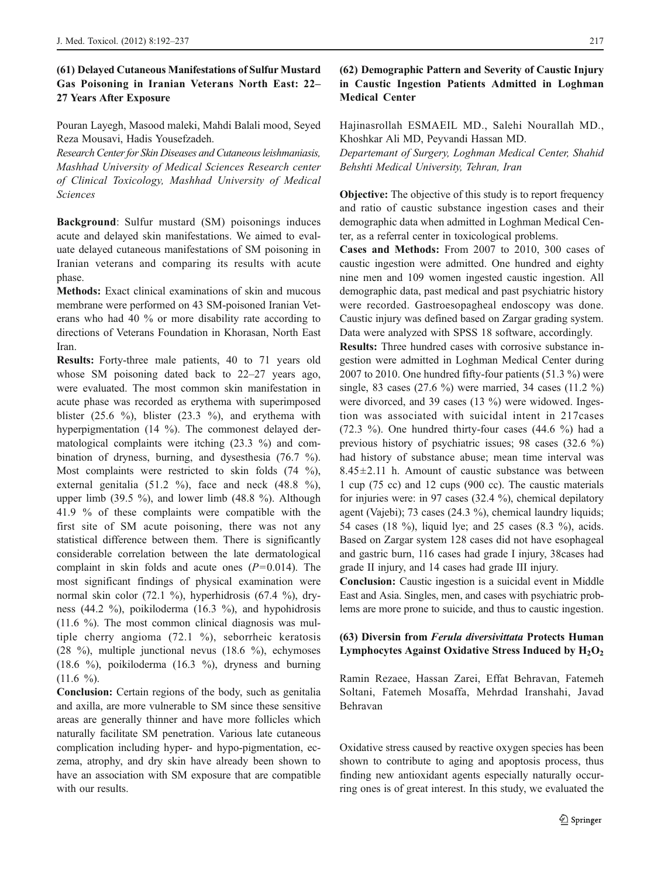# (61) Delayed Cutaneous Manifestations of Sulfur Mustard Gas Poisoning in Iranian Veterans North East: 22– 27 Years After Exposure

Pouran Layegh, Masood maleki, Mahdi Balali mood, Seyed Reza Mousavi, Hadis Yousefzadeh.

Research Center for Skin Diseases and Cutaneous leishmaniasis, Mashhad University of Medical Sciences Research center of Clinical Toxicology, Mashhad University of Medical Sciences

Background: Sulfur mustard (SM) poisonings induces acute and delayed skin manifestations. We aimed to evaluate delayed cutaneous manifestations of SM poisoning in Iranian veterans and comparing its results with acute phase.

Methods: Exact clinical examinations of skin and mucous membrane were performed on 43 SM-poisoned Iranian Veterans who had 40 % or more disability rate according to directions of Veterans Foundation in Khorasan, North East Iran.

Results: Forty-three male patients, 40 to 71 years old whose SM poisoning dated back to 22–27 years ago, were evaluated. The most common skin manifestation in acute phase was recorded as erythema with superimposed blister  $(25.6 \%)$ , blister  $(23.3 \%)$ , and erythema with hyperpigmentation (14 %). The commonest delayed dermatological complaints were itching (23.3 %) and combination of dryness, burning, and dysesthesia (76.7 %). Most complaints were restricted to skin folds (74 %), external genitalia (51.2 %), face and neck (48.8 %), upper limb (39.5 %), and lower limb (48.8 %). Although 41.9 % of these complaints were compatible with the first site of SM acute poisoning, there was not any statistical difference between them. There is significantly considerable correlation between the late dermatological complaint in skin folds and acute ones  $(P=0.014)$ . The most significant findings of physical examination were normal skin color (72.1 %), hyperhidrosis (67.4 %), dryness (44.2 %), poikiloderma (16.3 %), and hypohidrosis (11.6 %). The most common clinical diagnosis was multiple cherry angioma (72.1 %), seborrheic keratosis (28 %), multiple junctional nevus (18.6 %), echymoses (18.6 %), poikiloderma (16.3 %), dryness and burning  $(11.6 \%)$ .

Conclusion: Certain regions of the body, such as genitalia and axilla, are more vulnerable to SM since these sensitive areas are generally thinner and have more follicles which naturally facilitate SM penetration. Various late cutaneous complication including hyper- and hypo-pigmentation, eczema, atrophy, and dry skin have already been shown to have an association with SM exposure that are compatible with our results.

# (62) Demographic Pattern and Severity of Caustic Injury in Caustic Ingestion Patients Admitted in Loghman Medical Center

Hajinasrollah ESMAEIL MD., Salehi Nourallah MD., Khoshkar Ali MD, Peyvandi Hassan MD.

Departemant of Surgery, Loghman Medical Center, Shahid Behshti Medical University, Tehran, Iran

Objective: The objective of this study is to report frequency and ratio of caustic substance ingestion cases and their demographic data when admitted in Loghman Medical Center, as a referral center in toxicological problems.

Cases and Methods: From 2007 to 2010, 300 cases of caustic ingestion were admitted. One hundred and eighty nine men and 109 women ingested caustic ingestion. All demographic data, past medical and past psychiatric history were recorded. Gastroesopagheal endoscopy was done. Caustic injury was defined based on Zargar grading system. Data were analyzed with SPSS 18 software, accordingly.

Results: Three hundred cases with corrosive substance ingestion were admitted in Loghman Medical Center during 2007 to 2010. One hundred fifty-four patients (51.3 %) were single, 83 cases (27.6 %) were married, 34 cases (11.2 %) were divorced, and 39 cases (13 %) were widowed. Ingestion was associated with suicidal intent in 217cases (72.3 %). One hundred thirty-four cases  $(44.6 \%)$  had a previous history of psychiatric issues; 98 cases (32.6 %) had history of substance abuse; mean time interval was  $8.45 \pm 2.11$  h. Amount of caustic substance was between 1 cup (75 cc) and 12 cups (900 cc). The caustic materials for injuries were: in 97 cases (32.4 %), chemical depilatory agent (Vajebi); 73 cases (24.3 %), chemical laundry liquids; 54 cases (18 %), liquid lye; and 25 cases (8.3 %), acids. Based on Zargar system 128 cases did not have esophageal and gastric burn, 116 cases had grade I injury, 38cases had grade II injury, and 14 cases had grade III injury.

Conclusion: Caustic ingestion is a suicidal event in Middle East and Asia. Singles, men, and cases with psychiatric problems are more prone to suicide, and thus to caustic ingestion.

#### (63) Diversin from Ferula diversivittata Protects Human Lymphocytes Against Oxidative Stress Induced by  $H_2O_2$

Ramin Rezaee, Hassan Zarei, Effat Behravan, Fatemeh Soltani, Fatemeh Mosaffa, Mehrdad Iranshahi, Javad Behravan

Oxidative stress caused by reactive oxygen species has been shown to contribute to aging and apoptosis process, thus finding new antioxidant agents especially naturally occurring ones is of great interest. In this study, we evaluated the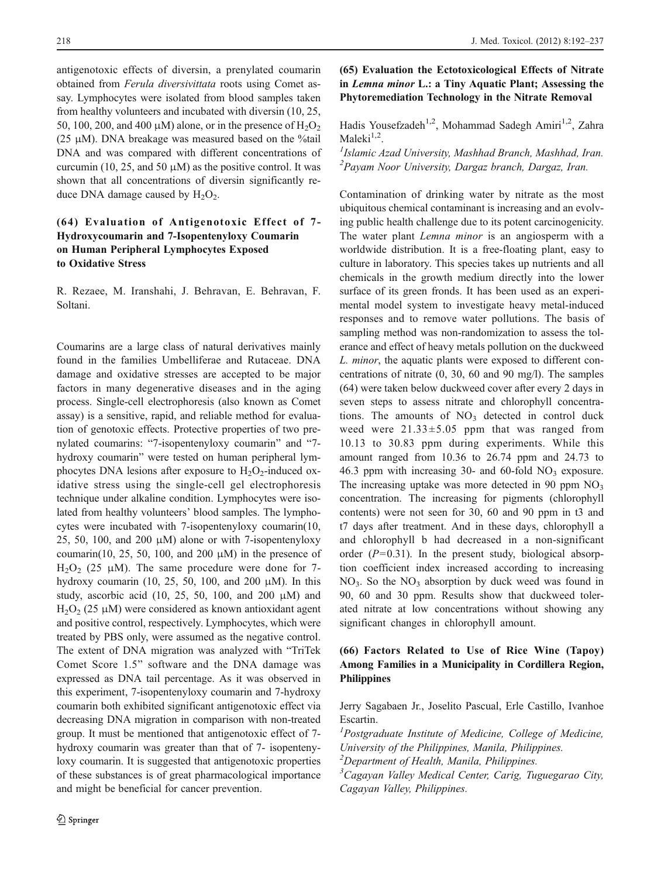antigenotoxic effects of diversin, a prenylated coumarin obtained from Ferula diversivittata roots using Comet assay. Lymphocytes were isolated from blood samples taken from healthy volunteers and incubated with diversin (10, 25, 50, 100, 200, and 400  $\mu$ M) alone, or in the presence of H<sub>2</sub>O<sub>2</sub> (25  $\mu$ M). DNA breakage was measured based on the %tail DNA and was compared with different concentrations of curcumin (10, 25, and 50  $\mu$ M) as the positive control. It was shown that all concentrations of diversin significantly reduce DNA damage caused by  $H_2O_2$ .

# (64) Evaluation of Antigenotoxic Effect of 7- Hydroxycoumarin and 7-Isopentenyloxy Coumarin on Human Peripheral Lymphocytes Exposed to Oxidative Stress

R. Rezaee, M. Iranshahi, J. Behravan, E. Behravan, F. Soltani.

Coumarins are a large class of natural derivatives mainly found in the families Umbelliferae and Rutaceae. DNA damage and oxidative stresses are accepted to be major factors in many degenerative diseases and in the aging process. Single-cell electrophoresis (also known as Comet assay) is a sensitive, rapid, and reliable method for evaluation of genotoxic effects. Protective properties of two prenylated coumarins: "7-isopentenyloxy coumarin" and "7 hydroxy coumarin" were tested on human peripheral lymphocytes DNA lesions after exposure to  $H_2O_2$ -induced oxidative stress using the single-cell gel electrophoresis technique under alkaline condition. Lymphocytes were isolated from healthy volunteers' blood samples. The lymphocytes were incubated with 7-isopentenyloxy coumarin(10, 25, 50, 100, and 200  $\mu$ M) alone or with 7-isopentenyloxy coumarin(10, 25, 50, 100, and 200  $\mu$ M) in the presence of H<sub>2</sub>O<sub>2</sub> (25 μM). The same procedure were done for 7hydroxy coumarin (10, 25, 50, 100, and 200  $\mu$ M). In this study, ascorbic acid (10, 25, 50, 100, and 200  $\mu$ M) and  $H<sub>2</sub>O<sub>2</sub>$  (25 μM) were considered as known antioxidant agent and positive control, respectively. Lymphocytes, which were treated by PBS only, were assumed as the negative control. The extent of DNA migration was analyzed with "TriTek Comet Score 1.5" software and the DNA damage was expressed as DNA tail percentage. As it was observed in this experiment, 7-isopentenyloxy coumarin and 7-hydroxy coumarin both exhibited significant antigenotoxic effect via decreasing DNA migration in comparison with non-treated group. It must be mentioned that antigenotoxic effect of 7 hydroxy coumarin was greater than that of 7- isopentenyloxy coumarin. It is suggested that antigenotoxic properties of these substances is of great pharmacological importance and might be beneficial for cancer prevention.

# (65) Evaluation the Ectotoxicological Effects of Nitrate in Lemna minor L.: a Tiny Aquatic Plant; Assessing the Phytoremediation Technology in the Nitrate Removal

Hadis Yousefzadeh<sup>1,2</sup>, Mohammad Sadegh Amiri<sup>1,2</sup>, Zahra Maleki $1,2$ .

 $I$ Islamic Azad University, Mashhad Branch, Mashhad, Iran. 2 Payam Noor University, Dargaz branch, Dargaz, Iran.

Contamination of drinking water by nitrate as the most ubiquitous chemical contaminant is increasing and an evolving public health challenge due to its potent carcinogenicity. The water plant *Lemna minor* is an angiosperm with a worldwide distribution. It is a free-floating plant, easy to culture in laboratory. This species takes up nutrients and all chemicals in the growth medium directly into the lower surface of its green fronds. It has been used as an experimental model system to investigate heavy metal-induced responses and to remove water pollutions. The basis of sampling method was non-randomization to assess the tolerance and effect of heavy metals pollution on the duckweed L. minor, the aquatic plants were exposed to different concentrations of nitrate (0, 30, 60 and 90 mg/l). The samples (64) were taken below duckweed cover after every 2 days in seven steps to assess nitrate and chlorophyll concentrations. The amounts of  $NO<sub>3</sub>$  detected in control duck weed were  $21.33 \pm 5.05$  ppm that was ranged from 10.13 to 30.83 ppm during experiments. While this amount ranged from 10.36 to 26.74 ppm and 24.73 to 46.3 ppm with increasing  $30-$  and  $60-$ fold NO<sub>3</sub> exposure. The increasing uptake was more detected in 90 ppm  $NO<sub>3</sub>$ concentration. The increasing for pigments (chlorophyll contents) were not seen for 30, 60 and 90 ppm in t3 and t7 days after treatment. And in these days, chlorophyll a and chlorophyll b had decreased in a non-significant order ( $P=0.31$ ). In the present study, biological absorption coefficient index increased according to increasing  $NO<sub>3</sub>$ . So the  $NO<sub>3</sub>$  absorption by duck weed was found in 90, 60 and 30 ppm. Results show that duckweed tolerated nitrate at low concentrations without showing any significant changes in chlorophyll amount.

# (66) Factors Related to Use of Rice Wine (Tapoy) Among Families in a Municipality in Cordillera Region, Philippines

Jerry Sagabaen Jr., Joselito Pascual, Erle Castillo, Ivanhoe Escartin.

<sup>1</sup>Postgraduate Institute of Medicine, College of Medicine, University of the Philippines, Manila, Philippines.

<sup>2</sup>Department of Health, Manila, Philippines.

<sup>3</sup>Cagayan Valley Medical Center, Carig, Tuguegarao City, Cagayan Valley, Philippines.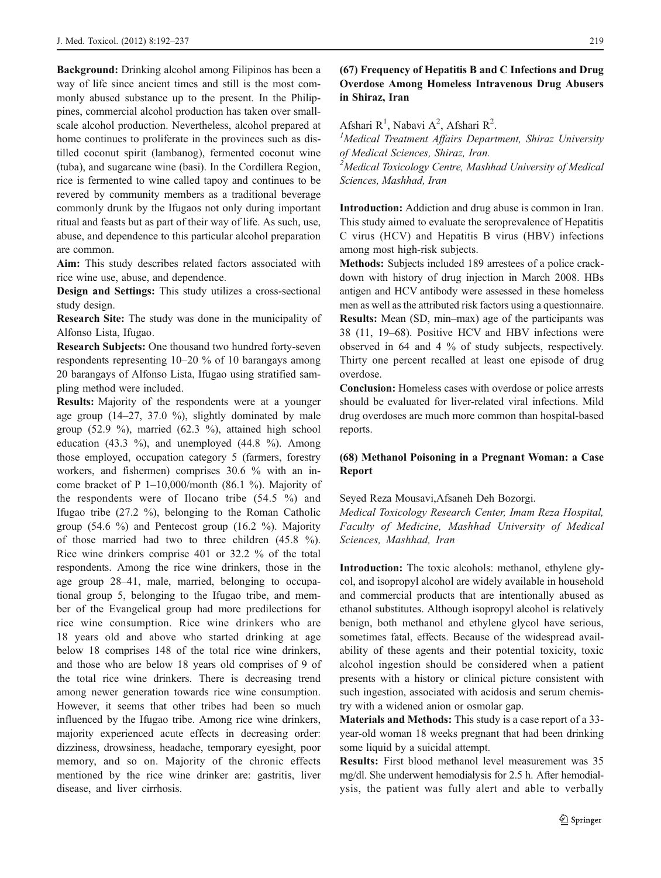Background: Drinking alcohol among Filipinos has been a way of life since ancient times and still is the most commonly abused substance up to the present. In the Philippines, commercial alcohol production has taken over smallscale alcohol production. Nevertheless, alcohol prepared at home continues to proliferate in the provinces such as distilled coconut spirit (lambanog), fermented coconut wine (tuba), and sugarcane wine (basi). In the Cordillera Region, rice is fermented to wine called tapoy and continues to be revered by community members as a traditional beverage commonly drunk by the Ifugaos not only during important ritual and feasts but as part of their way of life. As such, use, abuse, and dependence to this particular alcohol preparation are common.

Aim: This study describes related factors associated with rice wine use, abuse, and dependence.

Design and Settings: This study utilizes a cross-sectional study design.

Research Site: The study was done in the municipality of Alfonso Lista, Ifugao.

Research Subjects: One thousand two hundred forty-seven respondents representing 10–20 % of 10 barangays among 20 barangays of Alfonso Lista, Ifugao using stratified sampling method were included.

Results: Majority of the respondents were at a younger age group  $(14-27, 37.0 %)$ , slightly dominated by male group (52.9 %), married (62.3 %), attained high school education (43.3 %), and unemployed (44.8 %). Among those employed, occupation category 5 (farmers, forestry workers, and fishermen) comprises 30.6 % with an income bracket of P 1–10,000/month (86.1 %). Majority of the respondents were of Ilocano tribe (54.5 %) and Ifugao tribe (27.2 %), belonging to the Roman Catholic group (54.6 %) and Pentecost group (16.2 %). Majority of those married had two to three children (45.8 %). Rice wine drinkers comprise 401 or 32.2 % of the total respondents. Among the rice wine drinkers, those in the age group 28–41, male, married, belonging to occupational group 5, belonging to the Ifugao tribe, and member of the Evangelical group had more predilections for rice wine consumption. Rice wine drinkers who are 18 years old and above who started drinking at age below 18 comprises 148 of the total rice wine drinkers, and those who are below 18 years old comprises of 9 of the total rice wine drinkers. There is decreasing trend among newer generation towards rice wine consumption. However, it seems that other tribes had been so much influenced by the Ifugao tribe. Among rice wine drinkers, majority experienced acute effects in decreasing order: dizziness, drowsiness, headache, temporary eyesight, poor memory, and so on. Majority of the chronic effects mentioned by the rice wine drinker are: gastritis, liver disease, and liver cirrhosis.

# (67) Frequency of Hepatitis B and C Infections and Drug Overdose Among Homeless Intravenous Drug Abusers in Shiraz, Iran

# Afshari R<sup>1</sup>, Nabavi A<sup>2</sup>, Afshari R<sup>2</sup>.<br><sup>1</sup>Medical Tragtment Affairs Depart

 $<sup>1</sup>$ Medical Treatment Affairs Department, Shiraz University</sup> of Medical Sciences, Shiraz, Iran.

<sup>2</sup>Medical Toxicology Centre, Mashhad University of Medical Sciences, Mashhad, Iran

Introduction: Addiction and drug abuse is common in Iran. This study aimed to evaluate the seroprevalence of Hepatitis C virus (HCV) and Hepatitis B virus (HBV) infections among most high-risk subjects.

Methods: Subjects included 189 arrestees of a police crackdown with history of drug injection in March 2008. HBs antigen and HCV antibody were assessed in these homeless men as well as the attributed risk factors using a questionnaire. Results: Mean (SD, min–max) age of the participants was 38 (11, 19–68). Positive HCV and HBV infections were observed in 64 and 4 % of study subjects, respectively.

Thirty one percent recalled at least one episode of drug overdose. Conclusion: Homeless cases with overdose or police arrests

should be evaluated for liver-related viral infections. Mild drug overdoses are much more common than hospital-based reports.

# (68) Methanol Poisoning in a Pregnant Woman: a Case Report

Seyed Reza Mousavi,Afsaneh Deh Bozorgi.

Medical Toxicology Research Center, Imam Reza Hospital, Faculty of Medicine, Mashhad University of Medical Sciences, Mashhad, Iran

Introduction: The toxic alcohols: methanol, ethylene glycol, and isopropyl alcohol are widely available in household and commercial products that are intentionally abused as ethanol substitutes. Although isopropyl alcohol is relatively benign, both methanol and ethylene glycol have serious, sometimes fatal, effects. Because of the widespread availability of these agents and their potential toxicity, toxic alcohol ingestion should be considered when a patient presents with a history or clinical picture consistent with such ingestion, associated with acidosis and serum chemistry with a widened anion or osmolar gap.

Materials and Methods: This study is a case report of a 33 year-old woman 18 weeks pregnant that had been drinking some liquid by a suicidal attempt.

Results: First blood methanol level measurement was 35 mg/dl. She underwent hemodialysis for 2.5 h. After hemodialysis, the patient was fully alert and able to verbally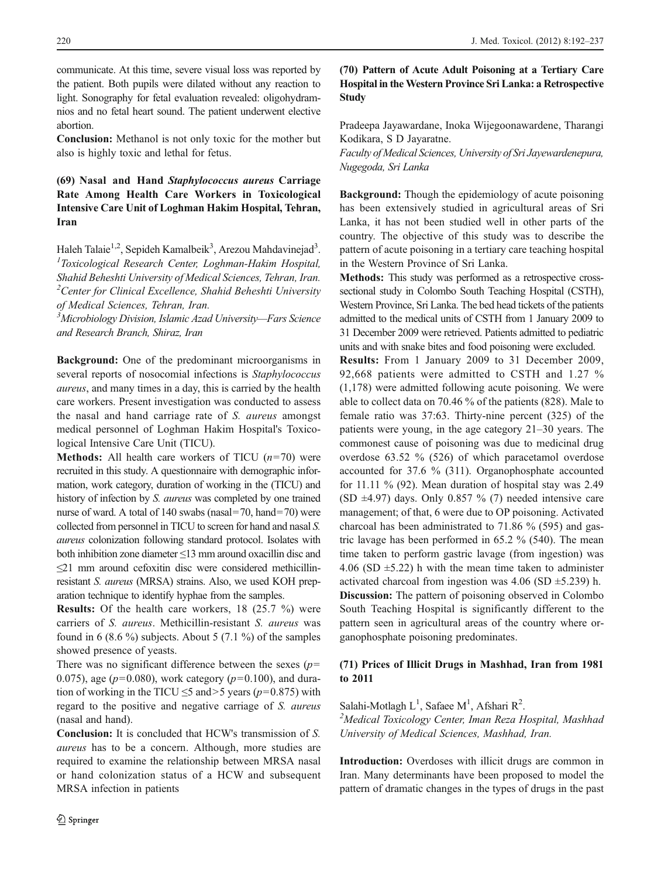communicate. At this time, severe visual loss was reported by the patient. Both pupils were dilated without any reaction to light. Sonography for fetal evaluation revealed: oligohydramnios and no fetal heart sound. The patient underwent elective abortion.

Conclusion: Methanol is not only toxic for the mother but also is highly toxic and lethal for fetus.

# (69) Nasal and Hand Staphylococcus aureus Carriage Rate Among Health Care Workers in Toxicological Intensive Care Unit of Loghman Hakim Hospital, Tehran, Iran

Haleh Talaie<sup>1,2</sup>, Sepideh Kamalbeik<sup>3</sup>, Arezou Mahdavinejad<sup>3</sup>.<br><sup>1</sup> Toxicological, Bassarsh, Center, Loghman, Hakim, Hospital.  $T$ Toxicological Research Center, Loghman-Hakim Hospital, Shahid Beheshti University of Medical Sciences, Tehran, Iran.  $2$ Center for Clinical Excellence, Shahid Beheshti University of Medical Sciences, Tehran, Iran.

<sup>3</sup>Microbiology Division, Islamic Azad University-Fars Science and Research Branch, Shiraz, Iran

Background: One of the predominant microorganisms in several reports of nosocomial infections is *Staphylococcus* aureus, and many times in a day, this is carried by the health care workers. Present investigation was conducted to assess the nasal and hand carriage rate of S. aureus amongst medical personnel of Loghman Hakim Hospital's Toxicological Intensive Care Unit (TICU).

**Methods:** All health care workers of TICU  $(n=70)$  were recruited in this study. A questionnaire with demographic information, work category, duration of working in the (TICU) and history of infection by S. aureus was completed by one trained nurse of ward. A total of 140 swabs (nasal=70, hand=70) were collected from personnel in TICU to screen for hand and nasal S. aureus colonization following standard protocol. Isolates with both inhibition zone diameter ≤13 mm around oxacillin disc and ≤21 mm around cefoxitin disc were considered methicillinresistant S. aureus (MRSA) strains. Also, we used KOH preparation technique to identify hyphae from the samples.

Results: Of the health care workers, 18 (25.7 %) were carriers of S. aureus. Methicillin-resistant S. aureus was found in 6 (8.6 %) subjects. About 5 (7.1 %) of the samples showed presence of yeasts.

There was no significant difference between the sexes  $(p=$ 0.075), age ( $p=0.080$ ), work category ( $p=0.100$ ), and duration of working in the TICU  $\leq$ 5 and>5 years (p=0.875) with regard to the positive and negative carriage of S. aureus (nasal and hand).

Conclusion: It is concluded that HCW's transmission of S. aureus has to be a concern. Although, more studies are required to examine the relationship between MRSA nasal or hand colonization status of a HCW and subsequent MRSA infection in patients

# (70) Pattern of Acute Adult Poisoning at a Tertiary Care Hospital in the Western Province Sri Lanka: a Retrospective Study

Pradeepa Jayawardane, Inoka Wijegoonawardene, Tharangi Kodikara, S D Jayaratne.

Faculty of Medical Sciences, University of Sri Jayewardenepura, Nugegoda, Sri Lanka

Background: Though the epidemiology of acute poisoning has been extensively studied in agricultural areas of Sri Lanka, it has not been studied well in other parts of the country. The objective of this study was to describe the pattern of acute poisoning in a tertiary care teaching hospital in the Western Province of Sri Lanka.

Methods: This study was performed as a retrospective crosssectional study in Colombo South Teaching Hospital (CSTH), Western Province, Sri Lanka. The bed head tickets of the patients admitted to the medical units of CSTH from 1 January 2009 to 31 December 2009 were retrieved. Patients admitted to pediatric units and with snake bites and food poisoning were excluded.

Results: From 1 January 2009 to 31 December 2009, 92,668 patients were admitted to CSTH and 1.27 % (1,178) were admitted following acute poisoning. We were able to collect data on 70.46 % of the patients (828). Male to female ratio was 37:63. Thirty-nine percent (325) of the patients were young, in the age category 21–30 years. The commonest cause of poisoning was due to medicinal drug overdose 63.52 % (526) of which paracetamol overdose accounted for 37.6 % (311). Organophosphate accounted for 11.11 % (92). Mean duration of hospital stay was 2.49 (SD  $\pm$ 4.97) days. Only 0.857 % (7) needed intensive care management; of that, 6 were due to OP poisoning. Activated charcoal has been administrated to 71.86 % (595) and gastric lavage has been performed in 65.2 % (540). The mean time taken to perform gastric lavage (from ingestion) was 4.06 (SD  $\pm$ 5.22) h with the mean time taken to administer activated charcoal from ingestion was  $4.06$  (SD  $\pm$ 5.239) h. Discussion: The pattern of poisoning observed in Colombo South Teaching Hospital is significantly different to the pattern seen in agricultural areas of the country where organophosphate poisoning predominates.

#### (71) Prices of Illicit Drugs in Mashhad, Iran from 1981 to 2011

Salahi-Motlagh  $L^1$ , Safaee M<sup>1</sup>, Afshari R<sup>2</sup>.<br><sup>2</sup>Mediaal Toxicology Center, Inon Reze F.

<sup>2</sup>Medical Toxicology Center, Iman Reza Hospital, Mashhad University of Medical Sciences, Mashhad, Iran.

Introduction: Overdoses with illicit drugs are common in Iran. Many determinants have been proposed to model the pattern of dramatic changes in the types of drugs in the past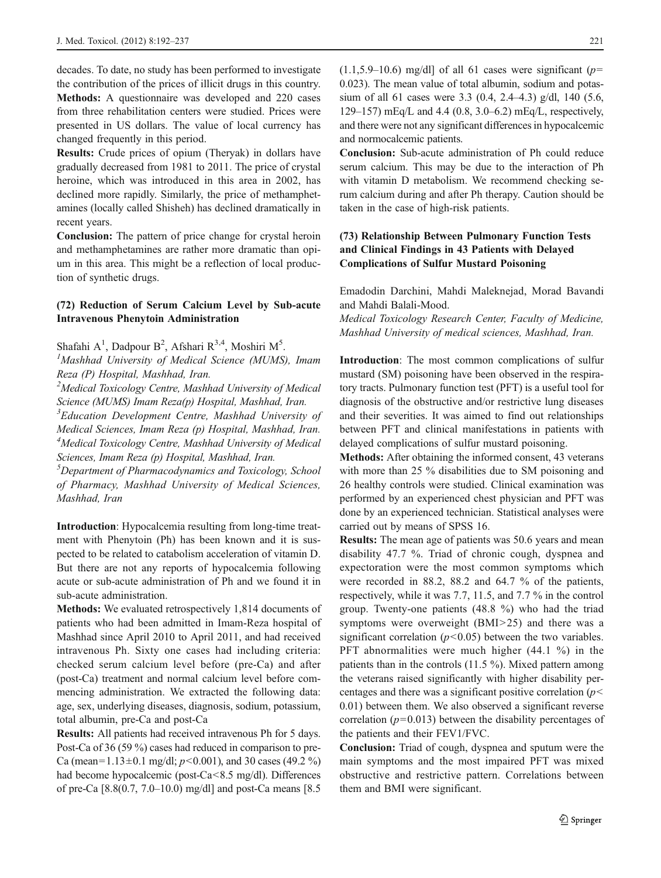decades. To date, no study has been performed to investigate the contribution of the prices of illicit drugs in this country. Methods: A questionnaire was developed and 220 cases from three rehabilitation centers were studied. Prices were presented in US dollars. The value of local currency has changed frequently in this period.

Results: Crude prices of opium (Theryak) in dollars have gradually decreased from 1981 to 2011. The price of crystal heroine, which was introduced in this area in 2002, has declined more rapidly. Similarly, the price of methamphetamines (locally called Shisheh) has declined dramatically in recent years.

Conclusion: The pattern of price change for crystal heroin and methamphetamines are rather more dramatic than opium in this area. This might be a reflection of local production of synthetic drugs.

#### (72) Reduction of Serum Calcium Level by Sub-acute Intravenous Phenytoin Administration

Shafahi A<sup>1</sup>, Dadpour B<sup>2</sup>, Afshari R<sup>3,4</sup>, Moshiri M<sup>5</sup>.<br><sup>1</sup>Mashhad University of Medical Science (MUMS)

<sup>1</sup>Mashhad University of Medical Science (MUMS), Imam Reza (P) Hospital, Mashhad, Iran.

<sup>2</sup>Medical Toxicology Centre, Mashhad University of Medical Science (MUMS) Imam Reza(p) Hospital, Mashhad, Iran.

<sup>3</sup>Education Development Centre, Mashhad University of Medical Sciences, Imam Reza (p) Hospital, Mashhad, Iran. <sup>4</sup>Medical Toxicology Centre, Mashhad University of Medical Sciences, Imam Reza (p) Hospital, Mashhad, Iran.

<sup>5</sup>Department of Pharmacodynamics and Toxicology, School of Pharmacy, Mashhad University of Medical Sciences, Mashhad, Iran

Introduction: Hypocalcemia resulting from long-time treatment with Phenytoin (Ph) has been known and it is suspected to be related to catabolism acceleration of vitamin D. But there are not any reports of hypocalcemia following acute or sub-acute administration of Ph and we found it in sub-acute administration.

Methods: We evaluated retrospectively 1,814 documents of patients who had been admitted in Imam-Reza hospital of Mashhad since April 2010 to April 2011, and had received intravenous Ph. Sixty one cases had including criteria: checked serum calcium level before (pre-Ca) and after (post-Ca) treatment and normal calcium level before commencing administration. We extracted the following data: age, sex, underlying diseases, diagnosis, sodium, potassium, total albumin, pre-Ca and post-Ca

Results: All patients had received intravenous Ph for 5 days. Post-Ca of 36 (59 %) cases had reduced in comparison to pre-Ca (mean=1.13±0.1 mg/dl;  $p$ <0.001), and 30 cases (49.2 %) had become hypocalcemic (post-Ca<8.5 mg/dl). Differences of pre-Ca [8.8(0.7, 7.0–10.0) mg/dl] and post-Ca means [8.5  $(1.1.5.9-10.6)$  mg/dll of all 61 cases were significant (p= 0.023). The mean value of total albumin, sodium and potassium of all 61 cases were 3.3 (0.4, 2.4–4.3) g/dl, 140 (5.6, 129–157) mEq/L and 4.4 (0.8, 3.0–6.2) mEq/L, respectively, and there were not any significant differences in hypocalcemic and normocalcemic patients.

Conclusion: Sub-acute administration of Ph could reduce serum calcium. This may be due to the interaction of Ph with vitamin D metabolism. We recommend checking serum calcium during and after Ph therapy. Caution should be taken in the case of high-risk patients.

# (73) Relationship Between Pulmonary Function Tests and Clinical Findings in 43 Patients with Delayed Complications of Sulfur Mustard Poisoning

Emadodin Darchini, Mahdi Maleknejad, Morad Bavandi and Mahdi Balali-Mood.

Medical Toxicology Research Center, Faculty of Medicine, Mashhad University of medical sciences, Mashhad, Iran.

Introduction: The most common complications of sulfur mustard (SM) poisoning have been observed in the respiratory tracts. Pulmonary function test (PFT) is a useful tool for diagnosis of the obstructive and/or restrictive lung diseases and their severities. It was aimed to find out relationships between PFT and clinical manifestations in patients with delayed complications of sulfur mustard poisoning.

Methods: After obtaining the informed consent, 43 veterans with more than 25 % disabilities due to SM poisoning and 26 healthy controls were studied. Clinical examination was performed by an experienced chest physician and PFT was done by an experienced technician. Statistical analyses were carried out by means of SPSS 16.

Results: The mean age of patients was 50.6 years and mean disability 47.7 %. Triad of chronic cough, dyspnea and expectoration were the most common symptoms which were recorded in 88.2, 88.2 and 64.7 % of the patients, respectively, while it was 7.7, 11.5, and 7.7 % in the control group. Twenty-one patients (48.8 %) who had the triad symptoms were overweight (BMI>25) and there was a significant correlation  $(p<0.05)$  between the two variables. PFT abnormalities were much higher (44.1 %) in the patients than in the controls (11.5 %). Mixed pattern among the veterans raised significantly with higher disability percentages and there was a significant positive correlation  $(p<$ 0.01) between them. We also observed a significant reverse correlation ( $p=0.013$ ) between the disability percentages of the patients and their FEV1/FVC.

Conclusion: Triad of cough, dyspnea and sputum were the main symptoms and the most impaired PFT was mixed obstructive and restrictive pattern. Correlations between them and BMI were significant.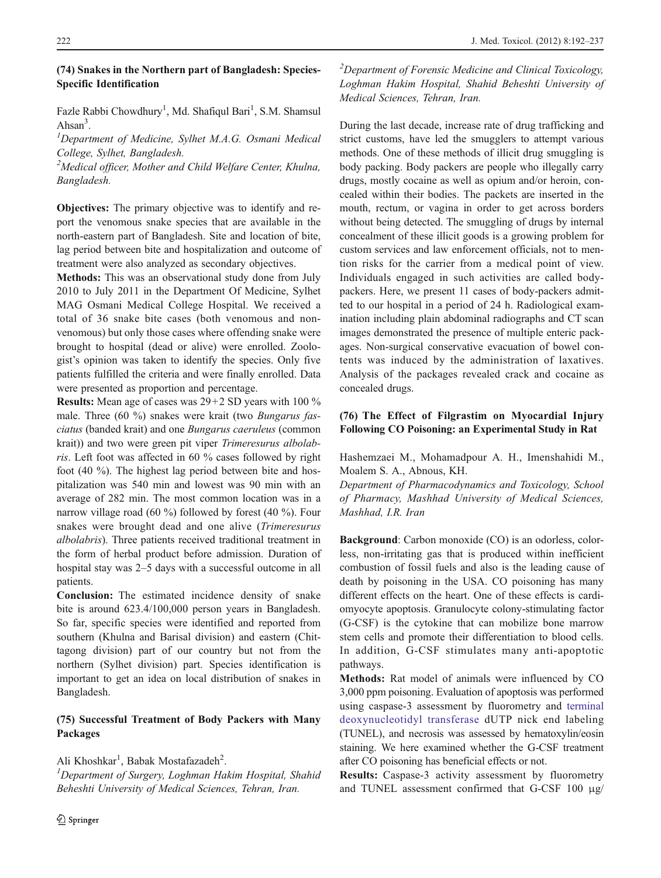# (74) Snakes in the Northern part of Bangladesh: Species-Specific Identification

Fazle Rabbi Chowdhury<sup>1</sup>, Md. Shafiqul Bari<sup>1</sup>, S.M. Shamsul Ahsan<sup>3</sup>.<br> $\frac{1}{2}$ 

 ${}^{1}$ Department of Medicine, Sylhet M.A.G. Osmani Medical College, Sylhet, Bangladesh.

 $2$ Medical officer, Mother and Child Welfare Center, Khulna, Bangladesh.

Objectives: The primary objective was to identify and report the venomous snake species that are available in the north-eastern part of Bangladesh. Site and location of bite, lag period between bite and hospitalization and outcome of treatment were also analyzed as secondary objectives.

Methods: This was an observational study done from July 2010 to July 2011 in the Department Of Medicine, Sylhet MAG Osmani Medical College Hospital. We received a total of 36 snake bite cases (both venomous and nonvenomous) but only those cases where offending snake were brought to hospital (dead or alive) were enrolled. Zoologist's opinion was taken to identify the species. Only five patients fulfilled the criteria and were finally enrolled. Data were presented as proportion and percentage.

Results: Mean age of cases was 29+2 SD years with 100 % male. Three (60 %) snakes were krait (two Bungarus fasciatus (banded krait) and one Bungarus caeruleus (common krait)) and two were green pit viper Trimeresurus albolabris. Left foot was affected in 60 % cases followed by right foot (40 %). The highest lag period between bite and hospitalization was 540 min and lowest was 90 min with an average of 282 min. The most common location was in a narrow village road (60 %) followed by forest (40 %). Four snakes were brought dead and one alive (Trimeresurus albolabris). Three patients received traditional treatment in the form of herbal product before admission. Duration of hospital stay was 2–5 days with a successful outcome in all patients.

Conclusion: The estimated incidence density of snake bite is around 623.4/100,000 person years in Bangladesh. So far, specific species were identified and reported from southern (Khulna and Barisal division) and eastern (Chittagong division) part of our country but not from the northern (Sylhet division) part. Species identification is important to get an idea on local distribution of snakes in Bangladesh.

# (75) Successful Treatment of Body Packers with Many Packages

Ali Khoshkar<sup>1</sup>, Babak Mostafazadeh<sup>2</sup>.<br><sup>1</sup>Denartment of Surgery Loghman Ha

<sup>1</sup>Department of Surgery, Loghman Hakim Hospital, Shahid Beheshti University of Medical Sciences, Tehran, Iran.

 $2$ Department of Forensic Medicine and Clinical Toxicology, Loghman Hakim Hospital, Shahid Beheshti University of Medical Sciences, Tehran, Iran.

During the last decade, increase rate of drug trafficking and strict customs, have led the smugglers to attempt various methods. One of these methods of illicit drug smuggling is body packing. Body packers are people who illegally carry drugs, mostly cocaine as well as opium and/or heroin, concealed within their bodies. The packets are inserted in the mouth, rectum, or vagina in order to get across borders without being detected. The smuggling of drugs by internal concealment of these illicit goods is a growing problem for custom services and law enforcement officials, not to mention risks for the carrier from a medical point of view. Individuals engaged in such activities are called bodypackers. Here, we present 11 cases of body-packers admitted to our hospital in a period of 24 h. Radiological examination including plain abdominal radiographs and CT scan images demonstrated the presence of multiple enteric packages. Non-surgical conservative evacuation of bowel contents was induced by the administration of laxatives. Analysis of the packages revealed crack and cocaine as concealed drugs.

# (76) The Effect of Filgrastim on Myocardial Injury Following CO Poisoning: an Experimental Study in Rat

Hashemzaei M., Mohamadpour A. H., Imenshahidi M., Moalem S. A., Abnous, KH.

Department of Pharmacodynamics and Toxicology, School of Pharmacy, Mashhad University of Medical Sciences, Mashhad, I.R. Iran

Background: Carbon monoxide (CO) is an odorless, colorless, non-irritating gas that is produced within inefficient combustion of fossil fuels and also is the leading cause of death by poisoning in the USA. CO poisoning has many different effects on the heart. One of these effects is cardiomyocyte apoptosis. Granulocyte colony-stimulating factor (G-CSF) is the cytokine that can mobilize bone marrow stem cells and promote their differentiation to blood cells. In addition, G-CSF stimulates many anti-apoptotic pathways.

Methods: Rat model of animals were influenced by CO 3,000 ppm poisoning. Evaluation of apoptosis was performed using caspase-3 assessment by fluorometry and [terminal](http://en.wikipedia.org/wiki/Terminal_deoxynucleotidyl_transferase) [deoxynucleotidyl transferase](http://en.wikipedia.org/wiki/Terminal_deoxynucleotidyl_transferase) dUTP nick end labeling (TUNEL), and necrosis was assessed by hematoxylin/eosin staining. We here examined whether the G-CSF treatment after CO poisoning has beneficial effects or not.

Results: Caspase-3 activity assessment by fluorometry and TUNEL assessment confirmed that G-CSF 100 μg/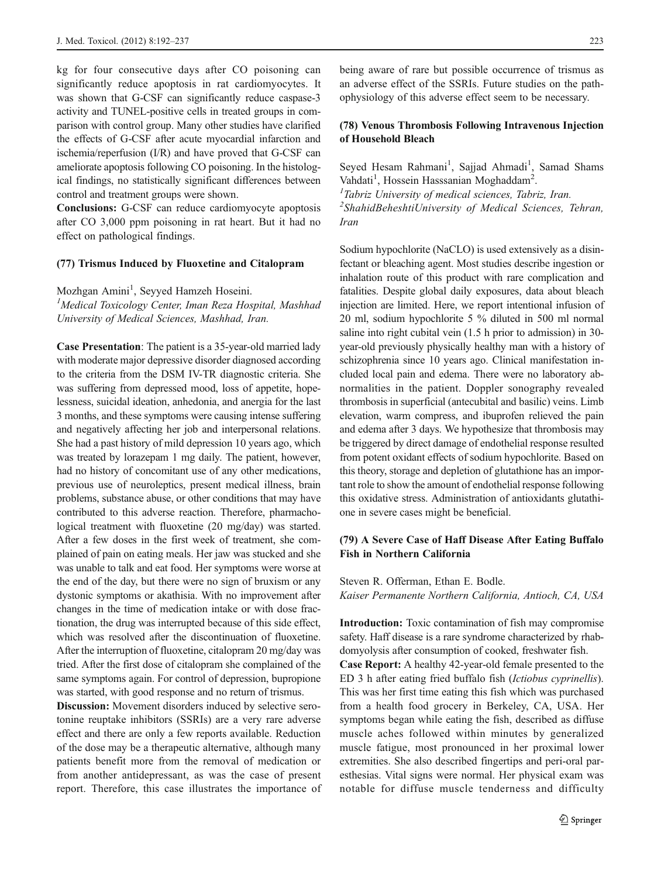kg for four consecutive days after CO poisoning can significantly reduce apoptosis in rat cardiomyocytes. It was shown that G-CSF can significantly reduce caspase-3 activity and TUNEL-positive cells in treated groups in comparison with control group. Many other studies have clarified the effects of G-CSF after acute myocardial infarction and ischemia/reperfusion (I/R) and have proved that G-CSF can ameliorate apoptosis following CO poisoning. In the histological findings, no statistically significant differences between control and treatment groups were shown.

Conclusions: G-CSF can reduce cardiomyocyte apoptosis after CO 3,000 ppm poisoning in rat heart. But it had no effect on pathological findings.

#### (77) Trismus Induced by Fluoxetine and Citalopram

Mozhgan Amini<sup>1</sup>, Seyyed Hamzeh Hoseini.<br><sup>1</sup>Medical Toxicology Center, Iman Reza Hos <sup>1</sup>Medical Toxicology Center, Iman Reza Hospital, Mashhad University of Medical Sciences, Mashhad, Iran.

Case Presentation: The patient is a 35-year-old married lady with moderate major depressive disorder diagnosed according to the criteria from the DSM IV-TR diagnostic criteria. She was suffering from depressed mood, loss of appetite, hopelessness, suicidal ideation, anhedonia, and anergia for the last 3 months, and these symptoms were causing intense suffering and negatively affecting her job and interpersonal relations. She had a past history of mild depression 10 years ago, which was treated by lorazepam 1 mg daily. The patient, however, had no history of concomitant use of any other medications, previous use of neuroleptics, present medical illness, brain problems, substance abuse, or other conditions that may have contributed to this adverse reaction. Therefore, pharmachological treatment with fluoxetine (20 mg/day) was started. After a few doses in the first week of treatment, she complained of pain on eating meals. Her jaw was stucked and she was unable to talk and eat food. Her symptoms were worse at the end of the day, but there were no sign of bruxism or any dystonic symptoms or akathisia. With no improvement after changes in the time of medication intake or with dose fractionation, the drug was interrupted because of this side effect, which was resolved after the discontinuation of fluoxetine. After the interruption of fluoxetine, citalopram 20 mg/day was tried. After the first dose of citalopram she complained of the same symptoms again. For control of depression, bupropione was started, with good response and no return of trismus.

Discussion: Movement disorders induced by selective serotonine reuptake inhibitors (SSRIs) are a very rare adverse effect and there are only a few reports available. Reduction of the dose may be a therapeutic alternative, although many patients benefit more from the removal of medication or from another antidepressant, as was the case of present report. Therefore, this case illustrates the importance of being aware of rare but possible occurrence of trismus as an adverse effect of the SSRIs. Future studies on the pathophysiology of this adverse effect seem to be necessary.

## (78) Venous Thrombosis Following Intravenous Injection of Household Bleach

Seyed Hesam Rahmani<sup>1</sup>, Sajjad Ahmadi<sup>1</sup>, Samad Shams Vahdati<sup>1</sup>, Hossein Hasssanian Moghaddam<sup>2</sup>.<br><sup>1</sup>Tabriz University of medical sciences, Tabr

 $I$ Tabriz University of medical sciences, Tabriz, Iran.

<sup>2</sup>ShahidBeheshtiUniversity of Medical Sciences, Tehran, Iran

Sodium hypochlorite (NaCLO) is used extensively as a disinfectant or bleaching agent. Most studies describe ingestion or inhalation route of this product with rare complication and fatalities. Despite global daily exposures, data about bleach injection are limited. Here, we report intentional infusion of 20 ml, sodium hypochlorite 5 % diluted in 500 ml normal saline into right cubital vein (1.5 h prior to admission) in 30 year-old previously physically healthy man with a history of schizophrenia since 10 years ago. Clinical manifestation included local pain and edema. There were no laboratory abnormalities in the patient. Doppler sonography revealed thrombosis in superficial (antecubital and basilic) veins. Limb elevation, warm compress, and ibuprofen relieved the pain and edema after 3 days. We hypothesize that thrombosis may be triggered by direct damage of endothelial response resulted from potent oxidant effects of sodium hypochlorite. Based on this theory, storage and depletion of glutathione has an important role to show the amount of endothelial response following this oxidative stress. Administration of antioxidants glutathione in severe cases might be beneficial.

## (79) A Severe Case of Haff Disease After Eating Buffalo Fish in Northern California

# Steven R. Offerman, Ethan E. Bodle. Kaiser Permanente Northern California, Antioch, CA, USA

Introduction: Toxic contamination of fish may compromise safety. Haff disease is a rare syndrome characterized by rhabdomyolysis after consumption of cooked, freshwater fish.

Case Report: A healthy 42-year-old female presented to the ED 3 h after eating fried buffalo fish (Ictiobus cyprinellis). This was her first time eating this fish which was purchased from a health food grocery in Berkeley, CA, USA. Her symptoms began while eating the fish, described as diffuse muscle aches followed within minutes by generalized muscle fatigue, most pronounced in her proximal lower extremities. She also described fingertips and peri-oral paresthesias. Vital signs were normal. Her physical exam was notable for diffuse muscle tenderness and difficulty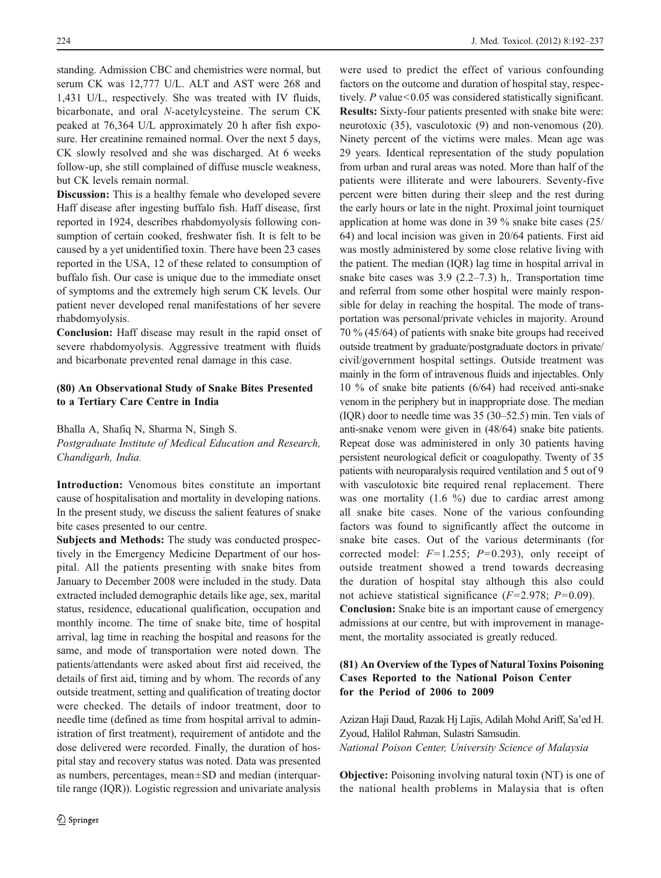standing. Admission CBC and chemistries were normal, but serum CK was 12,777 U/L. ALT and AST were 268 and 1,431 U/L, respectively. She was treated with IV fluids, bicarbonate, and oral N-acetylcysteine. The serum CK peaked at 76,364 U/L approximately 20 h after fish exposure. Her creatinine remained normal. Over the next 5 days, CK slowly resolved and she was discharged. At 6 weeks follow-up, she still complained of diffuse muscle weakness, but CK levels remain normal.

Discussion: This is a healthy female who developed severe Haff disease after ingesting buffalo fish. Haff disease, first reported in 1924, describes rhabdomyolysis following consumption of certain cooked, freshwater fish. It is felt to be caused by a yet unidentified toxin. There have been 23 cases reported in the USA, 12 of these related to consumption of buffalo fish. Our case is unique due to the immediate onset of symptoms and the extremely high serum CK levels. Our patient never developed renal manifestations of her severe rhabdomyolysis.

Conclusion: Haff disease may result in the rapid onset of severe rhabdomyolysis. Aggressive treatment with fluids and bicarbonate prevented renal damage in this case.

#### (80) An Observational Study of Snake Bites Presented to a Tertiary Care Centre in India

Bhalla A, Shafiq N, Sharma N, Singh S.

Postgraduate Institute of Medical Education and Research, Chandigarh, India.

Introduction: Venomous bites constitute an important cause of hospitalisation and mortality in developing nations. In the present study, we discuss the salient features of snake bite cases presented to our centre.

Subjects and Methods: The study was conducted prospectively in the Emergency Medicine Department of our hospital. All the patients presenting with snake bites from January to December 2008 were included in the study. Data extracted included demographic details like age, sex, marital status, residence, educational qualification, occupation and monthly income. The time of snake bite, time of hospital arrival, lag time in reaching the hospital and reasons for the same, and mode of transportation were noted down. The patients/attendants were asked about first aid received, the details of first aid, timing and by whom. The records of any outside treatment, setting and qualification of treating doctor were checked. The details of indoor treatment, door to needle time (defined as time from hospital arrival to administration of first treatment), requirement of antidote and the dose delivered were recorded. Finally, the duration of hospital stay and recovery status was noted. Data was presented as numbers, percentages, mean±SD and median (interquartile range (IQR)). Logistic regression and univariate analysis

were used to predict the effect of various confounding factors on the outcome and duration of hospital stay, respectively. P value<0.05 was considered statistically significant. Results: Sixty-four patients presented with snake bite were: neurotoxic (35), vasculotoxic (9) and non-venomous (20). Ninety percent of the victims were males. Mean age was 29 years. Identical representation of the study population from urban and rural areas was noted. More than half of the patients were illiterate and were labourers. Seventy-five percent were bitten during their sleep and the rest during the early hours or late in the night. Proximal joint tourniquet application at home was done in 39 % snake bite cases (25/ 64) and local incision was given in 20/64 patients. First aid was mostly administered by some close relative living with the patient. The median (IQR) lag time in hospital arrival in snake bite cases was 3.9 (2.2–7.3) h,. Transportation time and referral from some other hospital were mainly responsible for delay in reaching the hospital. The mode of transportation was personal/private vehicles in majority. Around 70 % (45/64) of patients with snake bite groups had received outside treatment by graduate/postgraduate doctors in private/ civil/government hospital settings. Outside treatment was mainly in the form of intravenous fluids and injectables. Only 10 % of snake bite patients (6/64) had received anti-snake venom in the periphery but in inappropriate dose. The median (IQR) door to needle time was 35 (30–52.5) min. Ten vials of anti-snake venom were given in (48/64) snake bite patients. Repeat dose was administered in only 30 patients having persistent neurological deficit or coagulopathy. Twenty of 35 patients with neuroparalysis required ventilation and 5 out of 9 with vasculotoxic bite required renal replacement. There was one mortality (1.6 %) due to cardiac arrest among all snake bite cases. None of the various confounding factors was found to significantly affect the outcome in snake bite cases. Out of the various determinants (for corrected model:  $F=1.255$ ;  $P=0.293$ ), only receipt of outside treatment showed a trend towards decreasing the duration of hospital stay although this also could not achieve statistical significance ( $F=2.978$ ;  $P=0.09$ ). Conclusion: Snake bite is an important cause of emergency

admissions at our centre, but with improvement in management, the mortality associated is greatly reduced.

# (81) An Overview of the Types of Natural Toxins Poisoning Cases Reported to the National Poison Center for the Period of 2006 to 2009

Azizan Haji Daud, Razak Hj Lajis, Adilah Mohd Ariff, Sa'ed H. Zyoud, Halilol Rahman, Sulastri Samsudin. National Poison Center, University Science of Malaysia

Objective: Poisoning involving natural toxin (NT) is one of the national health problems in Malaysia that is often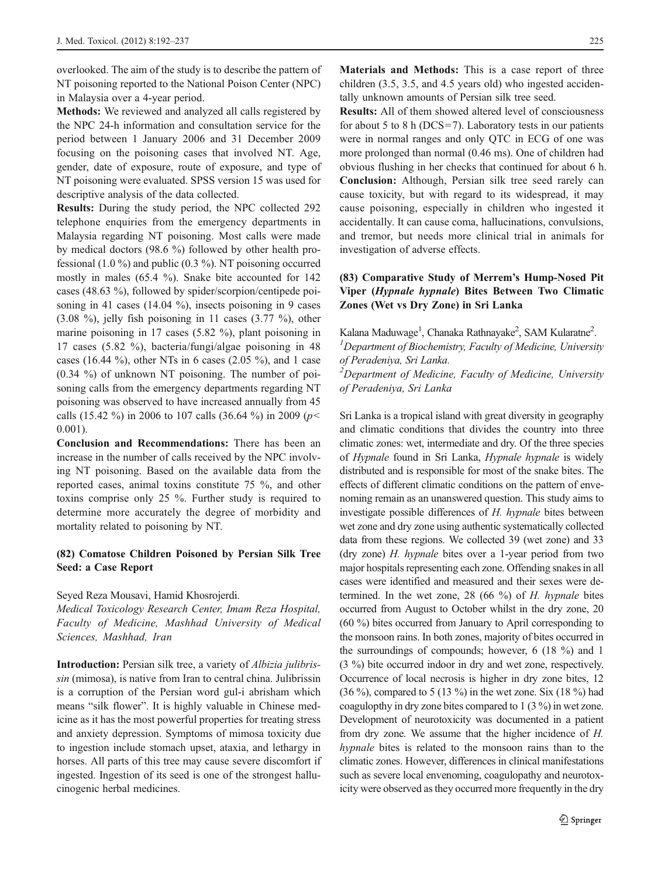overlooked. The aim of the study is to describe the pattern of NT poisoning reported to the National Poison Center (NPC) in Malaysia over a 4-year period.

Methods: We reviewed and analyzed all calls registered by the NPC 24-h information and consultation service for the period between 1 January 2006 and 31 December 2009 focusing on the poisoning cases that involved NT. Age, gender, date of exposure, route of exposure, and type of NT poisoning were evaluated. SPSS version 15 was used for descriptive analysis of the data collected.

Results: During the study period, the NPC collected 292 telephone enquiries from the emergency departments in Malaysia regarding NT poisoning. Most calls were made by medical doctors (98.6 %) followed by other health professional (1.0 %) and public (0.3 %). NT poisoning occurred mostly in males (65.4 %). Snake bite accounted for 142 cases (48.63 %), followed by spider/scorpion/centipede poisoning in 41 cases (14.04 %), insects poisoning in 9 cases (3.08 %), jelly fish poisoning in 11 cases (3.77 %), other marine poisoning in 17 cases (5.82 %), plant poisoning in 17 cases (5.82 %), bacteria/fungi/algae poisoning in 48 cases (16.44 %), other NTs in 6 cases (2.05 %), and 1 case (0.34 %) of unknown NT poisoning. The number of poisoning calls from the emergency departments regarding NT poisoning was observed to have increased annually from 45 calls (15.42 %) in 2006 to 107 calls (36.64 %) in 2009 ( $p$  < 0.001).

Conclusion and Recommendations: There has been an increase in the number of calls received by the NPC involving NT poisoning. Based on the available data from the reported cases, animal toxins constitute 75 %, and other toxins comprise only 25 %. Further study is required to determine more accurately the degree of morbidity and mortality related to poisoning by NT.

## (82) Comatose Children Poisoned by Persian Silk Tree Seed: a Case Report

#### Seyed Reza Mousavi, Hamid Khosrojerdi.

Medical Toxicology Research Center, Imam Reza Hospital, Faculty of Medicine, Mashhad University of Medical Sciences, Mashhad, Iran

Introduction: Persian silk tree, a variety of Albizia julibrissin (mimosa), is native from Iran to central china. Julibrissin is a corruption of the Persian word gul-i abrisham which means "silk flower". It is highly valuable in Chinese medicine as it has the most powerful properties for treating stress and anxiety depression. Symptoms of mimosa toxicity due to ingestion include stomach upset, ataxia, and lethargy in horses. All parts of this tree may cause severe discomfort if ingested. Ingestion of its seed is one of the strongest hallucinogenic herbal medicines.

Materials and Methods: This is a case report of three children (3.5, 3.5, and 4.5 years old) who ingested accidentally unknown amounts of Persian silk tree seed.

Results: All of them showed altered level of consciousness for about 5 to 8 h ( $DCS=7$ ). Laboratory tests in our patients were in normal ranges and only QTC in ECG of one was more prolonged than normal (0.46 ms). One of children had obvious flushing in her checks that continued for about 6 h. Conclusion: Although, Persian silk tree seed rarely can cause toxicity, but with regard to its widespread, it may cause poisoning, especially in children who ingested it accidentally. It can cause coma, hallucinations, convulsions, and tremor, but needs more clinical trial in animals for investigation of adverse effects.

# (83) Comparative Study of Merrem's Hump-Nosed Pit Viper (Hypnale hypnale) Bites Between Two Climatic Zones (Wet vs Dry Zone) in Sri Lanka

Kalana Maduwage<sup>1</sup>, Chanaka Rathnayake<sup>2</sup>, SAM Kularatne<sup>2</sup>.<br><sup>1</sup> Department of Riochamistry, Eaculty of Madicine, University

 $<sup>I</sup>$ Department of Biochemistry, Faculty of Medicine, University</sup> of Peradeniya, Sri Lanka.

 $2$ Department of Medicine, Faculty of Medicine, University of Peradeniya, Sri Lanka

Sri Lanka is a tropical island with great diversity in geography and climatic conditions that divides the country into three climatic zones: wet, intermediate and dry. Of the three species of Hypnale found in Sri Lanka, Hypnale hypnale is widely distributed and is responsible for most of the snake bites. The effects of different climatic conditions on the pattern of envenoming remain as an unanswered question. This study aims to investigate possible differences of H. hypnale bites between wet zone and dry zone using authentic systematically collected data from these regions. We collected 39 (wet zone) and 33 (dry zone) H. hypnale bites over a 1-year period from two major hospitals representing each zone. Offending snakes in all cases were identified and measured and their sexes were determined. In the wet zone, 28 (66  $\%$ ) of H. hypnale bites occurred from August to October whilst in the dry zone, 20 (60 %) bites occurred from January to April corresponding to the monsoon rains. In both zones, majority of bites occurred in the surroundings of compounds; however, 6 (18 %) and 1 (3 %) bite occurred indoor in dry and wet zone, respectively. Occurrence of local necrosis is higher in dry zone bites, 12  $(36\%)$ , compared to 5 (13 %) in the wet zone. Six (18 %) had coagulopthy in dry zone bites compared to 1 (3 %) in wet zone. Development of neurotoxicity was documented in a patient from dry zone. We assume that the higher incidence of H. hypnale bites is related to the monsoon rains than to the climatic zones. However, differences in clinical manifestations such as severe local envenoming, coagulopathy and neurotoxicity were observed as they occurred more frequently in the dry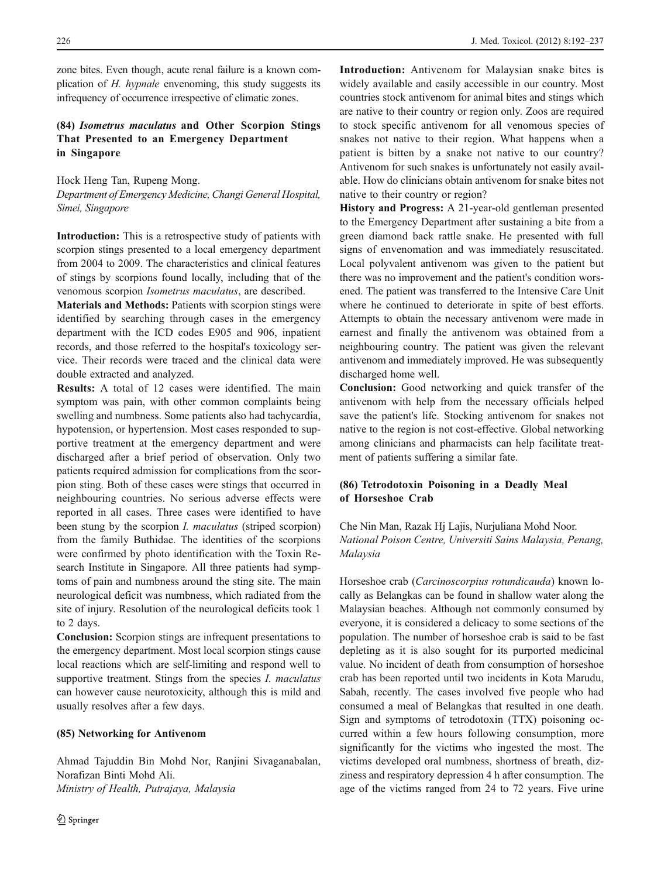zone bites. Even though, acute renal failure is a known complication of H. hypnale envenoming, this study suggests its infrequency of occurrence irrespective of climatic zones.

## (84) Isometrus maculatus and Other Scorpion Stings That Presented to an Emergency Department in Singapore

Hock Heng Tan, Rupeng Mong. Department of Emergency Medicine, Changi General Hospital, Simei, Singapore

Introduction: This is a retrospective study of patients with scorpion stings presented to a local emergency department from 2004 to 2009. The characteristics and clinical features of stings by scorpions found locally, including that of the venomous scorpion Isometrus maculatus, are described.

Materials and Methods: Patients with scorpion stings were identified by searching through cases in the emergency department with the ICD codes E905 and 906, inpatient records, and those referred to the hospital's toxicology service. Their records were traced and the clinical data were double extracted and analyzed.

Results: A total of 12 cases were identified. The main symptom was pain, with other common complaints being swelling and numbness. Some patients also had tachycardia, hypotension, or hypertension. Most cases responded to supportive treatment at the emergency department and were discharged after a brief period of observation. Only two patients required admission for complications from the scorpion sting. Both of these cases were stings that occurred in neighbouring countries. No serious adverse effects were reported in all cases. Three cases were identified to have been stung by the scorpion *I. maculatus* (striped scorpion) from the family Buthidae. The identities of the scorpions were confirmed by photo identification with the Toxin Research Institute in Singapore. All three patients had symptoms of pain and numbness around the sting site. The main neurological deficit was numbness, which radiated from the site of injury. Resolution of the neurological deficits took 1 to 2 days.

Conclusion: Scorpion stings are infrequent presentations to the emergency department. Most local scorpion stings cause local reactions which are self-limiting and respond well to supportive treatment. Stings from the species *I. maculatus* can however cause neurotoxicity, although this is mild and usually resolves after a few days.

#### (85) Networking for Antivenom

Ahmad Tajuddin Bin Mohd Nor, Ranjini Sivaganabalan, Norafizan Binti Mohd Ali. Ministry of Health, Putrajaya, Malaysia

Introduction: Antivenom for Malaysian snake bites is widely available and easily accessible in our country. Most countries stock antivenom for animal bites and stings which are native to their country or region only. Zoos are required to stock specific antivenom for all venomous species of snakes not native to their region. What happens when a patient is bitten by a snake not native to our country? Antivenom for such snakes is unfortunately not easily available. How do clinicians obtain antivenom for snake bites not native to their country or region?

History and Progress: A 21-year-old gentleman presented to the Emergency Department after sustaining a bite from a green diamond back rattle snake. He presented with full signs of envenomation and was immediately resuscitated. Local polyvalent antivenom was given to the patient but there was no improvement and the patient's condition worsened. The patient was transferred to the Intensive Care Unit where he continued to deteriorate in spite of best efforts. Attempts to obtain the necessary antivenom were made in earnest and finally the antivenom was obtained from a neighbouring country. The patient was given the relevant antivenom and immediately improved. He was subsequently discharged home well.

Conclusion: Good networking and quick transfer of the antivenom with help from the necessary officials helped save the patient's life. Stocking antivenom for snakes not native to the region is not cost-effective. Global networking among clinicians and pharmacists can help facilitate treatment of patients suffering a similar fate.

# (86) Tetrodotoxin Poisoning in a Deadly Meal of Horseshoe Crab

Che Nin Man, Razak Hj Lajis, Nurjuliana Mohd Noor. National Poison Centre, Universiti Sains Malaysia, Penang, Malaysia

Horseshoe crab (Carcinoscorpius rotundicauda) known locally as Belangkas can be found in shallow water along the Malaysian beaches. Although not commonly consumed by everyone, it is considered a delicacy to some sections of the population. The number of horseshoe crab is said to be fast depleting as it is also sought for its purported medicinal value. No incident of death from consumption of horseshoe crab has been reported until two incidents in Kota Marudu, Sabah, recently. The cases involved five people who had consumed a meal of Belangkas that resulted in one death. Sign and symptoms of tetrodotoxin (TTX) poisoning occurred within a few hours following consumption, more significantly for the victims who ingested the most. The victims developed oral numbness, shortness of breath, dizziness and respiratory depression 4 h after consumption. The age of the victims ranged from 24 to 72 years. Five urine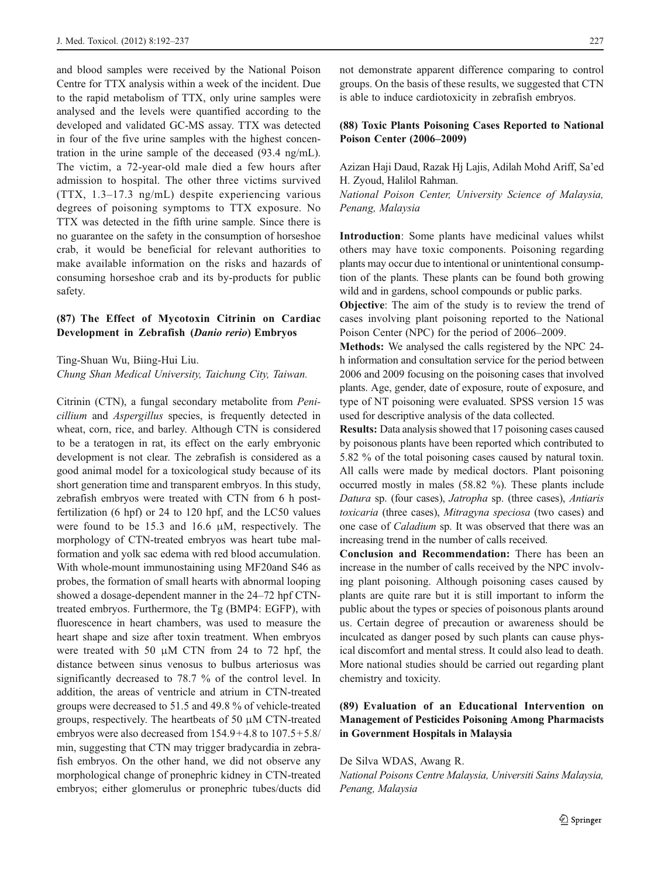and blood samples were received by the National Poison Centre for TTX analysis within a week of the incident. Due to the rapid metabolism of TTX, only urine samples were analysed and the levels were quantified according to the developed and validated GC-MS assay. TTX was detected in four of the five urine samples with the highest concentration in the urine sample of the deceased (93.4 ng/mL). The victim, a 72-year-old male died a few hours after admission to hospital. The other three victims survived (TTX, 1.3–17.3 ng/mL) despite experiencing various degrees of poisoning symptoms to TTX exposure. No TTX was detected in the fifth urine sample. Since there is no guarantee on the safety in the consumption of horseshoe crab, it would be beneficial for relevant authorities to make available information on the risks and hazards of consuming horseshoe crab and its by-products for public safety.

## (87) The Effect of Mycotoxin Citrinin on Cardiac Development in Zebrafish (Danio rerio) Embryos

Ting-Shuan Wu, Biing-Hui Liu. Chung Shan Medical University, Taichung City, Taiwan.

Citrinin (CTN), a fungal secondary metabolite from Penicillium and Aspergillus species, is frequently detected in wheat, corn, rice, and barley. Although CTN is considered to be a teratogen in rat, its effect on the early embryonic development is not clear. The zebrafish is considered as a good animal model for a toxicological study because of its short generation time and transparent embryos. In this study, zebrafish embryos were treated with CTN from 6 h postfertilization (6 hpf) or 24 to 120 hpf, and the LC50 values were found to be 15.3 and 16.6 μM, respectively. The morphology of CTN-treated embryos was heart tube malformation and yolk sac edema with red blood accumulation. With whole-mount immunostaining using MF20and S46 as probes, the formation of small hearts with abnormal looping showed a dosage-dependent manner in the 24–72 hpf CTNtreated embryos. Furthermore, the Tg (BMP4: EGFP), with fluorescence in heart chambers, was used to measure the heart shape and size after toxin treatment. When embryos were treated with 50  $\mu$ M CTN from 24 to 72 hpf, the distance between sinus venosus to bulbus arteriosus was significantly decreased to 78.7 % of the control level. In addition, the areas of ventricle and atrium in CTN-treated groups were decreased to 51.5 and 49.8 % of vehicle-treated groups, respectively. The heartbeats of 50 μM CTN-treated embryos were also decreased from 154.9+4.8 to 107.5+5.8/ min, suggesting that CTN may trigger bradycardia in zebrafish embryos. On the other hand, we did not observe any morphological change of pronephric kidney in CTN-treated embryos; either glomerulus or pronephric tubes/ducts did

not demonstrate apparent difference comparing to control groups. On the basis of these results, we suggested that CTN is able to induce cardiotoxicity in zebrafish embryos.

#### (88) Toxic Plants Poisoning Cases Reported to National Poison Center (2006–2009)

Azizan Haji Daud, Razak Hj Lajis, Adilah Mohd Ariff, Sa'ed H. Zyoud, Halilol Rahman.

National Poison Center, University Science of Malaysia, Penang, Malaysia

Introduction: Some plants have medicinal values whilst others may have toxic components. Poisoning regarding plants may occur due to intentional or unintentional consumption of the plants. These plants can be found both growing wild and in gardens, school compounds or public parks.

Objective: The aim of the study is to review the trend of cases involving plant poisoning reported to the National Poison Center (NPC) for the period of 2006–2009.

Methods: We analysed the calls registered by the NPC 24 h information and consultation service for the period between 2006 and 2009 focusing on the poisoning cases that involved plants. Age, gender, date of exposure, route of exposure, and type of NT poisoning were evaluated. SPSS version 15 was used for descriptive analysis of the data collected.

Results: Data analysis showed that 17 poisoning cases caused by poisonous plants have been reported which contributed to 5.82 % of the total poisoning cases caused by natural toxin. All calls were made by medical doctors. Plant poisoning occurred mostly in males (58.82 %). These plants include Datura sp. (four cases), Jatropha sp. (three cases), Antiaris toxicaria (three cases), Mitragyna speciosa (two cases) and one case of Caladium sp. It was observed that there was an increasing trend in the number of calls received.

Conclusion and Recommendation: There has been an increase in the number of calls received by the NPC involving plant poisoning. Although poisoning cases caused by plants are quite rare but it is still important to inform the public about the types or species of poisonous plants around us. Certain degree of precaution or awareness should be inculcated as danger posed by such plants can cause physical discomfort and mental stress. It could also lead to death. More national studies should be carried out regarding plant chemistry and toxicity.

# (89) Evaluation of an Educational Intervention on Management of Pesticides Poisoning Among Pharmacists in Government Hospitals in Malaysia

De Silva WDAS, Awang R.

National Poisons Centre Malaysia, Universiti Sains Malaysia, Penang, Malaysia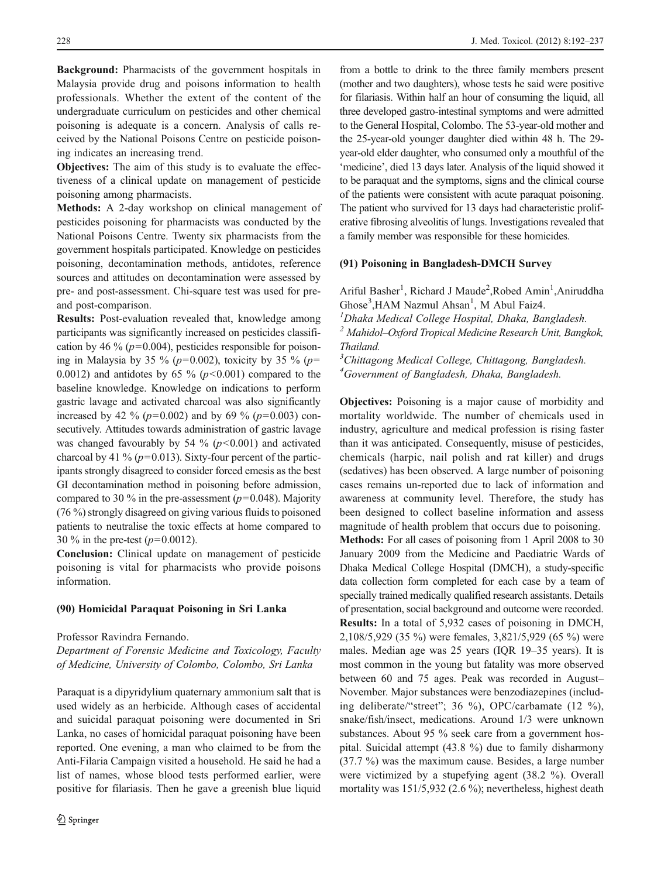Background: Pharmacists of the government hospitals in Malaysia provide drug and poisons information to health professionals. Whether the extent of the content of the undergraduate curriculum on pesticides and other chemical poisoning is adequate is a concern. Analysis of calls received by the National Poisons Centre on pesticide poisoning indicates an increasing trend.

Objectives: The aim of this study is to evaluate the effectiveness of a clinical update on management of pesticide poisoning among pharmacists.

Methods: A 2-day workshop on clinical management of pesticides poisoning for pharmacists was conducted by the National Poisons Centre. Twenty six pharmacists from the government hospitals participated. Knowledge on pesticides poisoning, decontamination methods, antidotes, reference sources and attitudes on decontamination were assessed by pre- and post-assessment. Chi-square test was used for preand post-comparison.

Results: Post-evaluation revealed that, knowledge among participants was significantly increased on pesticides classification by 46 % ( $p=0.004$ ), pesticides responsible for poisoning in Malaysia by 35 % ( $p=0.002$ ), toxicity by 35 % ( $p=$ 0.0012) and antidotes by 65 % ( $p$ <0.001) compared to the baseline knowledge. Knowledge on indications to perform gastric lavage and activated charcoal was also significantly increased by 42 % ( $p=0.002$ ) and by 69 % ( $p=0.003$ ) consecutively. Attitudes towards administration of gastric lavage was changed favourably by 54 % ( $p$ <0.001) and activated charcoal by 41 % ( $p=0.013$ ). Sixty-four percent of the participants strongly disagreed to consider forced emesis as the best GI decontamination method in poisoning before admission, compared to 30 % in the pre-assessment ( $p=0.048$ ). Majority (76 %) strongly disagreed on giving various fluids to poisoned patients to neutralise the toxic effects at home compared to 30 % in the pre-test  $(p=0.0012)$ .

Conclusion: Clinical update on management of pesticide poisoning is vital for pharmacists who provide poisons information.

#### (90) Homicidal Paraquat Poisoning in Sri Lanka

Professor Ravindra Fernando.

Department of Forensic Medicine and Toxicology, Faculty of Medicine, University of Colombo, Colombo, Sri Lanka

Paraquat is a dipyridylium quaternary ammonium salt that is used widely as an herbicide. Although cases of accidental and suicidal paraquat poisoning were documented in Sri Lanka, no cases of homicidal paraquat poisoning have been reported. One evening, a man who claimed to be from the Anti-Filaria Campaign visited a household. He said he had a list of names, whose blood tests performed earlier, were positive for filariasis. Then he gave a greenish blue liquid

from a bottle to drink to the three family members present (mother and two daughters), whose tests he said were positive for filariasis. Within half an hour of consuming the liquid, all three developed gastro-intestinal symptoms and were admitted to the General Hospital, Colombo. The 53-year-old mother and the 25-year-old younger daughter died within 48 h. The 29 year-old elder daughter, who consumed only a mouthful of the 'medicine', died 13 days later. Analysis of the liquid showed it to be paraquat and the symptoms, signs and the clinical course of the patients were consistent with acute paraquat poisoning. The patient who survived for 13 days had characteristic proliferative fibrosing alveolitis of lungs. Investigations revealed that a family member was responsible for these homicides.

#### (91) Poisoning in Bangladesh-DMCH Survey

Ariful Basher<sup>1</sup>, Richard J Maude<sup>2</sup>, Robed Amin<sup>1</sup>, Aniruddha Ghose<sup>3</sup>, HAM Nazmul Ahsan<sup>1</sup>, M Abul Faiz4.

 $<sup>1</sup>$ Dhaka Medical College Hospital, Dhaka, Bangladesh.</sup>

<sup>2</sup> Mahidol–Oxford Tropical Medicine Research Unit, Bangkok, Thailand.

<sup>3</sup>Chittagong Medical College, Chittagong, Bangladesh. 4 Government of Bangladesh, Dhaka, Bangladesh.

Objectives: Poisoning is a major cause of morbidity and mortality worldwide. The number of chemicals used in industry, agriculture and medical profession is rising faster than it was anticipated. Consequently, misuse of pesticides, chemicals (harpic, nail polish and rat killer) and drugs (sedatives) has been observed. A large number of poisoning cases remains un-reported due to lack of information and awareness at community level. Therefore, the study has been designed to collect baseline information and assess magnitude of health problem that occurs due to poisoning. Methods: For all cases of poisoning from 1 April 2008 to 30 January 2009 from the Medicine and Paediatric Wards of Dhaka Medical College Hospital (DMCH), a study-specific data collection form completed for each case by a team of specially trained medically qualified research assistants. Details of presentation, social background and outcome were recorded. Results: In a total of 5,932 cases of poisoning in DMCH, 2,108/5,929 (35 %) were females, 3,821/5,929 (65 %) were males. Median age was 25 years (IQR 19–35 years). It is most common in the young but fatality was more observed between 60 and 75 ages. Peak was recorded in August– November. Major substances were benzodiazepines (including deliberate/"street"; 36 %), OPC/carbamate (12 %), snake/fish/insect, medications. Around 1/3 were unknown substances. About 95 % seek care from a government hospital. Suicidal attempt (43.8 %) due to family disharmony (37.7 %) was the maximum cause. Besides, a large number were victimized by a stupefying agent (38.2 %). Overall mortality was 151/5,932 (2.6 %); nevertheless, highest death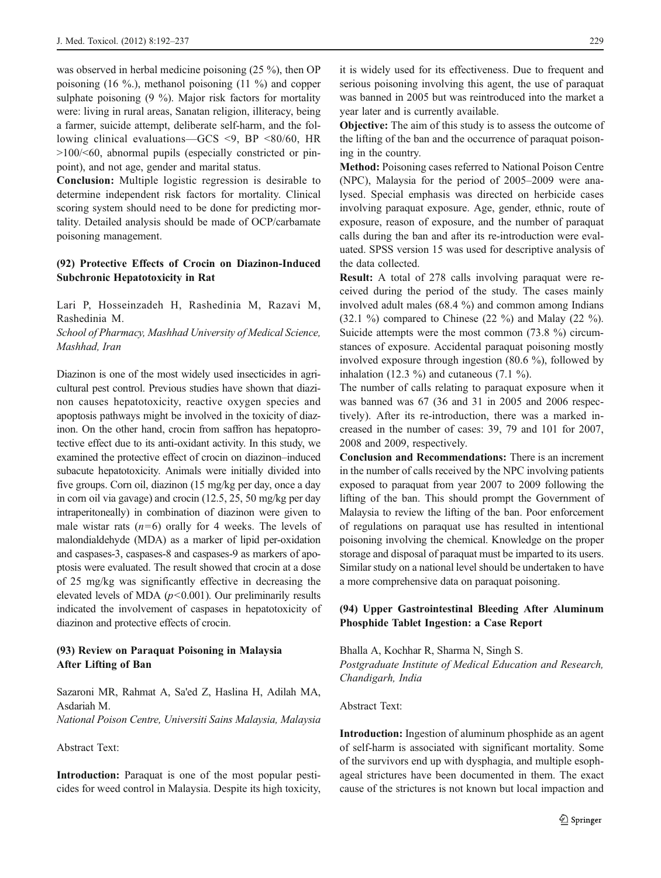was observed in herbal medicine poisoning (25 %), then OP poisoning (16 %.), methanol poisoning (11 %) and copper sulphate poisoning (9 %). Major risk factors for mortality were: living in rural areas, Sanatan religion, illiteracy, being a farmer, suicide attempt, deliberate self-harm, and the following clinical evaluations—GCS <9, BP <80/60, HR >100/<60, abnormal pupils (especially constricted or pinpoint), and not age, gender and marital status.

Conclusion: Multiple logistic regression is desirable to determine independent risk factors for mortality. Clinical scoring system should need to be done for predicting mortality. Detailed analysis should be made of OCP/carbamate poisoning management.

# (92) Protective Effects of Crocin on Diazinon-Induced Subchronic Hepatotoxicity in Rat

Lari P, Hosseinzadeh H, Rashedinia M, Razavi M, Rashedinia M.

School of Pharmacy, Mashhad University of Medical Science, Mashhad, Iran

Diazinon is one of the most widely used insecticides in agricultural pest control. Previous studies have shown that diazinon causes hepatotoxicity, reactive oxygen species and apoptosis pathways might be involved in the toxicity of diazinon. On the other hand, crocin from saffron has hepatoprotective effect due to its anti-oxidant activity. In this study, we examined the protective effect of crocin on diazinon–induced subacute hepatotoxicity. Animals were initially divided into five groups. Corn oil, diazinon (15 mg/kg per day, once a day in corn oil via gavage) and crocin (12.5, 25, 50 mg/kg per day intraperitoneally) in combination of diazinon were given to male wistar rats  $(n=6)$  orally for 4 weeks. The levels of malondialdehyde (MDA) as a marker of lipid per-oxidation and caspases-3, caspases-8 and caspases-9 as markers of apoptosis were evaluated. The result showed that crocin at a dose of 25 mg/kg was significantly effective in decreasing the elevated levels of MDA  $(p<0.001)$ . Our preliminarily results indicated the involvement of caspases in hepatotoxicity of diazinon and protective effects of crocin.

# (93) Review on Paraquat Poisoning in Malaysia After Lifting of Ban

Sazaroni MR, Rahmat A, Sa'ed Z, Haslina H, Adilah MA, Asdariah M. National Poison Centre, Universiti Sains Malaysia, Malaysia

#### Abstract Text:

Introduction: Paraquat is one of the most popular pesticides for weed control in Malaysia. Despite its high toxicity, it is widely used for its effectiveness. Due to frequent and serious poisoning involving this agent, the use of paraquat was banned in 2005 but was reintroduced into the market a year later and is currently available.

Objective: The aim of this study is to assess the outcome of the lifting of the ban and the occurrence of paraquat poisoning in the country.

Method: Poisoning cases referred to National Poison Centre (NPC), Malaysia for the period of 2005–2009 were analysed. Special emphasis was directed on herbicide cases involving paraquat exposure. Age, gender, ethnic, route of exposure, reason of exposure, and the number of paraquat calls during the ban and after its re-introduction were evaluated. SPSS version 15 was used for descriptive analysis of the data collected.

Result: A total of 278 calls involving paraquat were received during the period of the study. The cases mainly involved adult males (68.4 %) and common among Indians (32.1  $\%$ ) compared to Chinese (22  $\%$ ) and Malay (22  $\%$ ). Suicide attempts were the most common (73.8 %) circumstances of exposure. Accidental paraquat poisoning mostly involved exposure through ingestion (80.6 %), followed by inhalation (12.3  $\%$ ) and cutaneous (7.1  $\%$ ).

The number of calls relating to paraquat exposure when it was banned was 67 (36 and 31 in 2005 and 2006 respectively). After its re-introduction, there was a marked increased in the number of cases: 39, 79 and 101 for 2007, 2008 and 2009, respectively.

Conclusion and Recommendations: There is an increment in the number of calls received by the NPC involving patients exposed to paraquat from year 2007 to 2009 following the lifting of the ban. This should prompt the Government of Malaysia to review the lifting of the ban. Poor enforcement of regulations on paraquat use has resulted in intentional poisoning involving the chemical. Knowledge on the proper storage and disposal of paraquat must be imparted to its users. Similar study on a national level should be undertaken to have a more comprehensive data on paraquat poisoning.

## (94) Upper Gastrointestinal Bleeding After Aluminum Phosphide Tablet Ingestion: a Case Report

Bhalla A, Kochhar R, Sharma N, Singh S. Postgraduate Institute of Medical Education and Research, Chandigarh, India

#### Abstract Text:

Introduction: Ingestion of aluminum phosphide as an agent of self-harm is associated with significant mortality. Some of the survivors end up with dysphagia, and multiple esophageal strictures have been documented in them. The exact cause of the strictures is not known but local impaction and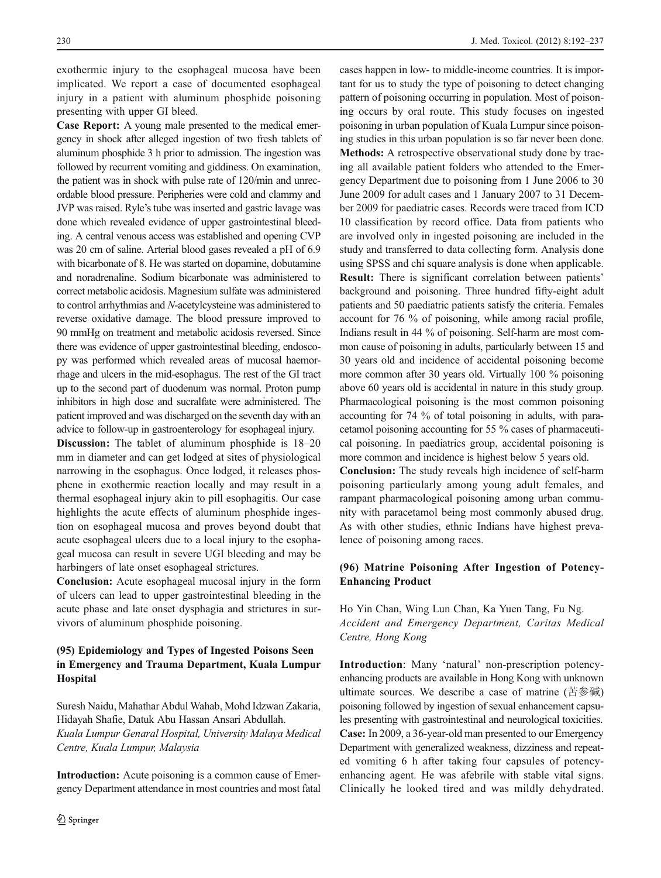exothermic injury to the esophageal mucosa have been implicated. We report a case of documented esophageal injury in a patient with aluminum phosphide poisoning presenting with upper GI bleed.

Case Report: A young male presented to the medical emergency in shock after alleged ingestion of two fresh tablets of aluminum phosphide 3 h prior to admission. The ingestion was followed by recurrent vomiting and giddiness. On examination, the patient was in shock with pulse rate of 120/min and unrecordable blood pressure. Peripheries were cold and clammy and JVP was raised. Ryle's tube was inserted and gastric lavage was done which revealed evidence of upper gastrointestinal bleeding. A central venous access was established and opening CVP was 20 cm of saline. Arterial blood gases revealed a pH of 6.9 with bicarbonate of 8. He was started on dopamine, dobutamine and noradrenaline. Sodium bicarbonate was administered to correct metabolic acidosis. Magnesium sulfate was administered to control arrhythmias and N-acetylcysteine was administered to reverse oxidative damage. The blood pressure improved to 90 mmHg on treatment and metabolic acidosis reversed. Since there was evidence of upper gastrointestinal bleeding, endoscopy was performed which revealed areas of mucosal haemorrhage and ulcers in the mid-esophagus. The rest of the GI tract up to the second part of duodenum was normal. Proton pump inhibitors in high dose and sucralfate were administered. The patient improved and was discharged on the seventh day with an advice to follow-up in gastroenterology for esophageal injury.

Discussion: The tablet of aluminum phosphide is 18–20 mm in diameter and can get lodged at sites of physiological narrowing in the esophagus. Once lodged, it releases phosphene in exothermic reaction locally and may result in a thermal esophageal injury akin to pill esophagitis. Our case highlights the acute effects of aluminum phosphide ingestion on esophageal mucosa and proves beyond doubt that acute esophageal ulcers due to a local injury to the esophageal mucosa can result in severe UGI bleeding and may be harbingers of late onset esophageal strictures.

Conclusion: Acute esophageal mucosal injury in the form of ulcers can lead to upper gastrointestinal bleeding in the acute phase and late onset dysphagia and strictures in survivors of aluminum phosphide poisoning.

# (95) Epidemiology and Types of Ingested Poisons Seen in Emergency and Trauma Department, Kuala Lumpur **Hospital**

Suresh Naidu, Mahathar Abdul Wahab, Mohd Idzwan Zakaria, Hidayah Shafie, Datuk Abu Hassan Ansari Abdullah. Kuala Lumpur Genaral Hospital, University Malaya Medical Centre, Kuala Lumpur, Malaysia

Introduction: Acute poisoning is a common cause of Emergency Department attendance in most countries and most fatal cases happen in low- to middle-income countries. It is important for us to study the type of poisoning to detect changing pattern of poisoning occurring in population. Most of poisoning occurs by oral route. This study focuses on ingested poisoning in urban population of Kuala Lumpur since poisoning studies in this urban population is so far never been done. Methods: A retrospective observational study done by tracing all available patient folders who attended to the Emergency Department due to poisoning from 1 June 2006 to 30 June 2009 for adult cases and 1 January 2007 to 31 December 2009 for paediatric cases. Records were traced from ICD 10 classification by record office. Data from patients who are involved only in ingested poisoning are included in the study and transferred to data collecting form. Analysis done using SPSS and chi square analysis is done when applicable. Result: There is significant correlation between patients' background and poisoning. Three hundred fifty-eight adult patients and 50 paediatric patients satisfy the criteria. Females account for 76 % of poisoning, while among racial profile, Indians result in 44 % of poisoning. Self-harm are most common cause of poisoning in adults, particularly between 15 and 30 years old and incidence of accidental poisoning become more common after 30 years old. Virtually 100 % poisoning above 60 years old is accidental in nature in this study group. Pharmacological poisoning is the most common poisoning accounting for 74 % of total poisoning in adults, with paracetamol poisoning accounting for 55 % cases of pharmaceutical poisoning. In paediatrics group, accidental poisoning is more common and incidence is highest below 5 years old.

Conclusion: The study reveals high incidence of self-harm poisoning particularly among young adult females, and rampant pharmacological poisoning among urban community with paracetamol being most commonly abused drug. As with other studies, ethnic Indians have highest prevalence of poisoning among races.

## (96) Matrine Poisoning After Ingestion of Potency-Enhancing Product

Ho Yin Chan, Wing Lun Chan, Ka Yuen Tang, Fu Ng. Accident and Emergency Department, Caritas Medical Centre, Hong Kong

Introduction: Many 'natural' non-prescription potencyenhancing products are available in Hong Kong with unknown ultimate sources. We describe a case of matrine (苦参碱) poisoning followed by ingestion of sexual enhancement capsules presenting with gastrointestinal and neurological toxicities. Case: In 2009, a 36-year-old man presented to our Emergency Department with generalized weakness, dizziness and repeated vomiting 6 h after taking four capsules of potencyenhancing agent. He was afebrile with stable vital signs. Clinically he looked tired and was mildly dehydrated.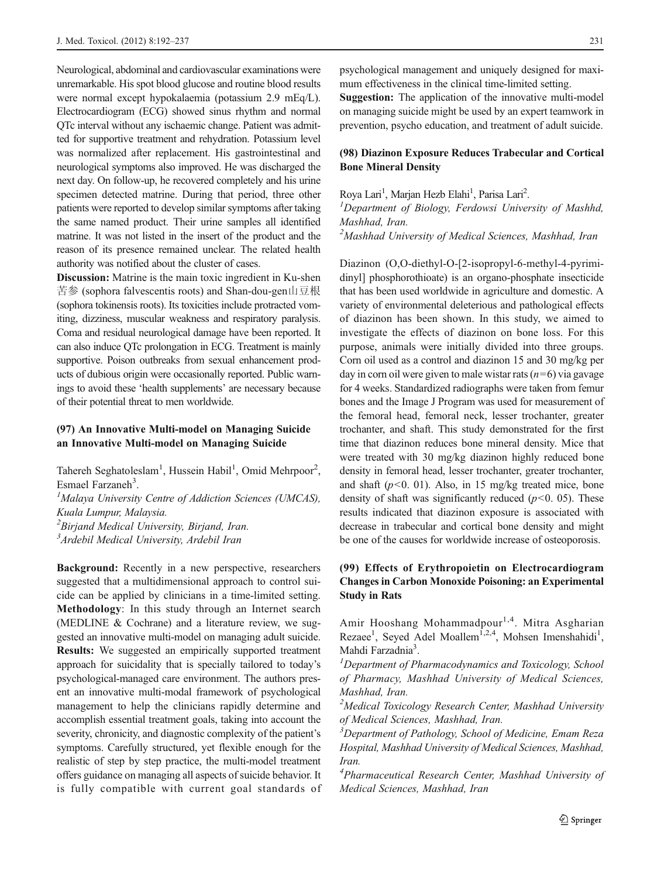Neurological, abdominal and cardiovascular examinations were unremarkable. His spot blood glucose and routine blood results were normal except hypokalaemia (potassium 2.9 mEq/L). Electrocardiogram (ECG) showed sinus rhythm and normal QTc interval without any ischaemic change. Patient was admitted for supportive treatment and rehydration. Potassium level was normalized after replacement. His gastrointestinal and neurological symptoms also improved. He was discharged the next day. On follow-up, he recovered completely and his urine specimen detected matrine. During that period, three other patients were reported to develop similar symptoms after taking the same named product. Their urine samples all identified matrine. It was not listed in the insert of the product and the reason of its presence remained unclear. The related health authority was notified about the cluster of cases.

Discussion: Matrine is the main toxic ingredient in Ku-shen 苦参 (sophora falvescentis roots) and Shan-dou-gen山豆根 (sophora tokinensis roots). Its toxicities include protracted vomiting, dizziness, muscular weakness and respiratory paralysis. Coma and residual neurological damage have been reported. It can also induce QTc prolongation in ECG. Treatment is mainly supportive. Poison outbreaks from sexual enhancement products of dubious origin were occasionally reported. Public warnings to avoid these 'health supplements' are necessary because of their potential threat to men worldwide.

## (97) An Innovative Multi-model on Managing Suicide an Innovative Multi-model on Managing Suicide

Tahereh Seghatoleslam<sup>1</sup>, Hussein Habil<sup>1</sup>, Omid Mehrpoor<sup>2</sup>, Esmael Farzaneh<sup>3</sup>.<br><sup>1</sup>Malaya University

 $M$ alaya University Centre of Addiction Sciences (UMCAS), Kuala Lumpur, Malaysia.

 ${}^{2}$ Birjand Medical University, Birjand, Iran.

<sup>3</sup> Ardebil Medical University, Ardebil Iran

Background: Recently in a new perspective, researchers suggested that a multidimensional approach to control suicide can be applied by clinicians in a time-limited setting. Methodology: In this study through an Internet search (MEDLINE & Cochrane) and a literature review, we suggested an innovative multi-model on managing adult suicide. Results: We suggested an empirically supported treatment approach for suicidality that is specially tailored to today's psychological-managed care environment. The authors present an innovative multi-modal framework of psychological management to help the clinicians rapidly determine and accomplish essential treatment goals, taking into account the severity, chronicity, and diagnostic complexity of the patient's symptoms. Carefully structured, yet flexible enough for the realistic of step by step practice, the multi-model treatment offers guidance on managing all aspects of suicide behavior. It is fully compatible with current goal standards of psychological management and uniquely designed for maximum effectiveness in the clinical time-limited setting.

Suggestion: The application of the innovative multi-model on managing suicide might be used by an expert teamwork in prevention, psycho education, and treatment of adult suicide.

# (98) Diazinon Exposure Reduces Trabecular and Cortical Bone Mineral Density

Roya Lari<sup>1</sup>, Marjan Hezb Elahi<sup>1</sup>, Parisa Lari<sup>2</sup>.<br><sup>1</sup> Department of Biology, Ferdowsi Univer

<sup>1</sup>Department of Biology, Ferdowsi University of Mashhd, Mashhad, Iran.

<sup>2</sup>Mashhad University of Medical Sciences, Mashhad, Iran

Diazinon (O,O-diethyl-O-[2-isopropyl-6-methyl-4-pyrimidinyl] phosphorothioate) is an organo-phosphate insecticide that has been used worldwide in agriculture and domestic. A variety of environmental deleterious and pathological effects of diazinon has been shown. In this study, we aimed to investigate the effects of diazinon on bone loss. For this purpose, animals were initially divided into three groups. Corn oil used as a control and diazinon 15 and 30 mg/kg per day in corn oil were given to male wistar rats  $(n=6)$  via gavage for 4 weeks. Standardized radiographs were taken from femur bones and the Image J Program was used for measurement of the femoral head, femoral neck, lesser trochanter, greater trochanter, and shaft. This study demonstrated for the first time that diazinon reduces bone mineral density. Mice that were treated with 30 mg/kg diazinon highly reduced bone density in femoral head, lesser trochanter, greater trochanter, and shaft  $(p<0. 01)$ . Also, in 15 mg/kg treated mice, bone density of shaft was significantly reduced  $(p<0.05)$ . These results indicated that diazinon exposure is associated with decrease in trabecular and cortical bone density and might be one of the causes for worldwide increase of osteoporosis.

# (99) Effects of Erythropoietin on Electrocardiogram Changes in Carbon Monoxide Poisoning: an Experimental Study in Rats

Amir Hooshang Mohammadpour<sup>1,4</sup>. Mitra Asgharian Rezaee<sup>1</sup>, Seyed Adel Moallem<sup>1,2,4</sup>, Mohsen Imenshahidi<sup>1</sup>, Mahdi Farzadnia<sup>3</sup>.<br><sup>*I*</sup> Denartment of Pi

Department of Pharmacodynamics and Toxicology, School of Pharmacy, Mashhad University of Medical Sciences, Mashhad, Iran.

<sup>2</sup>Medical Toxicology Research Center, Mashhad University of Medical Sciences, Mashhad, Iran.

 $\overline{\text{3}}$ Department of Pathology, School of Medicine, Emam Reza Hospital, Mashhad University of Medical Sciences, Mashhad, Iran.

<sup>4</sup>Pharmaceutical Research Center, Mashhad University of Medical Sciences, Mashhad, Iran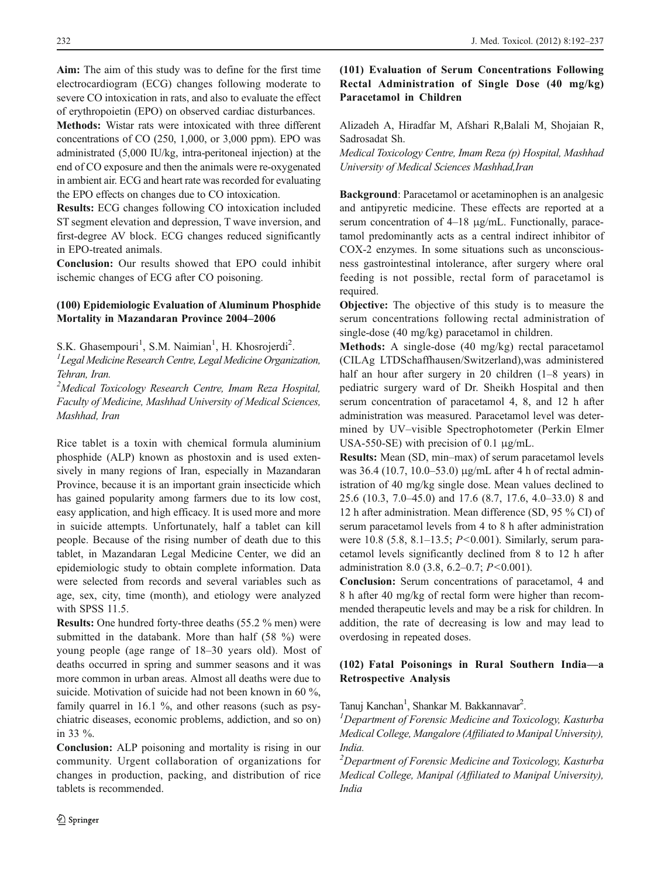Aim: The aim of this study was to define for the first time electrocardiogram (ECG) changes following moderate to severe CO intoxication in rats, and also to evaluate the effect of erythropoietin (EPO) on observed cardiac disturbances.

Methods: Wistar rats were intoxicated with three different concentrations of CO (250, 1,000, or 3,000 ppm). EPO was administrated (5,000 IU/kg, intra-peritoneal injection) at the end of CO exposure and then the animals were re-oxygenated in ambient air. ECG and heart rate was recorded for evaluating the EPO effects on changes due to CO intoxication.

Results: ECG changes following CO intoxication included ST segment elevation and depression, T wave inversion, and first-degree AV block. ECG changes reduced significantly in EPO-treated animals.

Conclusion: Our results showed that EPO could inhibit ischemic changes of ECG after CO poisoning.

#### (100) Epidemiologic Evaluation of Aluminum Phosphide Mortality in Mazandaran Province 2004–2006

S.K. Ghasempouri<sup>1</sup>, S.M. Naimian<sup>1</sup>, H. Khosrojerdi<sup>2</sup>.<br><sup>1</sup>Legal Medicine Research Centre, Legal Medicine Organiz

 $L$ Legal Medicine Research Centre, Legal Medicine Organization, Tehran, Iran.

<sup>2</sup>Medical Toxicology Research Centre, Imam Reza Hospital, Faculty of Medicine, Mashhad University of Medical Sciences, Mashhad, Iran

Rice tablet is a toxin with chemical formula aluminium phosphide (ALP) known as phostoxin and is used extensively in many regions of Iran, especially in Mazandaran Province, because it is an important grain insecticide which has gained popularity among farmers due to its low cost, easy application, and high efficacy. It is used more and more in suicide attempts. Unfortunately, half a tablet can kill people. Because of the rising number of death due to this tablet, in Mazandaran Legal Medicine Center, we did an epidemiologic study to obtain complete information. Data were selected from records and several variables such as age, sex, city, time (month), and etiology were analyzed with SPSS 11.5.

Results: One hundred forty-three deaths (55.2 % men) were submitted in the databank. More than half (58 %) were young people (age range of 18–30 years old). Most of deaths occurred in spring and summer seasons and it was more common in urban areas. Almost all deaths were due to suicide. Motivation of suicide had not been known in 60 %, family quarrel in 16.1 %, and other reasons (such as psychiatric diseases, economic problems, addiction, and so on) in 33 %.

Conclusion: ALP poisoning and mortality is rising in our community. Urgent collaboration of organizations for changes in production, packing, and distribution of rice tablets is recommended.

# (101) Evaluation of Serum Concentrations Following Rectal Administration of Single Dose (40 mg/kg) Paracetamol in Children

Alizadeh A, Hiradfar M, Afshari R,Balali M, Shojaian R, Sadrosadat Sh.

Medical Toxicology Centre, Imam Reza (p) Hospital, Mashhad University of Medical Sciences Mashhad,Iran

Background: Paracetamol or acetaminophen is an analgesic and antipyretic medicine. These effects are reported at a serum concentration of 4–18 μg/mL. Functionally, paracetamol predominantly acts as a central indirect inhibitor of COX-2 enzymes. In some situations such as unconsciousness gastrointestinal intolerance, after surgery where oral feeding is not possible, rectal form of paracetamol is required.

Objective: The objective of this study is to measure the serum concentrations following rectal administration of single-dose (40 mg/kg) paracetamol in children.

Methods: A single-dose (40 mg/kg) rectal paracetamol (CILAg LTDSchaffhausen/Switzerland),was administered half an hour after surgery in 20 children (1–8 years) in pediatric surgery ward of Dr. Sheikh Hospital and then serum concentration of paracetamol 4, 8, and 12 h after administration was measured. Paracetamol level was determined by UV–visible Spectrophotometer (Perkin Elmer USA-550-SE) with precision of 0.1 μg/mL.

Results: Mean (SD, min–max) of serum paracetamol levels was 36.4 (10.7, 10.0–53.0) μg/mL after 4 h of rectal administration of 40 mg/kg single dose. Mean values declined to 25.6 (10.3, 7.0–45.0) and 17.6 (8.7, 17.6, 4.0–33.0) 8 and 12 h after administration. Mean difference (SD, 95 % CI) of serum paracetamol levels from 4 to 8 h after administration were  $10.8$  (5.8, 8.1–13.5;  $P < 0.001$ ). Similarly, serum paracetamol levels significantly declined from 8 to 12 h after administration 8.0 (3.8, 6.2–0.7;  $P < 0.001$ ).

Conclusion: Serum concentrations of paracetamol, 4 and 8 h after 40 mg/kg of rectal form were higher than recommended therapeutic levels and may be a risk for children. In addition, the rate of decreasing is low and may lead to overdosing in repeated doses.

#### (102) Fatal Poisonings in Rural Southern India—a Retrospective Analysis

Tanuj Kanchan<sup>1</sup>, Shankar M. Bakkannavar<sup>2</sup>.<br><sup>1</sup>Dangutusht of Foransis Medicine and Tox

 $1$ Department of Forensic Medicine and Toxicology, Kasturba Medical College, Mangalore (Affiliated to Manipal University), India.

<sup>2</sup>Department of Forensic Medicine and Toxicology, Kasturba Medical College, Manipal (Affiliated to Manipal University), India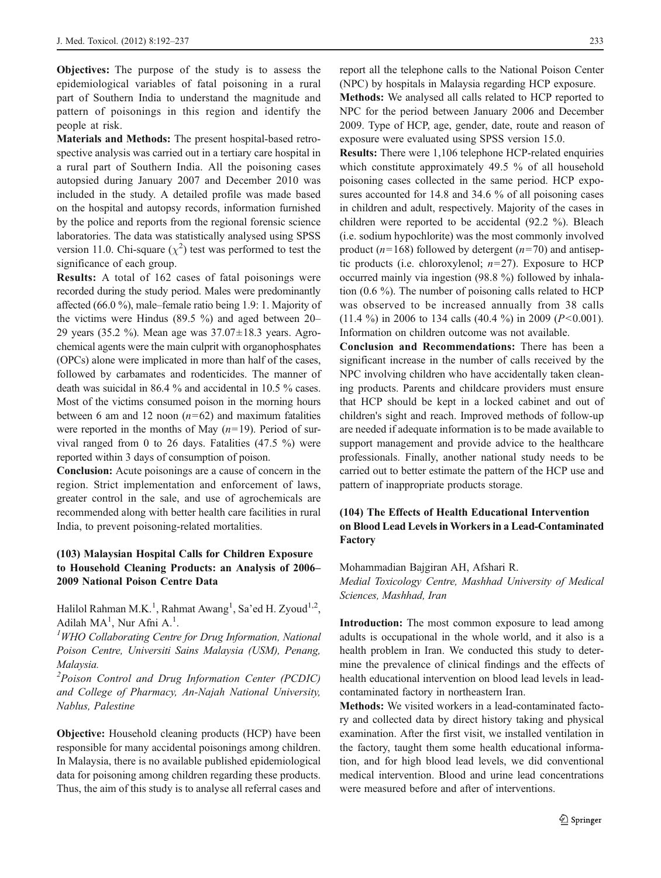**Objectives:** The purpose of the study is to assess the epidemiological variables of fatal poisoning in a rural part of Southern India to understand the magnitude and pattern of poisonings in this region and identify the people at risk.

Materials and Methods: The present hospital-based retrospective analysis was carried out in a tertiary care hospital in a rural part of Southern India. All the poisoning cases autopsied during January 2007 and December 2010 was included in the study. A detailed profile was made based on the hospital and autopsy records, information furnished by the police and reports from the regional forensic science laboratories. The data was statistically analysed using SPSS version 11.0. Chi-square  $(\chi^2)$  test was performed to test the significance of each group.

Results: A total of 162 cases of fatal poisonings were recorded during the study period. Males were predominantly affected (66.0 %), male–female ratio being 1.9: 1. Majority of the victims were Hindus (89.5 %) and aged between 20– 29 years (35.2 %). Mean age was 37.07±18.3 years. Agrochemical agents were the main culprit with organophosphates (OPCs) alone were implicated in more than half of the cases, followed by carbamates and rodenticides. The manner of death was suicidal in 86.4 % and accidental in 10.5 % cases. Most of the victims consumed poison in the morning hours between 6 am and 12 noon  $(n=62)$  and maximum fatalities were reported in the months of May  $(n=19)$ . Period of survival ranged from 0 to 26 days. Fatalities (47.5 %) were reported within 3 days of consumption of poison.

Conclusion: Acute poisonings are a cause of concern in the region. Strict implementation and enforcement of laws, greater control in the sale, and use of agrochemicals are recommended along with better health care facilities in rural India, to prevent poisoning-related mortalities.

# (103) Malaysian Hospital Calls for Children Exposure to Household Cleaning Products: an Analysis of 2006– 2009 National Poison Centre Data

Halilol Rahman M.K.<sup>1</sup>, Rahmat Awang<sup>1</sup>, Sa'ed H. Zyoud<sup>1,2</sup>, Adilah MA<sup>1</sup>, Nur Afni A.<sup>1</sup>.<br><sup>1</sup>WHO Collaborating Centre

 ${}^{1}$ WHO Collaborating Centre for Drug Information, National Poison Centre, Universiti Sains Malaysia (USM), Penang, Malaysia.

<sup>2</sup>Poison Control and Drug Information Center (PCDIC) and College of Pharmacy, An-Najah National University, Nablus, Palestine

Objective: Household cleaning products (HCP) have been responsible for many accidental poisonings among children. In Malaysia, there is no available published epidemiological data for poisoning among children regarding these products. Thus, the aim of this study is to analyse all referral cases and report all the telephone calls to the National Poison Center (NPC) by hospitals in Malaysia regarding HCP exposure.

Methods: We analysed all calls related to HCP reported to NPC for the period between January 2006 and December 2009. Type of HCP, age, gender, date, route and reason of exposure were evaluated using SPSS version 15.0.

Results: There were 1,106 telephone HCP-related enquiries which constitute approximately 49.5 % of all household poisoning cases collected in the same period. HCP exposures accounted for 14.8 and 34.6 % of all poisoning cases in children and adult, respectively. Majority of the cases in children were reported to be accidental (92.2 %). Bleach (i.e. sodium hypochlorite) was the most commonly involved product ( $n=168$ ) followed by detergent ( $n=70$ ) and antiseptic products (i.e. chloroxylenol;  $n=27$ ). Exposure to HCP occurred mainly via ingestion (98.8 %) followed by inhalation (0.6 %). The number of poisoning calls related to HCP was observed to be increased annually from 38 calls  $(11.4 \%)$  in 2006 to 134 calls  $(40.4 \%)$  in 2009 (P<0.001). Information on children outcome was not available.

Conclusion and Recommendations: There has been a significant increase in the number of calls received by the NPC involving children who have accidentally taken cleaning products. Parents and childcare providers must ensure that HCP should be kept in a locked cabinet and out of children's sight and reach. Improved methods of follow-up are needed if adequate information is to be made available to support management and provide advice to the healthcare professionals. Finally, another national study needs to be carried out to better estimate the pattern of the HCP use and pattern of inappropriate products storage.

# (104) The Effects of Health Educational Intervention on Blood Lead Levels in Workers in a Lead-Contaminated Factory

Mohammadian Bajgiran AH, Afshari R.

Medial Toxicology Centre, Mashhad University of Medical Sciences, Mashhad, Iran

Introduction: The most common exposure to lead among adults is occupational in the whole world, and it also is a health problem in Iran. We conducted this study to determine the prevalence of clinical findings and the effects of health educational intervention on blood lead levels in leadcontaminated factory in northeastern Iran.

Methods: We visited workers in a lead-contaminated factory and collected data by direct history taking and physical examination. After the first visit, we installed ventilation in the factory, taught them some health educational information, and for high blood lead levels, we did conventional medical intervention. Blood and urine lead concentrations were measured before and after of interventions.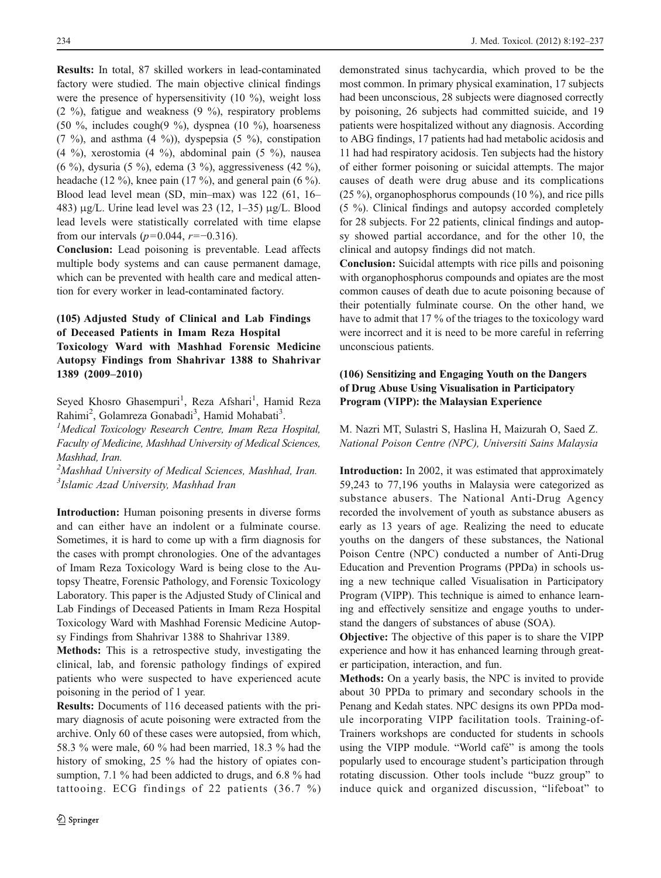Results: In total, 87 skilled workers in lead-contaminated factory were studied. The main objective clinical findings were the presence of hypersensitivity  $(10 \%)$ , weight loss (2 %), fatigue and weakness (9 %), respiratory problems (50 %, includes cough(9 %), dyspnea (10 %), hoarseness  $(7 \%)$ , and asthma  $(4 \%)$ ), dyspepsia  $(5 \%)$ , constipation (4 %), xerostomia (4 %), abdominal pain (5 %), nausea (6 %), dysuria (5 %), edema (3 %), aggressiveness (42 %), headache (12 %), knee pain (17 %), and general pain (6 %). Blood lead level mean (SD, min–max) was 122 (61, 16– 483) μg/L. Urine lead level was 23 (12, 1–35) μg/L. Blood lead levels were statistically correlated with time elapse from our intervals ( $p=0.044$ ,  $r=-0.316$ ).

Conclusion: Lead poisoning is preventable. Lead affects multiple body systems and can cause permanent damage, which can be prevented with health care and medical attention for every worker in lead-contaminated factory.

# (105) Adjusted Study of Clinical and Lab Findings of Deceased Patients in Imam Reza Hospital Toxicology Ward with Mashhad Forensic Medicine Autopsy Findings from Shahrivar 1388 to Shahrivar 1389 (2009–2010)

Seyed Khosro Ghasempuri<sup>1</sup>, Reza Afshari<sup>1</sup>, Hamid Reza Rahimi<sup>2</sup>, Golamreza Gonabadi<sup>3</sup>, Hamid Mohabati<sup>3</sup>.<br><sup>1</sup>Medical Toxicalogy Research Cantra, Imam Reza

 $M$ edical Toxicology Research Centre, Imam Reza Hospital, Faculty of Medicine, Mashhad University of Medical Sciences, Mashhad, Iran.

<sup>2</sup>Mashhad University of Medical Sciences, Mashhad, Iran. 3 Islamic Azad University, Mashhad Iran

Introduction: Human poisoning presents in diverse forms and can either have an indolent or a fulminate course. Sometimes, it is hard to come up with a firm diagnosis for the cases with prompt chronologies. One of the advantages of Imam Reza Toxicology Ward is being close to the Autopsy Theatre, Forensic Pathology, and Forensic Toxicology Laboratory. This paper is the Adjusted Study of Clinical and Lab Findings of Deceased Patients in Imam Reza Hospital Toxicology Ward with Mashhad Forensic Medicine Autopsy Findings from Shahrivar 1388 to Shahrivar 1389.

Methods: This is a retrospective study, investigating the clinical, lab, and forensic pathology findings of expired patients who were suspected to have experienced acute poisoning in the period of 1 year.

Results: Documents of 116 deceased patients with the primary diagnosis of acute poisoning were extracted from the archive. Only 60 of these cases were autopsied, from which, 58.3 % were male, 60 % had been married, 18.3 % had the history of smoking, 25 % had the history of opiates consumption, 7.1 % had been addicted to drugs, and 6.8 % had tattooing. ECG findings of 22 patients (36.7 %) demonstrated sinus tachycardia, which proved to be the most common. In primary physical examination, 17 subjects had been unconscious, 28 subjects were diagnosed correctly by poisoning, 26 subjects had committed suicide, and 19 patients were hospitalized without any diagnosis. According to ABG findings, 17 patients had had metabolic acidosis and 11 had had respiratory acidosis. Ten subjects had the history of either former poisoning or suicidal attempts. The major causes of death were drug abuse and its complications (25 %), organophosphorus compounds (10 %), and rice pills (5 %). Clinical findings and autopsy accorded completely for 28 subjects. For 22 patients, clinical findings and autopsy showed partial accordance, and for the other 10, the clinical and autopsy findings did not match.

Conclusion: Suicidal attempts with rice pills and poisoning with organophosphorus compounds and opiates are the most common causes of death due to acute poisoning because of their potentially fulminate course. On the other hand, we have to admit that 17 % of the triages to the toxicology ward were incorrect and it is need to be more careful in referring unconscious patients.

# (106) Sensitizing and Engaging Youth on the Dangers of Drug Abuse Using Visualisation in Participatory Program (VIPP): the Malaysian Experience

M. Nazri MT, Sulastri S, Haslina H, Maizurah O, Saed Z. National Poison Centre (NPC), Universiti Sains Malaysia

Introduction: In 2002, it was estimated that approximately 59,243 to 77,196 youths in Malaysia were categorized as substance abusers. The National Anti-Drug Agency recorded the involvement of youth as substance abusers as early as 13 years of age. Realizing the need to educate youths on the dangers of these substances, the National Poison Centre (NPC) conducted a number of Anti-Drug Education and Prevention Programs (PPDa) in schools using a new technique called Visualisation in Participatory Program (VIPP). This technique is aimed to enhance learning and effectively sensitize and engage youths to understand the dangers of substances of abuse (SOA).

Objective: The objective of this paper is to share the VIPP experience and how it has enhanced learning through greater participation, interaction, and fun.

Methods: On a yearly basis, the NPC is invited to provide about 30 PPDa to primary and secondary schools in the Penang and Kedah states. NPC designs its own PPDa module incorporating VIPP facilitation tools. Training-of-Trainers workshops are conducted for students in schools using the VIPP module. "World café" is among the tools popularly used to encourage student's participation through rotating discussion. Other tools include "buzz group" to induce quick and organized discussion, "lifeboat" to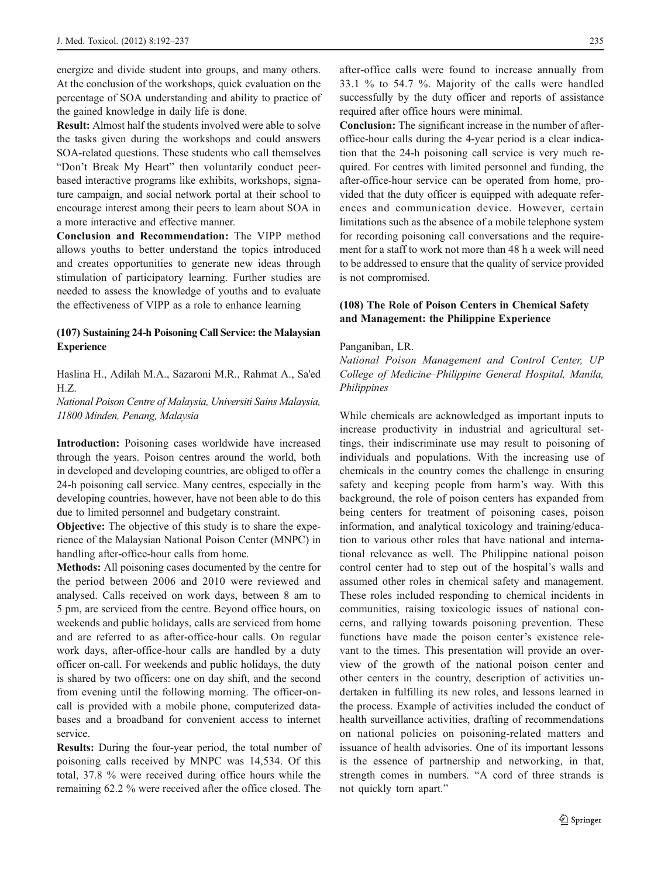energize and divide student into groups, and many others. At the conclusion of the workshops, quick evaluation on the percentage of SOA understanding and ability to practice of the gained knowledge in daily life is done.

Result: Almost half the students involved were able to solve the tasks given during the workshops and could answers SOA-related questions. These students who call themselves "Don't Break My Heart" then voluntarily conduct peerbased interactive programs like exhibits, workshops, signature campaign, and social network portal at their school to encourage interest among their peers to learn about SOA in a more interactive and effective manner.

Conclusion and Recommendation: The VIPP method allows youths to better understand the topics introduced and creates opportunities to generate new ideas through stimulation of participatory learning. Further studies are needed to assess the knowledge of youths and to evaluate the effectiveness of VIPP as a role to enhance learning

### (107) Sustaining 24-h Poisoning Call Service: the Malaysian **Experience**

Haslina H., Adilah M.A., Sazaroni M.R., Rahmat A., Sa'ed H.Z.

National Poison Centre of Malaysia, Universiti Sains Malaysia, 11800 Minden, Penang, Malaysia

Introduction: Poisoning cases worldwide have increased through the years. Poison centres around the world, both in developed and developing countries, are obliged to offer a 24-h poisoning call service. Many centres, especially in the developing countries, however, have not been able to do this due to limited personnel and budgetary constraint.

Objective: The objective of this study is to share the experience of the Malaysian National Poison Center (MNPC) in handling after-office-hour calls from home.

Methods: All poisoning cases documented by the centre for the period between 2006 and 2010 were reviewed and analysed. Calls received on work days, between 8 am to 5 pm, are serviced from the centre. Beyond office hours, on weekends and public holidays, calls are serviced from home and are referred to as after-office-hour calls. On regular work days, after-office-hour calls are handled by a duty officer on-call. For weekends and public holidays, the duty is shared by two officers: one on day shift, and the second from evening until the following morning. The officer-oncall is provided with a mobile phone, computerized databases and a broadband for convenient access to internet service.

Results: During the four-year period, the total number of poisoning calls received by MNPC was 14,534. Of this total, 37.8 % were received during office hours while the remaining 62.2 % were received after the office closed. The

after-office calls were found to increase annually from 33.1 % to 54.7 %. Majority of the calls were handled successfully by the duty officer and reports of assistance required after office hours were minimal.

Conclusion: The significant increase in the number of afteroffice-hour calls during the 4-year period is a clear indication that the 24-h poisoning call service is very much required. For centres with limited personnel and funding, the after-office-hour service can be operated from home, provided that the duty officer is equipped with adequate references and communication device. However, certain limitations such as the absence of a mobile telephone system for recording poisoning call conversations and the requirement for a staff to work not more than 48 h a week will need to be addressed to ensure that the quality of service provided is not compromised.

#### (108) The Role of Poison Centers in Chemical Safety and Management: the Philippine Experience

#### Panganiban, LR.

National Poison Management and Control Center, UP College of Medicine–Philippine General Hospital, Manila, Philippines

While chemicals are acknowledged as important inputs to increase productivity in industrial and agricultural settings, their indiscriminate use may result to poisoning of individuals and populations. With the increasing use of chemicals in the country comes the challenge in ensuring safety and keeping people from harm's way. With this background, the role of poison centers has expanded from being centers for treatment of poisoning cases, poison information, and analytical toxicology and training/education to various other roles that have national and international relevance as well. The Philippine national poison control center had to step out of the hospital's walls and assumed other roles in chemical safety and management. These roles included responding to chemical incidents in communities, raising toxicologic issues of national concerns, and rallying towards poisoning prevention. These functions have made the poison center's existence relevant to the times. This presentation will provide an overview of the growth of the national poison center and other centers in the country, description of activities undertaken in fulfilling its new roles, and lessons learned in the process. Example of activities included the conduct of health surveillance activities, drafting of recommendations on national policies on poisoning-related matters and issuance of health advisories. One of its important lessons is the essence of partnership and networking, in that, strength comes in numbers. "A cord of three strands is not quickly torn apart."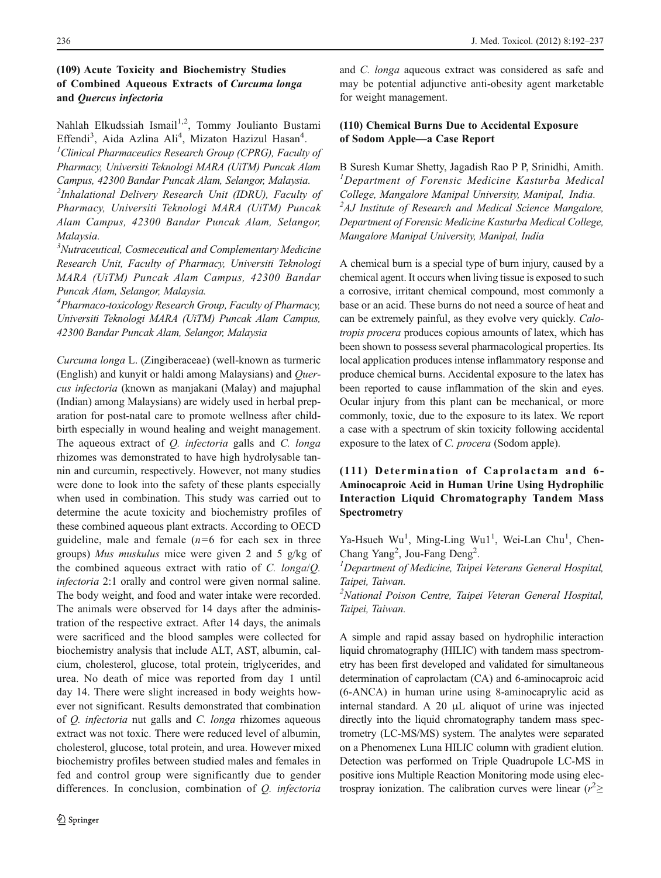# (109) Acute Toxicity and Biochemistry Studies of Combined Aqueous Extracts of Curcuma longa and Quercus infectoria

Nahlah Elkudssiah Ismail<sup>1,2</sup>, Tommy Joulianto Bustami Effendi<sup>3</sup>, Aida Azlina Ali<sup>4</sup>, Mizaton Hazizul Hasan<sup>4</sup>.<br><sup>1</sup>Clinical Pharmacautics Research Group (CPPG), Eacult <sup>1</sup>Clinical Pharmaceutics Research Group (CPRG), Faculty of Pharmacy, Universiti Teknologi MARA (UiTM) Puncak Alam Campus, 42300 Bandar Puncak Alam, Selangor, Malaysia.

<sup>2</sup>Inhalational Delivery Research Unit (IDRU), Faculty of Pharmacy, Universiti Teknologi MARA (UiTM) Puncak Alam Campus, 42300 Bandar Puncak Alam, Selangor, Malaysia.

<sup>3</sup>Nutraceutical, Cosmeceutical and Complementary Medicine Research Unit, Faculty of Pharmacy, Universiti Teknologi MARA (UiTM) Puncak Alam Campus, 42300 Bandar Puncak Alam, Selangor, Malaysia.

4 Pharmaco-toxicology Research Group, Faculty of Pharmacy, Universiti Teknologi MARA (UiTM) Puncak Alam Campus, 42300 Bandar Puncak Alam, Selangor, Malaysia

Curcuma longa L. (Zingiberaceae) (well-known as turmeric (English) and kunyit or haldi among Malaysians) and Quercus infectoria (known as manjakani (Malay) and majuphal (Indian) among Malaysians) are widely used in herbal preparation for post-natal care to promote wellness after childbirth especially in wound healing and weight management. The aqueous extract of *Q. infectoria* galls and *C. longa* rhizomes was demonstrated to have high hydrolysable tannin and curcumin, respectively. However, not many studies were done to look into the safety of these plants especially when used in combination. This study was carried out to determine the acute toxicity and biochemistry profiles of these combined aqueous plant extracts. According to OECD guideline, male and female  $(n=6$  for each sex in three groups) Mus muskulus mice were given 2 and 5 g/kg of the combined aqueous extract with ratio of C. longa/Q. infectoria 2:1 orally and control were given normal saline. The body weight, and food and water intake were recorded. The animals were observed for 14 days after the administration of the respective extract. After 14 days, the animals were sacrificed and the blood samples were collected for biochemistry analysis that include ALT, AST, albumin, calcium, cholesterol, glucose, total protein, triglycerides, and urea. No death of mice was reported from day 1 until day 14. There were slight increased in body weights however not significant. Results demonstrated that combination of Q. infectoria nut galls and C. longa rhizomes aqueous extract was not toxic. There were reduced level of albumin, cholesterol, glucose, total protein, and urea. However mixed biochemistry profiles between studied males and females in fed and control group were significantly due to gender differences. In conclusion, combination of Q. infectoria

and C. longa aqueous extract was considered as safe and may be potential adjunctive anti-obesity agent marketable for weight management.

# (110) Chemical Burns Due to Accidental Exposure of Sodom Apple—a Case Report

B Suresh Kumar Shetty, Jagadish Rao P P, Srinidhi, Amith. <sup>1</sup>Department of Forensic Medicine Kasturba Medical College, Mangalore Manipal University, Manipal, India.  $A$ J Institute of Research and Medical Science Mangalore, Department of Forensic Medicine Kasturba Medical College, Mangalore Manipal University, Manipal, India

A chemical burn is a special type of burn injury, caused by a chemical agent. It occurs when living tissue is exposed to such a corrosive, irritant chemical compound, most commonly a base or an acid. These burns do not need a source of heat and can be extremely painful, as they evolve very quickly. Calotropis procera produces copious amounts of latex, which has been shown to possess several pharmacological properties. Its local application produces intense inflammatory response and produce chemical burns. Accidental exposure to the latex has been reported to cause inflammation of the skin and eyes. Ocular injury from this plant can be mechanical, or more commonly, toxic, due to the exposure to its latex. We report a case with a spectrum of skin toxicity following accidental exposure to the latex of C. procera (Sodom apple).

# (111) Determination of Caprolactam and 6- Aminocaproic Acid in Human Urine Using Hydrophilic Interaction Liquid Chromatography Tandem Mass Spectrometry

Ya-Hsueh Wu<sup>1</sup>, Ming-Ling Wu1<sup>1</sup>, Wei-Lan Chu<sup>1</sup>, Chen-Chang Yang<sup>2</sup>, Jou-Fang Deng<sup>2</sup>.<br><sup>1</sup> Department of Medicine, Taine

<sup>1</sup>Department of Medicine, Taipei Veterans General Hospital, Taipei, Taiwan.

<sup>2</sup>National Poison Centre, Taipei Veteran General Hospital, Taipei, Taiwan.

A simple and rapid assay based on hydrophilic interaction liquid chromatography (HILIC) with tandem mass spectrometry has been first developed and validated for simultaneous determination of caprolactam (CA) and 6-aminocaproic acid (6-ANCA) in human urine using 8-aminocaprylic acid as internal standard. A 20 μL aliquot of urine was injected directly into the liquid chromatography tandem mass spectrometry (LC-MS/MS) system. The analytes were separated on a Phenomenex Luna HILIC column with gradient elution. Detection was performed on Triple Quadrupole LC-MS in positive ions Multiple Reaction Monitoring mode using electrospray ionization. The calibration curves were linear  $(r^2 \geq$